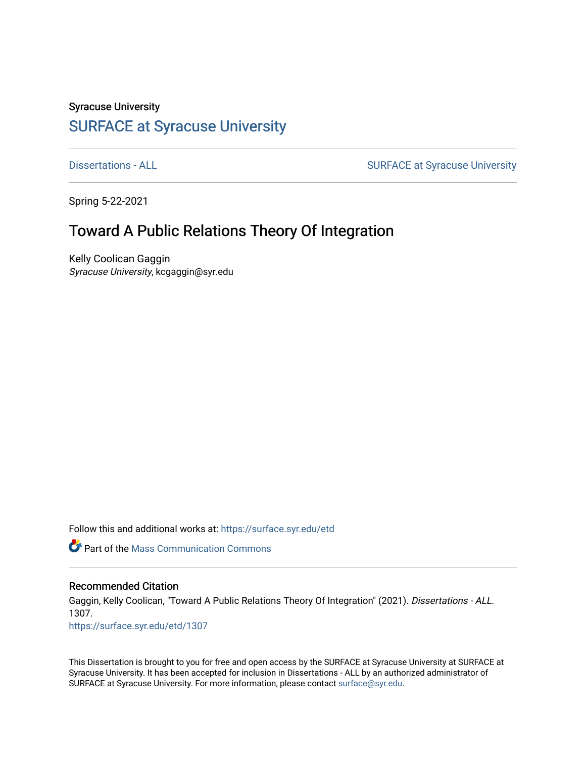Syracuse University

# [SURFACE at Syracuse University](https://surface.syr.edu/)

[Dissertations - ALL](https://surface.syr.edu/etd) **SURFACE** at Syracuse University

Spring 5-22-2021

# Toward A Public Relations Theory Of Integration

Kelly Coolican Gaggin Syracuse University, kcgaggin@syr.edu

Follow this and additional works at: https://surface.syr.edu/etd

**C** Part of the Mass Communication Commons

# Recommended Citation

Gaggin, Kelly Coolican, "Toward A Public Relations Theory Of Integration" (2021). Dissertations - ALL. 1307. [https://surface.syr.edu/etd/1307](https://surface.syr.edu/etd/1307?utm_source=surface.syr.edu%2Fetd%2F1307&utm_medium=PDF&utm_campaign=PDFCoverPages)

This Dissertation is brought to you for free and open access by the SURFACE at Syracuse University at SURFACE at Syracuse University. It has been accepted for inclusion in Dissertations - ALL by an authorized administrator of SURFACE at Syracuse University. For more information, please contact [surface@syr.edu.](mailto:surface@syr.edu)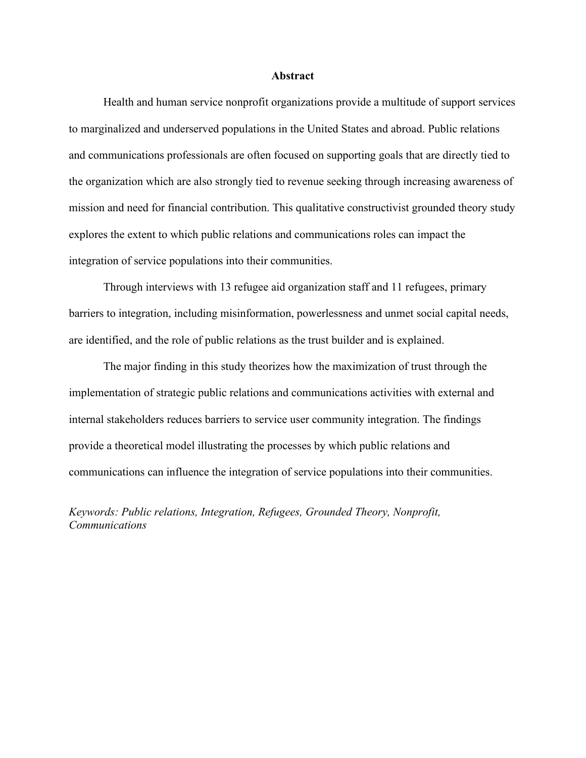### **Abstract**

<span id="page-1-0"></span>Health and human service nonprofit organizations provide a multitude of support services to marginalized and underserved populations in the United States and abroad. Public relations and communications professionals are often focused on supporting goals that are directly tied to the organization which are also strongly tied to revenue seeking through increasing awareness of mission and need for financial contribution. This qualitative constructivist grounded theory study explores the extent to which public relations and communications roles can impact the integration of service populations into their communities.

Through interviews with 13 refugee aid organization staff and 11 refugees, primary barriers to integration, including misinformation, powerlessness and unmet social capital needs, are identified, and the role of public relations as the trust builder and is explained.

The major finding in this study theorizes how the maximization of trust through the implementation of strategic public relations and communications activities with external and internal stakeholders reduces barriers to service user community integration. The findings provide a theoretical model illustrating the processes by which public relations and communications can influence the integration of service populations into their communities.

*Keywords: Public relations, Integration, Refugees, Grounded Theory, Nonprofit, Communications*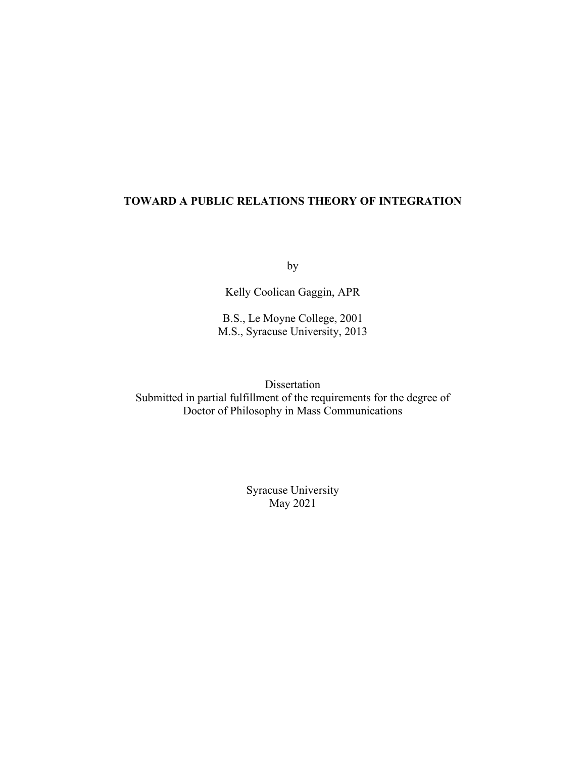# **TOWARD A PUBLIC RELATIONS THEORY OF INTEGRATION**

by

Kelly Coolican Gaggin, APR

B.S., Le Moyne College, 2001 M.S., Syracuse University, 2013

Dissertation Submitted in partial fulfillment of the requirements for the degree of Doctor of Philosophy in Mass Communications

> Syracuse University May 2021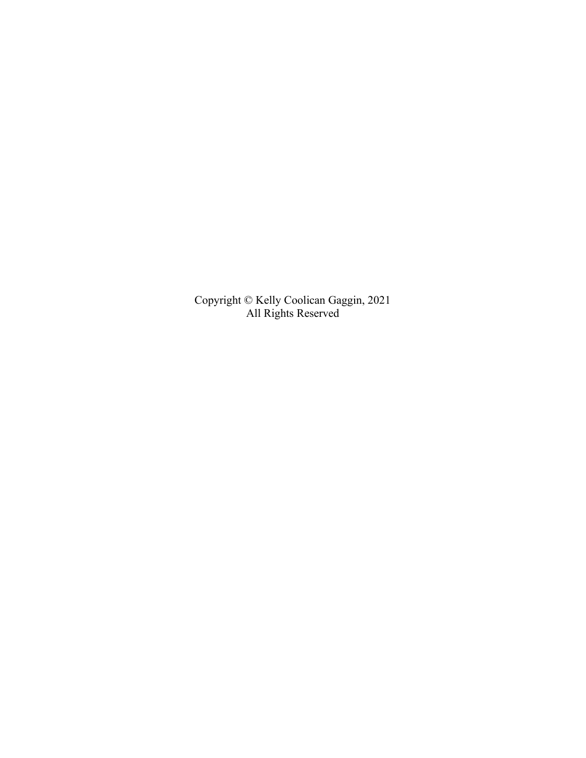Copyright © Kelly Coolican Gaggin, 2021 All Rights Reserved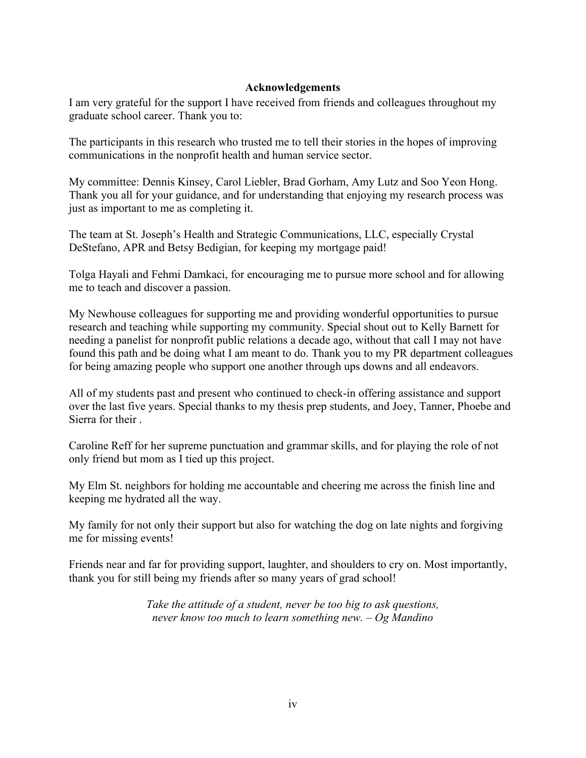# **Acknowledgements**

<span id="page-4-0"></span>I am very grateful for the support I have received from friends and colleagues throughout my graduate school career. Thank you to:

The participants in this research who trusted me to tell their stories in the hopes of improving communications in the nonprofit health and human service sector.

My committee: Dennis Kinsey, Carol Liebler, Brad Gorham, Amy Lutz and Soo Yeon Hong. Thank you all for your guidance, and for understanding that enjoying my research process was just as important to me as completing it.

The team at St. Joseph's Health and Strategic Communications, LLC, especially Crystal DeStefano, APR and Betsy Bedigian, for keeping my mortgage paid!

Tolga Hayali and Fehmi Damkaci, for encouraging me to pursue more school and for allowing me to teach and discover a passion.

My Newhouse colleagues for supporting me and providing wonderful opportunities to pursue research and teaching while supporting my community. Special shout out to Kelly Barnett for needing a panelist for nonprofit public relations a decade ago, without that call I may not have found this path and be doing what I am meant to do. Thank you to my PR department colleagues for being amazing people who support one another through ups downs and all endeavors.

All of my students past and present who continued to check-in offering assistance and support over the last five years. Special thanks to my thesis prep students, and Joey, Tanner, Phoebe and Sierra for their .

Caroline Reff for her supreme punctuation and grammar skills, and for playing the role of not only friend but mom as I tied up this project.

My Elm St. neighbors for holding me accountable and cheering me across the finish line and keeping me hydrated all the way.

My family for not only their support but also for watching the dog on late nights and forgiving me for missing events!

Friends near and far for providing support, laughter, and shoulders to cry on. Most importantly, thank you for still being my friends after so many years of grad school!

> *Take the attitude of a student, never be too big to ask questions, never know too much to learn something new. – Og Mandino*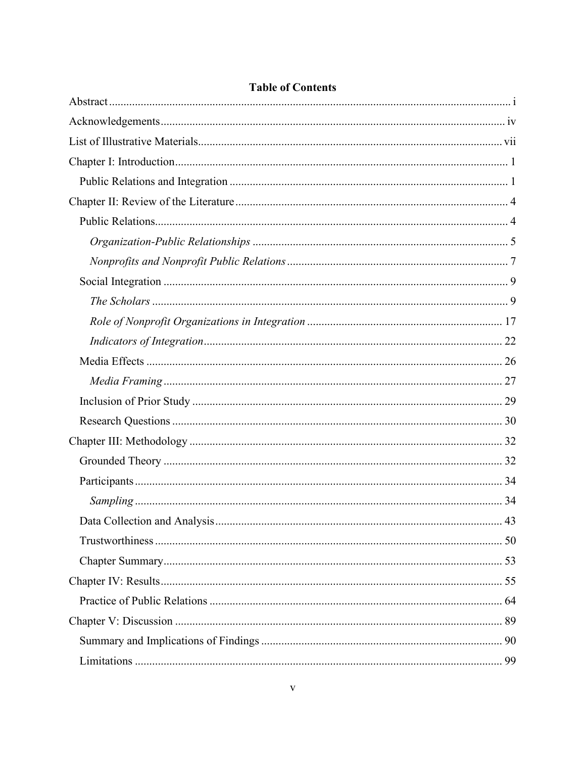| MU VI VAHILUHLA |  |
|-----------------|--|
|                 |  |
|                 |  |
|                 |  |
|                 |  |
|                 |  |
|                 |  |
|                 |  |
|                 |  |
|                 |  |
|                 |  |
|                 |  |
|                 |  |
|                 |  |
|                 |  |
|                 |  |
|                 |  |
|                 |  |
|                 |  |
|                 |  |
|                 |  |
|                 |  |
|                 |  |
|                 |  |
|                 |  |
|                 |  |
|                 |  |
|                 |  |
|                 |  |
|                 |  |

# **Table of Contents**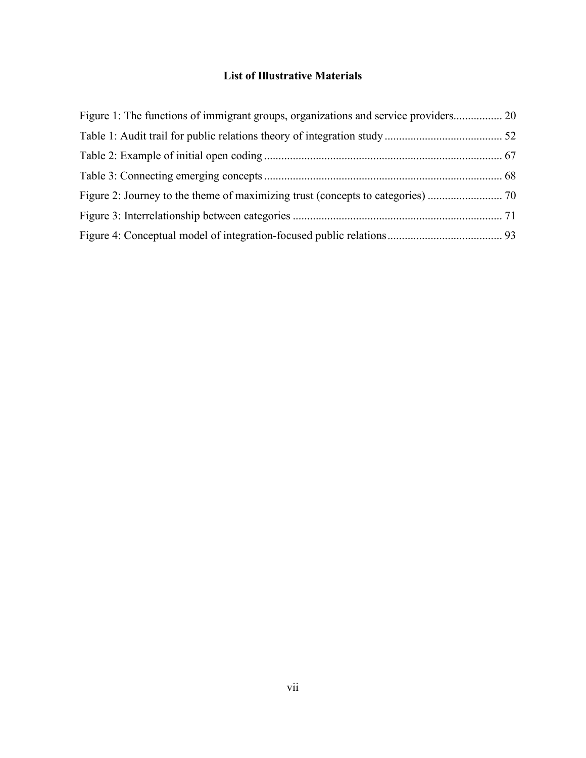# **List of Illustrative Materials**

<span id="page-7-0"></span>

| Figure 1: The functions of immigrant groups, organizations and service providers 20 |  |
|-------------------------------------------------------------------------------------|--|
|                                                                                     |  |
|                                                                                     |  |
|                                                                                     |  |
|                                                                                     |  |
|                                                                                     |  |
|                                                                                     |  |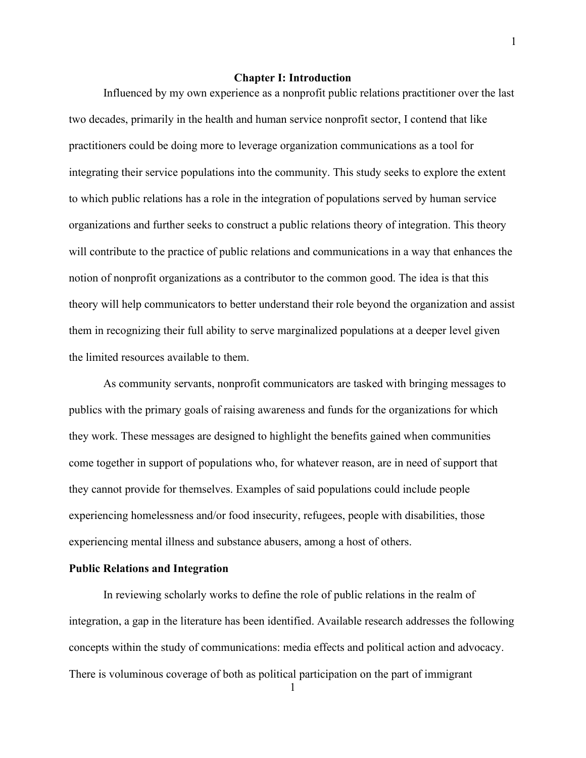## **Chapter I: Introduction**

<span id="page-8-0"></span>Influenced by my own experience as a nonprofit public relations practitioner over the last two decades, primarily in the health and human service nonprofit sector, I contend that like practitioners could be doing more to leverage organization communications as a tool for integrating their service populations into the community. This study seeks to explore the extent to which public relations has a role in the integration of populations served by human service organizations and further seeks to construct a public relations theory of integration. This theory will contribute to the practice of public relations and communications in a way that enhances the notion of nonprofit organizations as a contributor to the common good. The idea is that this theory will help communicators to better understand their role beyond the organization and assist them in recognizing their full ability to serve marginalized populations at a deeper level given the limited resources available to them.

As community servants, nonprofit communicators are tasked with bringing messages to publics with the primary goals of raising awareness and funds for the organizations for which they work. These messages are designed to highlight the benefits gained when communities come together in support of populations who, for whatever reason, are in need of support that they cannot provide for themselves. Examples of said populations could include people experiencing homelessness and/or food insecurity, refugees, people with disabilities, those experiencing mental illness and substance abusers, among a host of others.

# <span id="page-8-1"></span>**Public Relations and Integration**

In reviewing scholarly works to define the role of public relations in the realm of integration, a gap in the literature has been identified. Available research addresses the following concepts within the study of communications: media effects and political action and advocacy. There is voluminous coverage of both as political participation on the part of immigrant

1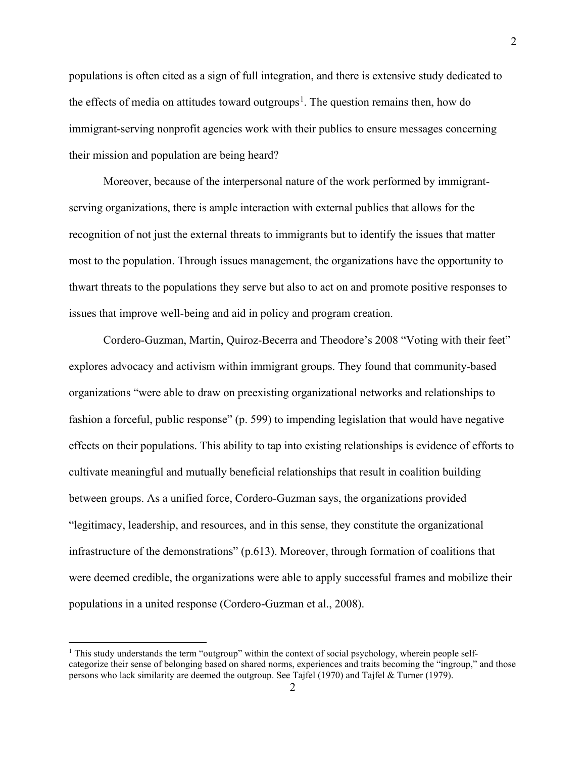populations is often cited as a sign of full integration, and there is extensive study dedicated to the effects of media on attitudes toward outgroups<sup>[1](#page-9-0)</sup>. The question remains then, how do immigrant-serving nonprofit agencies work with their publics to ensure messages concerning their mission and population are being heard?

Moreover, because of the interpersonal nature of the work performed by immigrantserving organizations, there is ample interaction with external publics that allows for the recognition of not just the external threats to immigrants but to identify the issues that matter most to the population. Through issues management, the organizations have the opportunity to thwart threats to the populations they serve but also to act on and promote positive responses to issues that improve well-being and aid in policy and program creation.

Cordero-Guzman, Martin, Quiroz-Becerra and Theodore's 2008 "Voting with their feet" explores advocacy and activism within immigrant groups. They found that community-based organizations "were able to draw on preexisting organizational networks and relationships to fashion a forceful, public response" (p. 599) to impending legislation that would have negative effects on their populations. This ability to tap into existing relationships is evidence of efforts to cultivate meaningful and mutually beneficial relationships that result in coalition building between groups. As a unified force, Cordero-Guzman says, the organizations provided "legitimacy, leadership, and resources, and in this sense, they constitute the organizational infrastructure of the demonstrations" (p.613). Moreover, through formation of coalitions that were deemed credible, the organizations were able to apply successful frames and mobilize their populations in a united response (Cordero-Guzman et al., 2008).

<span id="page-9-0"></span> $1$  This study understands the term "outgroup" within the context of social psychology, wherein people selfcategorize their sense of belonging based on shared norms, experiences and traits becoming the "ingroup," and those persons who lack similarity are deemed the outgroup. See Tajfel (1970) and Tajfel & Turner (1979).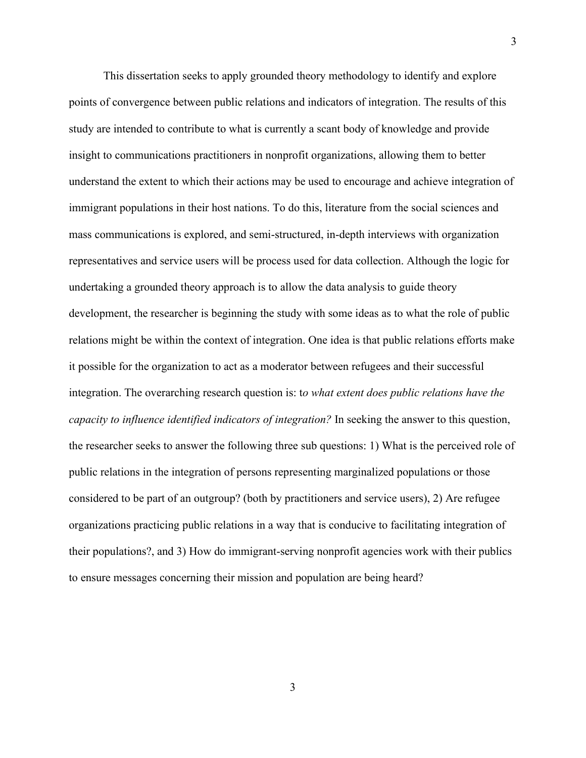This dissertation seeks to apply grounded theory methodology to identify and explore points of convergence between public relations and indicators of integration. The results of this study are intended to contribute to what is currently a scant body of knowledge and provide insight to communications practitioners in nonprofit organizations, allowing them to better understand the extent to which their actions may be used to encourage and achieve integration of immigrant populations in their host nations. To do this, literature from the social sciences and mass communications is explored, and semi-structured, in-depth interviews with organization representatives and service users will be process used for data collection. Although the logic for undertaking a grounded theory approach is to allow the data analysis to guide theory development, the researcher is beginning the study with some ideas as to what the role of public relations might be within the context of integration. One idea is that public relations efforts make it possible for the organization to act as a moderator between refugees and their successful integration. The overarching research question is: t*o what extent does public relations have the capacity to influence identified indicators of integration?* In seeking the answer to this question, the researcher seeks to answer the following three sub questions: 1) What is the perceived role of public relations in the integration of persons representing marginalized populations or those considered to be part of an outgroup? (both by practitioners and service users), 2) Are refugee organizations practicing public relations in a way that is conducive to facilitating integration of their populations?, and 3) How do immigrant-serving nonprofit agencies work with their publics to ensure messages concerning their mission and population are being heard?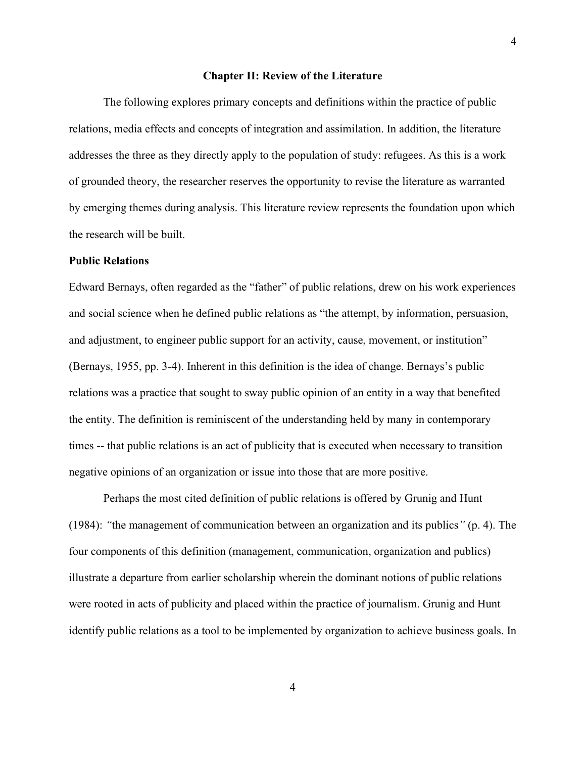#### **Chapter II: Review of the Literature**

<span id="page-11-0"></span>The following explores primary concepts and definitions within the practice of public relations, media effects and concepts of integration and assimilation. In addition, the literature addresses the three as they directly apply to the population of study: refugees. As this is a work of grounded theory, the researcher reserves the opportunity to revise the literature as warranted by emerging themes during analysis. This literature review represents the foundation upon which the research will be built.

# <span id="page-11-1"></span>**Public Relations**

Edward Bernays, often regarded as the "father" of public relations, drew on his work experiences and social science when he defined public relations as "the attempt, by information, persuasion, and adjustment, to engineer public support for an activity, cause, movement, or institution" (Bernays, 1955, pp. 3-4). Inherent in this definition is the idea of change. Bernays's public relations was a practice that sought to sway public opinion of an entity in a way that benefited the entity. The definition is reminiscent of the understanding held by many in contemporary times -- that public relations is an act of publicity that is executed when necessary to transition negative opinions of an organization or issue into those that are more positive.

Perhaps the most cited definition of public relations is offered by Grunig and Hunt (1984): *"*the management of communication between an organization and its publics*"* (p. 4). The four components of this definition (management, communication, organization and publics) illustrate a departure from earlier scholarship wherein the dominant notions of public relations were rooted in acts of publicity and placed within the practice of journalism. Grunig and Hunt identify public relations as a tool to be implemented by organization to achieve business goals. In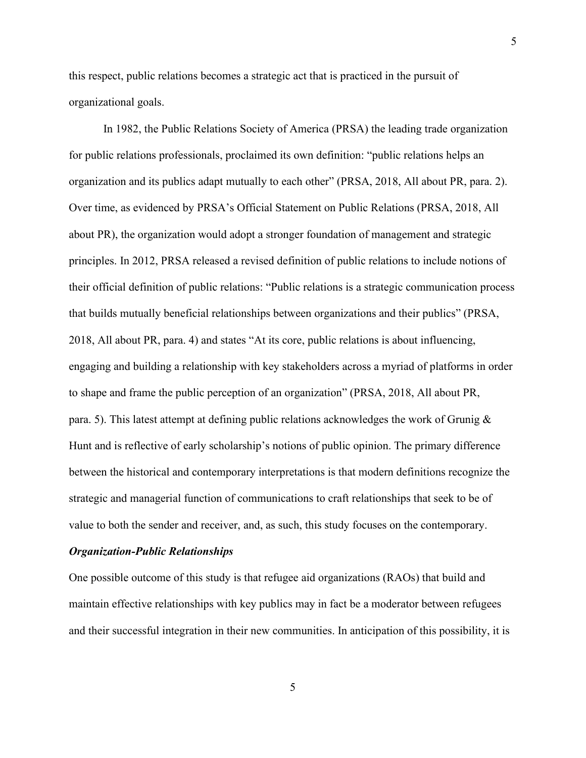this respect, public relations becomes a strategic act that is practiced in the pursuit of organizational goals.

In 1982, the Public Relations Society of America (PRSA) the leading trade organization for public relations professionals, proclaimed its own definition: "public relations helps an organization and its publics adapt mutually to each other" (PRSA, 2018, All about PR, para. 2). Over time, as evidenced by PRSA's Official Statement on Public Relations (PRSA, 2018, All about PR), the organization would adopt a stronger foundation of management and strategic principles. In 2012, PRSA released a revised definition of public relations to include notions of their official definition of public relations: "Public relations is a strategic communication process that builds mutually beneficial relationships between organizations and their publics" (PRSA, 2018, All about PR, para. 4) and states "At its core, public relations is about influencing, engaging and building a relationship with key stakeholders across a myriad of platforms in order to shape and frame the public perception of an organization" (PRSA, 2018, All about PR, para. 5). This latest attempt at defining public relations acknowledges the work of Grunig & Hunt and is reflective of early scholarship's notions of public opinion. The primary difference between the historical and contemporary interpretations is that modern definitions recognize the strategic and managerial function of communications to craft relationships that seek to be of value to both the sender and receiver, and, as such, this study focuses on the contemporary.

#### <span id="page-12-0"></span>*Organization-Public Relationships*

One possible outcome of this study is that refugee aid organizations (RAOs) that build and maintain effective relationships with key publics may in fact be a moderator between refugees and their successful integration in their new communities. In anticipation of this possibility, it is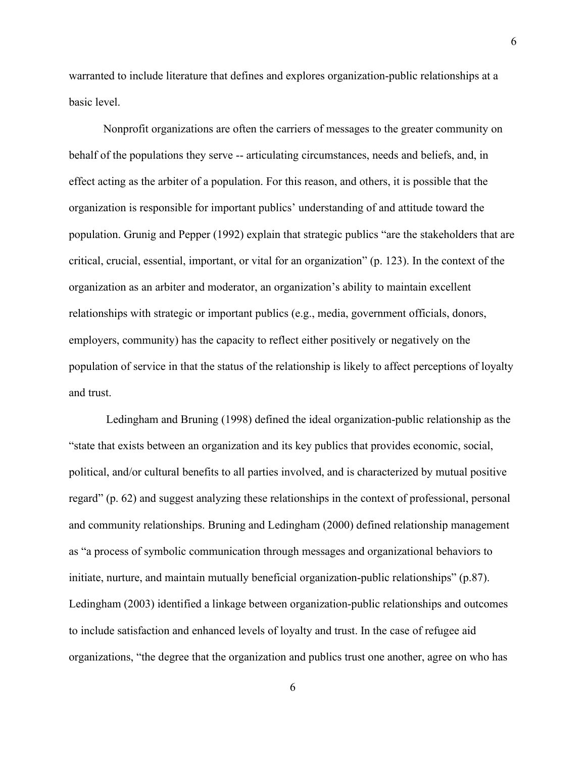warranted to include literature that defines and explores organization-public relationships at a basic level.

Nonprofit organizations are often the carriers of messages to the greater community on behalf of the populations they serve -- articulating circumstances, needs and beliefs, and, in effect acting as the arbiter of a population. For this reason, and others, it is possible that the organization is responsible for important publics' understanding of and attitude toward the population. Grunig and Pepper (1992) explain that strategic publics "are the stakeholders that are critical, crucial, essential, important, or vital for an organization" (p. 123). In the context of the organization as an arbiter and moderator, an organization's ability to maintain excellent relationships with strategic or important publics (e.g., media, government officials, donors, employers, community) has the capacity to reflect either positively or negatively on the population of service in that the status of the relationship is likely to affect perceptions of loyalty and trust.

Ledingham and Bruning (1998) defined the ideal organization-public relationship as the "state that exists between an organization and its key publics that provides economic, social, political, and/or cultural benefits to all parties involved, and is characterized by mutual positive regard" (p. 62) and suggest analyzing these relationships in the context of professional, personal and community relationships. Bruning and Ledingham (2000) defined relationship management as "a process of symbolic communication through messages and organizational behaviors to initiate, nurture, and maintain mutually beneficial organization-public relationships" (p.87). Ledingham (2003) identified a linkage between organization-public relationships and outcomes to include satisfaction and enhanced levels of loyalty and trust. In the case of refugee aid organizations, "the degree that the organization and publics trust one another, agree on who has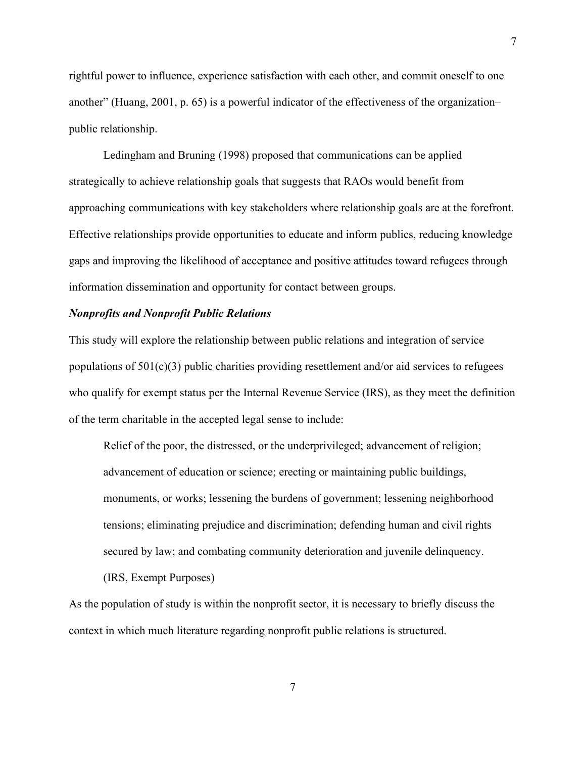rightful power to influence, experience satisfaction with each other, and commit oneself to one another" (Huang, 2001, p. 65) is a powerful indicator of the effectiveness of the organization– public relationship.

Ledingham and Bruning (1998) proposed that communications can be applied strategically to achieve relationship goals that suggests that RAOs would benefit from approaching communications with key stakeholders where relationship goals are at the forefront. Effective relationships provide opportunities to educate and inform publics, reducing knowledge gaps and improving the likelihood of acceptance and positive attitudes toward refugees through information dissemination and opportunity for contact between groups.

# <span id="page-14-0"></span>*Nonprofits and Nonprofit Public Relations*

This study will explore the relationship between public relations and integration of service populations of  $501(c)(3)$  public charities providing resettlement and/or aid services to refugees who qualify for exempt status per the Internal Revenue Service (IRS), as they meet the definition of the term charitable in the accepted legal sense to include:

Relief of the poor, the distressed, or the underprivileged; advancement of religion; advancement of education or science; erecting or maintaining public buildings, monuments, or works; lessening the burdens of government; lessening neighborhood tensions; eliminating prejudice and discrimination; defending human and civil rights secured by law; and combating community deterioration and juvenile delinquency.

(IRS, Exempt Purposes)

As the population of study is within the nonprofit sector, it is necessary to briefly discuss the context in which much literature regarding nonprofit public relations is structured.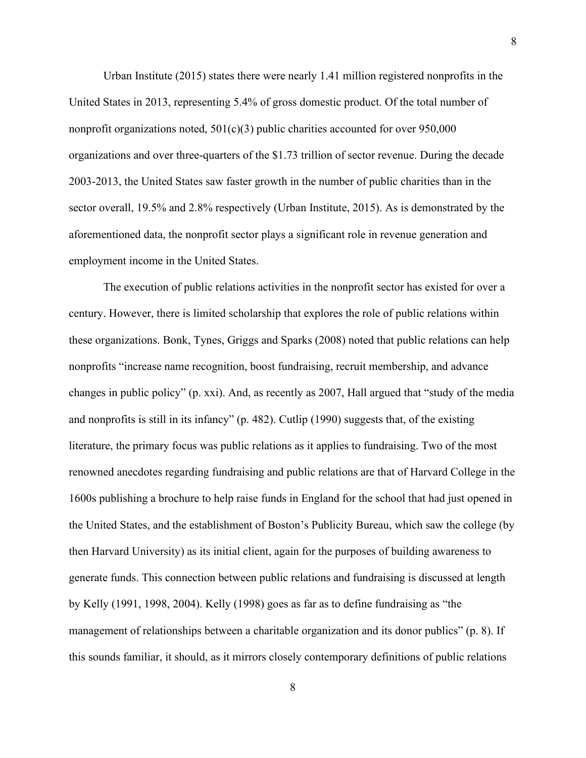Urban Institute (2015) states there were nearly 1.41 million registered nonprofits in the United States in 2013, representing 5.4% of gross domestic product. Of the total number of nonprofit organizations noted,  $501(c)(3)$  public charities accounted for over 950,000 organizations and over three-quarters of the \$1.73 trillion of sector revenue. During the decade 2003-2013, the United States saw faster growth in the number of public charities than in the sector overall, 19.5% and 2.8% respectively (Urban Institute, 2015). As is demonstrated by the aforementioned data, the nonprofit sector plays a significant role in revenue generation and employment income in the United States.

The execution of public relations activities in the nonprofit sector has existed for over a century. However, there is limited scholarship that explores the role of public relations within these organizations. Bonk, Tynes, Griggs and Sparks (2008) noted that public relations can help nonprofits "increase name recognition, boost fundraising, recruit membership, and advance changes in public policy" (p. xxi). And, as recently as 2007, Hall argued that "study of the media and nonprofits is still in its infancy" (p. 482). Cutlip (1990) suggests that, of the existing literature, the primary focus was public relations as it applies to fundraising. Two of the most renowned anecdotes regarding fundraising and public relations are that of Harvard College in the 1600s publishing a brochure to help raise funds in England for the school that had just opened in the United States, and the establishment of Boston's Publicity Bureau, which saw the college (by then Harvard University) as its initial client, again for the purposes of building awareness to generate funds. This connection between public relations and fundraising is discussed at length by Kelly (1991, 1998, 2004). Kelly (1998) goes as far as to define fundraising as "the management of relationships between a charitable organization and its donor publics" (p. 8). If this sounds familiar, it should, as it mirrors closely contemporary definitions of public relations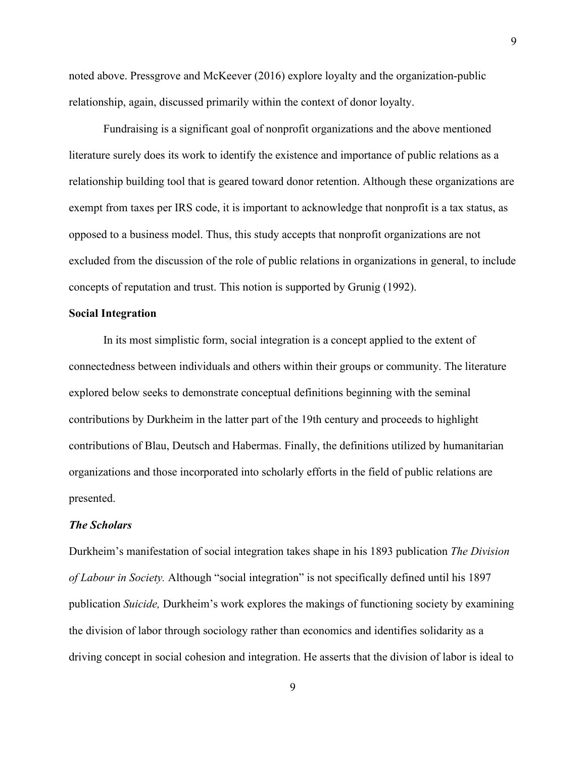noted above. Pressgrove and McKeever (2016) explore loyalty and the organization-public relationship, again, discussed primarily within the context of donor loyalty.

Fundraising is a significant goal of nonprofit organizations and the above mentioned literature surely does its work to identify the existence and importance of public relations as a relationship building tool that is geared toward donor retention. Although these organizations are exempt from taxes per IRS code, it is important to acknowledge that nonprofit is a tax status, as opposed to a business model. Thus, this study accepts that nonprofit organizations are not excluded from the discussion of the role of public relations in organizations in general, to include concepts of reputation and trust. This notion is supported by Grunig (1992).

# <span id="page-16-0"></span>**Social Integration**

In its most simplistic form, social integration is a concept applied to the extent of connectedness between individuals and others within their groups or community. The literature explored below seeks to demonstrate conceptual definitions beginning with the seminal contributions by Durkheim in the latter part of the 19th century and proceeds to highlight contributions of Blau, Deutsch and Habermas. Finally, the definitions utilized by humanitarian organizations and those incorporated into scholarly efforts in the field of public relations are presented.

# <span id="page-16-1"></span>*The Scholars*

Durkheim's manifestation of social integration takes shape in his 1893 publication *The Division of Labour in Society.* Although "social integration" is not specifically defined until his 1897 publication *Suicide,* Durkheim's work explores the makings of functioning society by examining the division of labor through sociology rather than economics and identifies solidarity as a driving concept in social cohesion and integration. He asserts that the division of labor is ideal to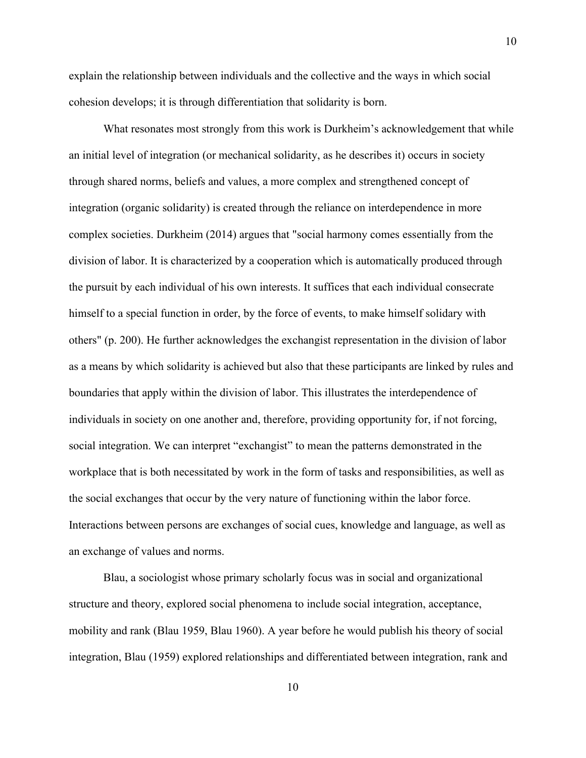explain the relationship between individuals and the collective and the ways in which social cohesion develops; it is through differentiation that solidarity is born.

What resonates most strongly from this work is Durkheim's acknowledgement that while an initial level of integration (or mechanical solidarity, as he describes it) occurs in society through shared norms, beliefs and values, a more complex and strengthened concept of integration (organic solidarity) is created through the reliance on interdependence in more complex societies. Durkheim (2014) argues that "social harmony comes essentially from the division of labor. It is characterized by a cooperation which is automatically produced through the pursuit by each individual of his own interests. It suffices that each individual consecrate himself to a special function in order, by the force of events, to make himself solidary with others" (p. 200). He further acknowledges the exchangist representation in the division of labor as a means by which solidarity is achieved but also that these participants are linked by rules and boundaries that apply within the division of labor. This illustrates the interdependence of individuals in society on one another and, therefore, providing opportunity for, if not forcing, social integration. We can interpret "exchangist" to mean the patterns demonstrated in the workplace that is both necessitated by work in the form of tasks and responsibilities, as well as the social exchanges that occur by the very nature of functioning within the labor force. Interactions between persons are exchanges of social cues, knowledge and language, as well as an exchange of values and norms.

Blau, a sociologist whose primary scholarly focus was in social and organizational structure and theory, explored social phenomena to include social integration, acceptance, mobility and rank (Blau 1959, Blau 1960). A year before he would publish his theory of social integration, Blau (1959) explored relationships and differentiated between integration, rank and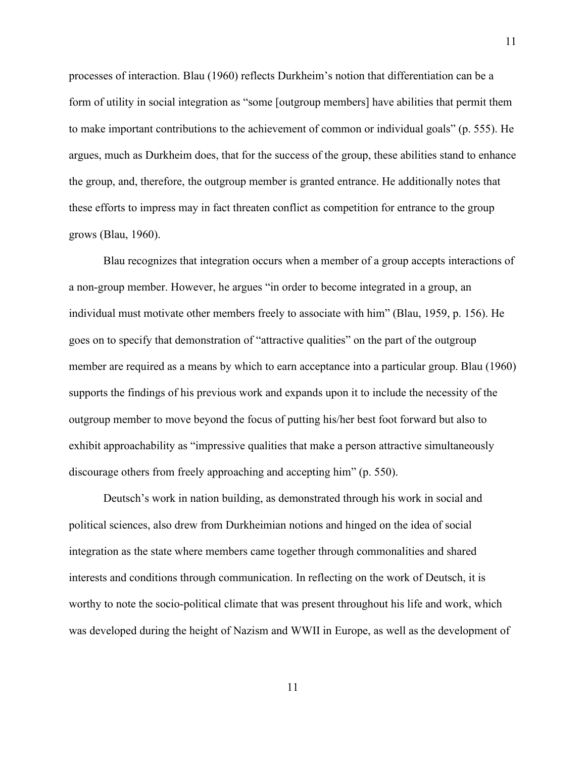processes of interaction. Blau (1960) reflects Durkheim's notion that differentiation can be a form of utility in social integration as "some [outgroup members] have abilities that permit them to make important contributions to the achievement of common or individual goals" (p. 555). He argues, much as Durkheim does, that for the success of the group, these abilities stand to enhance the group, and, therefore, the outgroup member is granted entrance. He additionally notes that these efforts to impress may in fact threaten conflict as competition for entrance to the group grows (Blau, 1960).

Blau recognizes that integration occurs when a member of a group accepts interactions of a non-group member. However, he argues "in order to become integrated in a group, an individual must motivate other members freely to associate with him" (Blau, 1959, p. 156). He goes on to specify that demonstration of "attractive qualities" on the part of the outgroup member are required as a means by which to earn acceptance into a particular group. Blau (1960) supports the findings of his previous work and expands upon it to include the necessity of the outgroup member to move beyond the focus of putting his/her best foot forward but also to exhibit approachability as "impressive qualities that make a person attractive simultaneously discourage others from freely approaching and accepting him" (p. 550).

Deutsch's work in nation building, as demonstrated through his work in social and political sciences, also drew from Durkheimian notions and hinged on the idea of social integration as the state where members came together through commonalities and shared interests and conditions through communication. In reflecting on the work of Deutsch, it is worthy to note the socio-political climate that was present throughout his life and work, which was developed during the height of Nazism and WWII in Europe, as well as the development of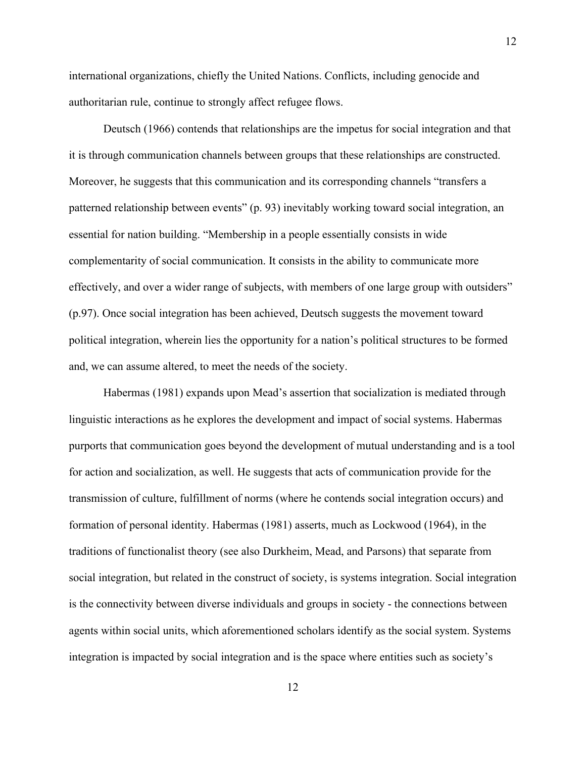international organizations, chiefly the United Nations. Conflicts, including genocide and authoritarian rule, continue to strongly affect refugee flows.

Deutsch (1966) contends that relationships are the impetus for social integration and that it is through communication channels between groups that these relationships are constructed. Moreover, he suggests that this communication and its corresponding channels "transfers a patterned relationship between events" (p. 93) inevitably working toward social integration, an essential for nation building. "Membership in a people essentially consists in wide complementarity of social communication. It consists in the ability to communicate more effectively, and over a wider range of subjects, with members of one large group with outsiders" (p.97). Once social integration has been achieved, Deutsch suggests the movement toward political integration, wherein lies the opportunity for a nation's political structures to be formed and, we can assume altered, to meet the needs of the society.

Habermas (1981) expands upon Mead's assertion that socialization is mediated through linguistic interactions as he explores the development and impact of social systems. Habermas purports that communication goes beyond the development of mutual understanding and is a tool for action and socialization, as well. He suggests that acts of communication provide for the transmission of culture, fulfillment of norms (where he contends social integration occurs) and formation of personal identity. Habermas (1981) asserts, much as Lockwood (1964), in the traditions of functionalist theory (see also Durkheim, Mead, and Parsons) that separate from social integration, but related in the construct of society, is systems integration. Social integration is the connectivity between diverse individuals and groups in society - the connections between agents within social units, which aforementioned scholars identify as the social system. Systems integration is impacted by social integration and is the space where entities such as society's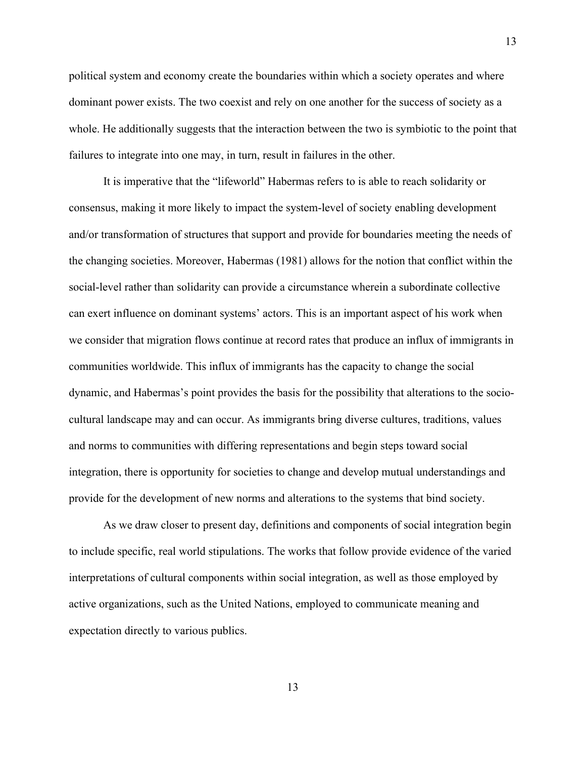political system and economy create the boundaries within which a society operates and where dominant power exists. The two coexist and rely on one another for the success of society as a whole. He additionally suggests that the interaction between the two is symbiotic to the point that failures to integrate into one may, in turn, result in failures in the other.

It is imperative that the "lifeworld" Habermas refers to is able to reach solidarity or consensus, making it more likely to impact the system-level of society enabling development and/or transformation of structures that support and provide for boundaries meeting the needs of the changing societies. Moreover, Habermas (1981) allows for the notion that conflict within the social-level rather than solidarity can provide a circumstance wherein a subordinate collective can exert influence on dominant systems' actors. This is an important aspect of his work when we consider that migration flows continue at record rates that produce an influx of immigrants in communities worldwide. This influx of immigrants has the capacity to change the social dynamic, and Habermas's point provides the basis for the possibility that alterations to the sociocultural landscape may and can occur. As immigrants bring diverse cultures, traditions, values and norms to communities with differing representations and begin steps toward social integration, there is opportunity for societies to change and develop mutual understandings and provide for the development of new norms and alterations to the systems that bind society.

As we draw closer to present day, definitions and components of social integration begin to include specific, real world stipulations. The works that follow provide evidence of the varied interpretations of cultural components within social integration, as well as those employed by active organizations, such as the United Nations, employed to communicate meaning and expectation directly to various publics.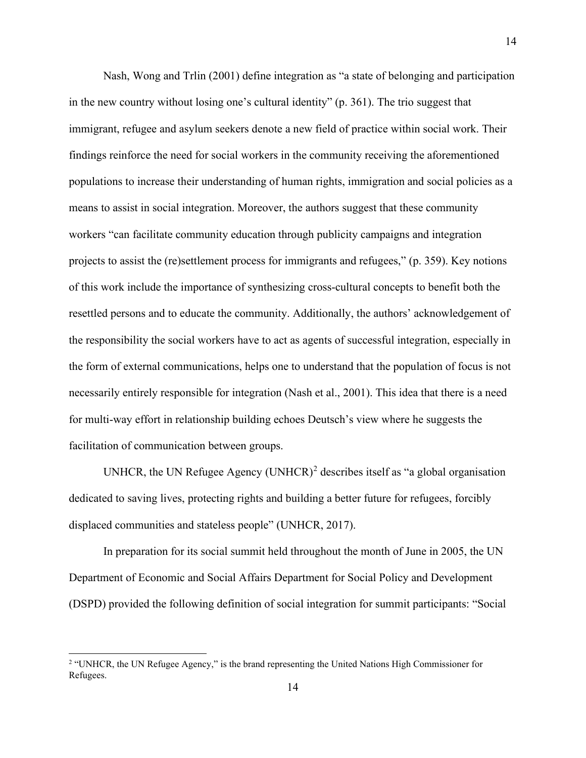Nash, Wong and Trlin (2001) define integration as "a state of belonging and participation in the new country without losing one's cultural identity" (p. 361). The trio suggest that immigrant, refugee and asylum seekers denote a new field of practice within social work. Their findings reinforce the need for social workers in the community receiving the aforementioned populations to increase their understanding of human rights, immigration and social policies as a means to assist in social integration. Moreover, the authors suggest that these community workers "can facilitate community education through publicity campaigns and integration projects to assist the (re)settlement process for immigrants and refugees," (p. 359). Key notions of this work include the importance of synthesizing cross-cultural concepts to benefit both the resettled persons and to educate the community. Additionally, the authors' acknowledgement of the responsibility the social workers have to act as agents of successful integration, especially in the form of external communications, helps one to understand that the population of focus is not necessarily entirely responsible for integration (Nash et al., 2001). This idea that there is a need for multi-way effort in relationship building echoes Deutsch's view where he suggests the facilitation of communication between groups.

UNHCR, the UN Refugee Agency (UNHCR)<sup>[2](#page-21-0)</sup> describes itself as "a global organisation dedicated to saving lives, protecting rights and building a better future for refugees, forcibly displaced communities and stateless people" (UNHCR, 2017).

In preparation for its social summit held throughout the month of June in 2005, the UN Department of Economic and Social Affairs Department for Social Policy and Development (DSPD) provided the following definition of social integration for summit participants: "Social

<span id="page-21-0"></span><sup>&</sup>lt;sup>2</sup> "UNHCR, the UN Refugee Agency," is the brand representing the United Nations High Commissioner for Refugees.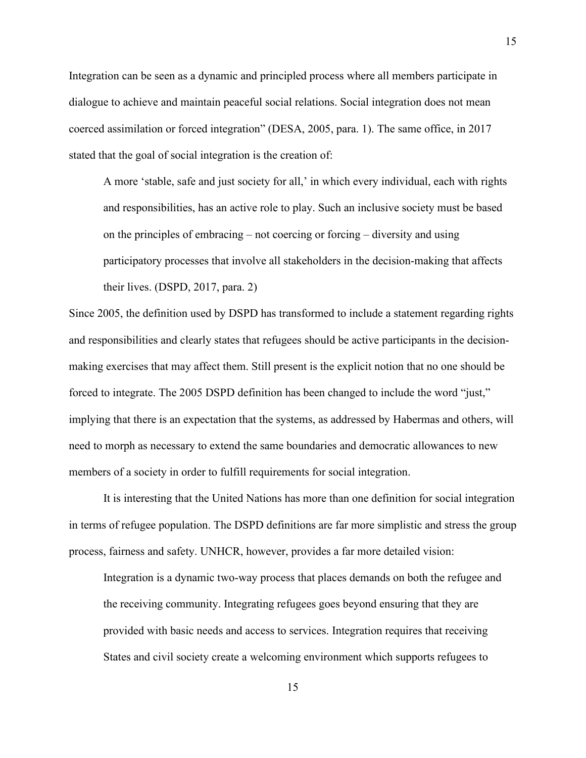Integration can be seen as a dynamic and principled process where all members participate in dialogue to achieve and maintain peaceful social relations. Social integration does not mean coerced assimilation or forced integration" (DESA, 2005, para. 1). The same office, in 2017 stated that the goal of social integration is the creation of:

A more 'stable, safe and just society for all,' in which every individual, each with rights and responsibilities, has an active role to play. Such an inclusive society must be based on the principles of embracing – not coercing or forcing – diversity and using participatory processes that involve all stakeholders in the decision-making that affects their lives. (DSPD, 2017, para. 2)

Since 2005, the definition used by DSPD has transformed to include a statement regarding rights and responsibilities and clearly states that refugees should be active participants in the decisionmaking exercises that may affect them. Still present is the explicit notion that no one should be forced to integrate. The 2005 DSPD definition has been changed to include the word "just," implying that there is an expectation that the systems, as addressed by Habermas and others, will need to morph as necessary to extend the same boundaries and democratic allowances to new members of a society in order to fulfill requirements for social integration.

It is interesting that the United Nations has more than one definition for social integration in terms of refugee population. The DSPD definitions are far more simplistic and stress the group process, fairness and safety. UNHCR, however, provides a far more detailed vision:

Integration is a dynamic two-way process that places demands on both the refugee and the receiving community. Integrating refugees goes beyond ensuring that they are provided with basic needs and access to services. Integration requires that receiving States and civil society create a welcoming environment which supports refugees to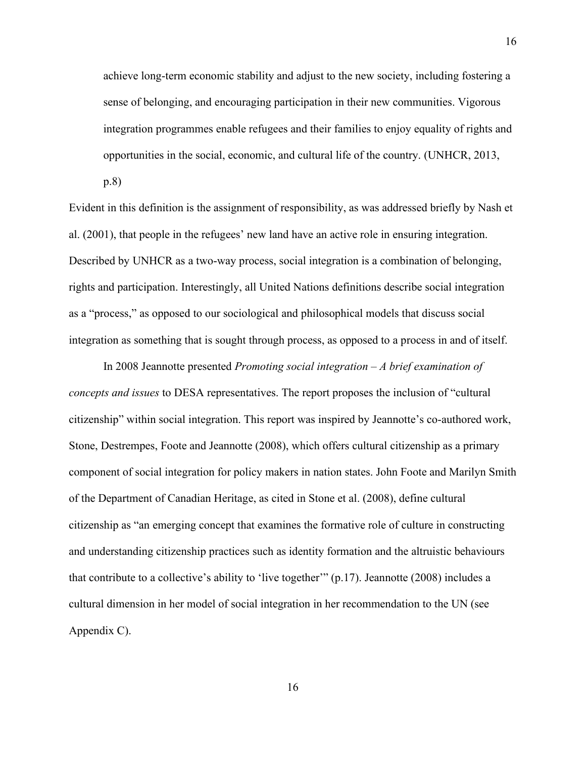achieve long-term economic stability and adjust to the new society, including fostering a sense of belonging, and encouraging participation in their new communities. Vigorous integration programmes enable refugees and their families to enjoy equality of rights and opportunities in the social, economic, and cultural life of the country. (UNHCR, 2013,

p.8)

Evident in this definition is the assignment of responsibility, as was addressed briefly by Nash et al. (2001), that people in the refugees' new land have an active role in ensuring integration. Described by UNHCR as a two-way process, social integration is a combination of belonging, rights and participation. Interestingly, all United Nations definitions describe social integration as a "process," as opposed to our sociological and philosophical models that discuss social integration as something that is sought through process, as opposed to a process in and of itself.

In 2008 Jeannotte presented *Promoting social integration – A brief examination of concepts and issues* to DESA representatives. The report proposes the inclusion of "cultural citizenship" within social integration. This report was inspired by Jeannotte's co-authored work, Stone, Destrempes, Foote and Jeannotte (2008), which offers cultural citizenship as a primary component of social integration for policy makers in nation states. John Foote and Marilyn Smith of the Department of Canadian Heritage, as cited in Stone et al. (2008), define cultural citizenship as "an emerging concept that examines the formative role of culture in constructing and understanding citizenship practices such as identity formation and the altruistic behaviours that contribute to a collective's ability to 'live together'" (p.17). Jeannotte (2008) includes a cultural dimension in her model of social integration in her recommendation to the UN (see Appendix C).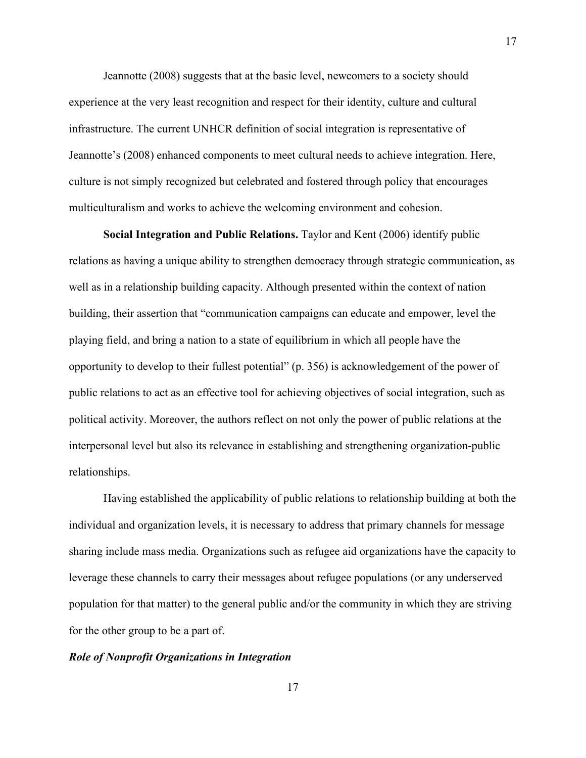Jeannotte (2008) suggests that at the basic level, newcomers to a society should experience at the very least recognition and respect for their identity, culture and cultural infrastructure. The current UNHCR definition of social integration is representative of Jeannotte's (2008) enhanced components to meet cultural needs to achieve integration. Here, culture is not simply recognized but celebrated and fostered through policy that encourages multiculturalism and works to achieve the welcoming environment and cohesion.

17

**Social Integration and Public Relations.** Taylor and Kent (2006) identify public relations as having a unique ability to strengthen democracy through strategic communication, as well as in a relationship building capacity. Although presented within the context of nation building, their assertion that "communication campaigns can educate and empower, level the playing field, and bring a nation to a state of equilibrium in which all people have the opportunity to develop to their fullest potential" (p. 356) is acknowledgement of the power of public relations to act as an effective tool for achieving objectives of social integration, such as political activity. Moreover, the authors reflect on not only the power of public relations at the interpersonal level but also its relevance in establishing and strengthening organization-public relationships.

Having established the applicability of public relations to relationship building at both the individual and organization levels, it is necessary to address that primary channels for message sharing include mass media. Organizations such as refugee aid organizations have the capacity to leverage these channels to carry their messages about refugee populations (or any underserved population for that matter) to the general public and/or the community in which they are striving for the other group to be a part of.

#### <span id="page-24-0"></span>*Role of Nonprofit Organizations in Integration*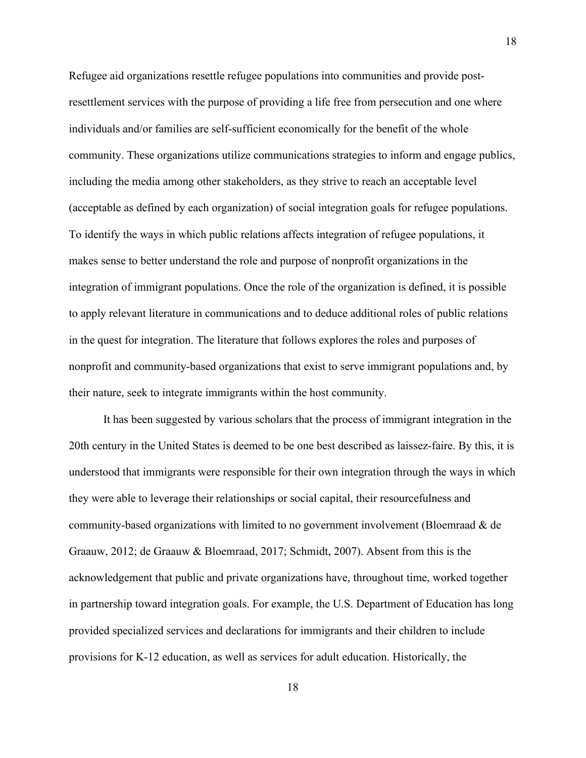Refugee aid organizations resettle refugee populations into communities and provide postresettlement services with the purpose of providing a life free from persecution and one where individuals and/or families are self-sufficient economically for the benefit of the whole community. These organizations utilize communications strategies to inform and engage publics, including the media among other stakeholders, as they strive to reach an acceptable level (acceptable as defined by each organization) of social integration goals for refugee populations. To identify the ways in which public relations affects integration of refugee populations, it makes sense to better understand the role and purpose of nonprofit organizations in the integration of immigrant populations. Once the role of the organization is defined, it is possible to apply relevant literature in communications and to deduce additional roles of public relations in the quest for integration. The literature that follows explores the roles and purposes of nonprofit and community-based organizations that exist to serve immigrant populations and, by their nature, seek to integrate immigrants within the host community.

It has been suggested by various scholars that the process of immigrant integration in the 20th century in the United States is deemed to be one best described as laissez-faire. By this, it is understood that immigrants were responsible for their own integration through the ways in which they were able to leverage their relationships or social capital, their resourcefulness and community-based organizations with limited to no government involvement (Bloemraad & de Graauw, 2012; de Graauw & Bloemraad, 2017; Schmidt, 2007). Absent from this is the acknowledgement that public and private organizations have, throughout time, worked together in partnership toward integration goals. For example, the U.S. Department of Education has long provided specialized services and declarations for immigrants and their children to include provisions for K-12 education, as well as services for adult education. Historically, the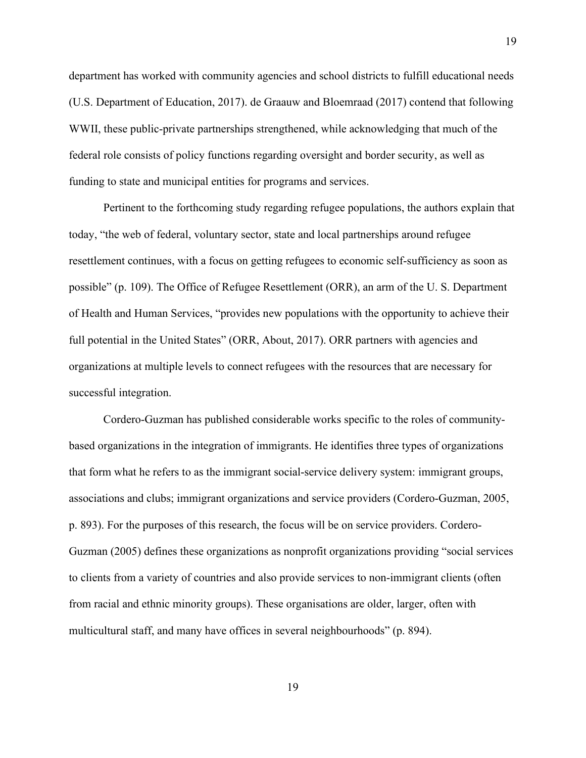department has worked with community agencies and school districts to fulfill educational needs (U.S. Department of Education, 2017). de Graauw and Bloemraad (2017) contend that following WWII, these public-private partnerships strengthened, while acknowledging that much of the federal role consists of policy functions regarding oversight and border security, as well as funding to state and municipal entities for programs and services.

Pertinent to the forthcoming study regarding refugee populations, the authors explain that today, "the web of federal, voluntary sector, state and local partnerships around refugee resettlement continues, with a focus on getting refugees to economic self-sufficiency as soon as possible" (p. 109). The Office of Refugee Resettlement (ORR), an arm of the U. S. Department of Health and Human Services, "provides new populations with the opportunity to achieve their full potential in the United States" (ORR, About, 2017). ORR partners with agencies and organizations at multiple levels to connect refugees with the resources that are necessary for successful integration.

Cordero-Guzman has published considerable works specific to the roles of communitybased organizations in the integration of immigrants. He identifies three types of organizations that form what he refers to as the immigrant social-service delivery system: immigrant groups, associations and clubs; immigrant organizations and service providers (Cordero-Guzman, 2005, p. 893). For the purposes of this research, the focus will be on service providers. Cordero-Guzman (2005) defines these organizations as nonprofit organizations providing "social services to clients from a variety of countries and also provide services to non-immigrant clients (often from racial and ethnic minority groups). These organisations are older, larger, often with multicultural staff, and many have offices in several neighbourhoods" (p. 894).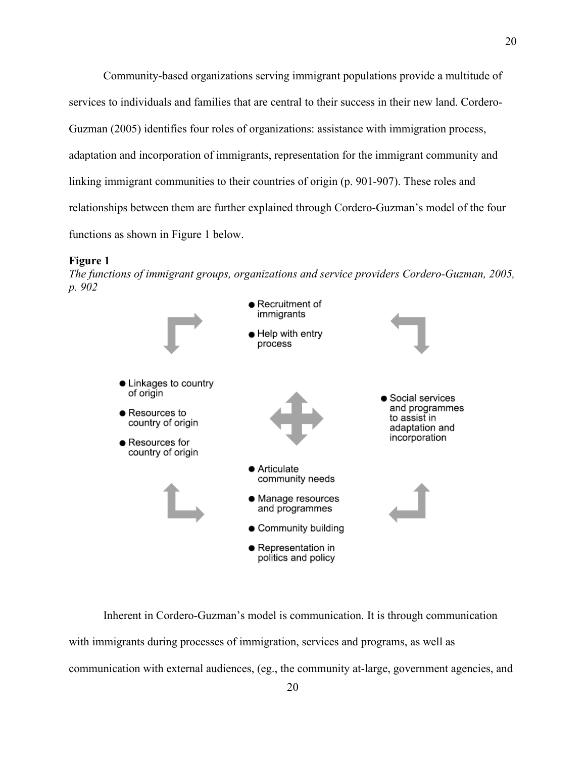Community-based organizations serving immigrant populations provide a multitude of services to individuals and families that are central to their success in their new land. Cordero-Guzman (2005) identifies four roles of organizations: assistance with immigration process, adaptation and incorporation of immigrants, representation for the immigrant community and linking immigrant communities to their countries of origin (p. 901-907). These roles and relationships between them are further explained through Cordero-Guzman's model of the four functions as shown in Figure 1 below.

#### **Figure 1**

*The functions of immigrant groups, organizations and service providers Cordero-Guzman, 2005, p. 902*



Inherent in Cordero-Guzman's model is communication. It is through communication with immigrants during processes of immigration, services and programs, as well as communication with external audiences, (eg., the community at-large, government agencies, and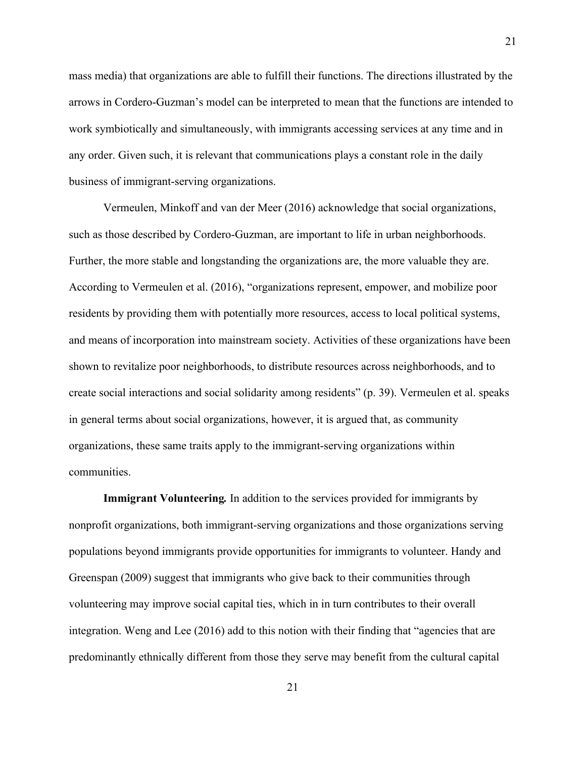mass media) that organizations are able to fulfill their functions. The directions illustrated by the arrows in Cordero-Guzman's model can be interpreted to mean that the functions are intended to work symbiotically and simultaneously, with immigrants accessing services at any time and in any order. Given such, it is relevant that communications plays a constant role in the daily business of immigrant-serving organizations.

Vermeulen, Minkoff and van der Meer (2016) acknowledge that social organizations, such as those described by Cordero-Guzman, are important to life in urban neighborhoods. Further, the more stable and longstanding the organizations are, the more valuable they are. According to Vermeulen et al. (2016), "organizations represent, empower, and mobilize poor residents by providing them with potentially more resources, access to local political systems, and means of incorporation into mainstream society. Activities of these organizations have been shown to revitalize poor neighborhoods, to distribute resources across neighborhoods, and to create social interactions and social solidarity among residents" (p. 39). Vermeulen et al. speaks in general terms about social organizations, however, it is argued that, as community organizations, these same traits apply to the immigrant-serving organizations within communities.

**Immigrant Volunteering***.* In addition to the services provided for immigrants by nonprofit organizations, both immigrant-serving organizations and those organizations serving populations beyond immigrants provide opportunities for immigrants to volunteer. Handy and Greenspan (2009) suggest that immigrants who give back to their communities through volunteering may improve social capital ties, which in in turn contributes to their overall integration. Weng and Lee (2016) add to this notion with their finding that "agencies that are predominantly ethnically different from those they serve may benefit from the cultural capital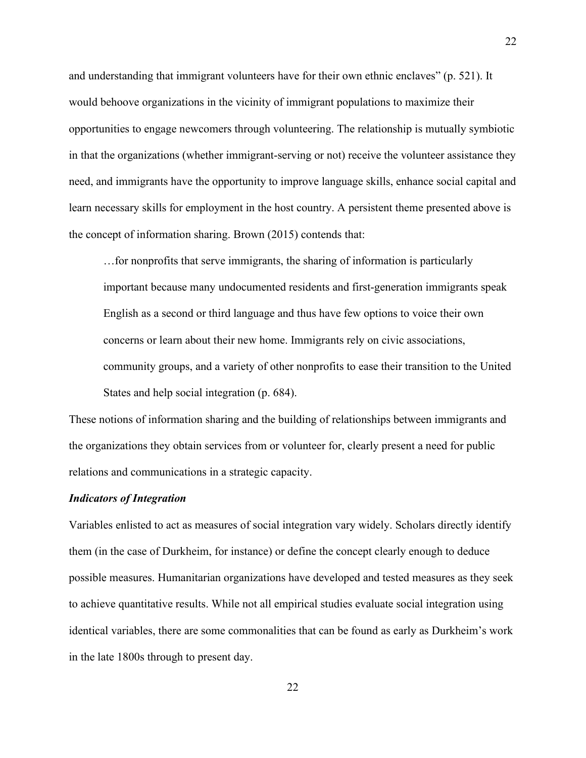and understanding that immigrant volunteers have for their own ethnic enclaves" (p. 521). It would behoove organizations in the vicinity of immigrant populations to maximize their opportunities to engage newcomers through volunteering. The relationship is mutually symbiotic in that the organizations (whether immigrant-serving or not) receive the volunteer assistance they need, and immigrants have the opportunity to improve language skills, enhance social capital and learn necessary skills for employment in the host country. A persistent theme presented above is the concept of information sharing. Brown (2015) contends that:

…for nonprofits that serve immigrants, the sharing of information is particularly important because many undocumented residents and first-generation immigrants speak English as a second or third language and thus have few options to voice their own concerns or learn about their new home. Immigrants rely on civic associations, community groups, and a variety of other nonprofits to ease their transition to the United States and help social integration (p. 684).

These notions of information sharing and the building of relationships between immigrants and the organizations they obtain services from or volunteer for, clearly present a need for public relations and communications in a strategic capacity.

# <span id="page-29-0"></span>*Indicators of Integration*

Variables enlisted to act as measures of social integration vary widely. Scholars directly identify them (in the case of Durkheim, for instance) or define the concept clearly enough to deduce possible measures. Humanitarian organizations have developed and tested measures as they seek to achieve quantitative results. While not all empirical studies evaluate social integration using identical variables, there are some commonalities that can be found as early as Durkheim's work in the late 1800s through to present day.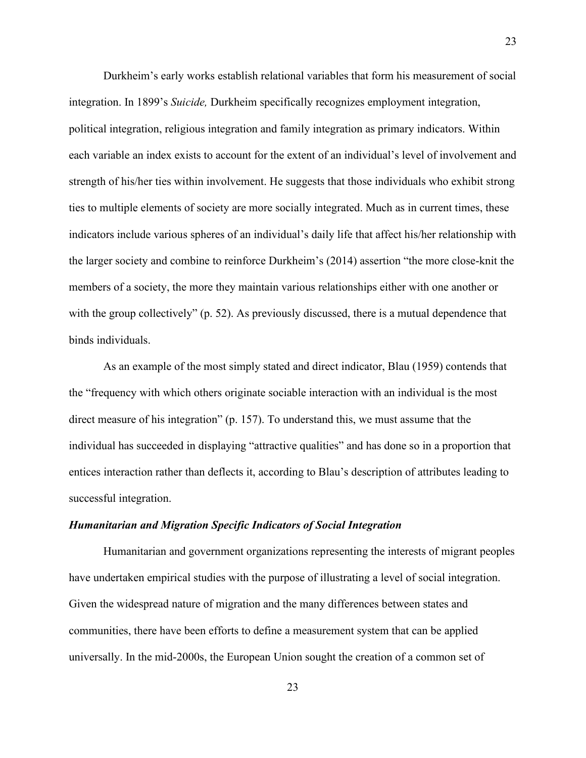Durkheim's early works establish relational variables that form his measurement of social integration. In 1899's *Suicide,* Durkheim specifically recognizes employment integration, political integration, religious integration and family integration as primary indicators. Within each variable an index exists to account for the extent of an individual's level of involvement and strength of his/her ties within involvement. He suggests that those individuals who exhibit strong ties to multiple elements of society are more socially integrated. Much as in current times, these indicators include various spheres of an individual's daily life that affect his/her relationship with the larger society and combine to reinforce Durkheim's (2014) assertion "the more close-knit the members of a society, the more they maintain various relationships either with one another or with the group collectively" (p. 52). As previously discussed, there is a mutual dependence that binds individuals.

As an example of the most simply stated and direct indicator, Blau (1959) contends that the "frequency with which others originate sociable interaction with an individual is the most direct measure of his integration" (p. 157). To understand this, we must assume that the individual has succeeded in displaying "attractive qualities" and has done so in a proportion that entices interaction rather than deflects it, according to Blau's description of attributes leading to successful integration.

#### *Humanitarian and Migration Specific Indicators of Social Integration*

Humanitarian and government organizations representing the interests of migrant peoples have undertaken empirical studies with the purpose of illustrating a level of social integration. Given the widespread nature of migration and the many differences between states and communities, there have been efforts to define a measurement system that can be applied universally. In the mid-2000s, the European Union sought the creation of a common set of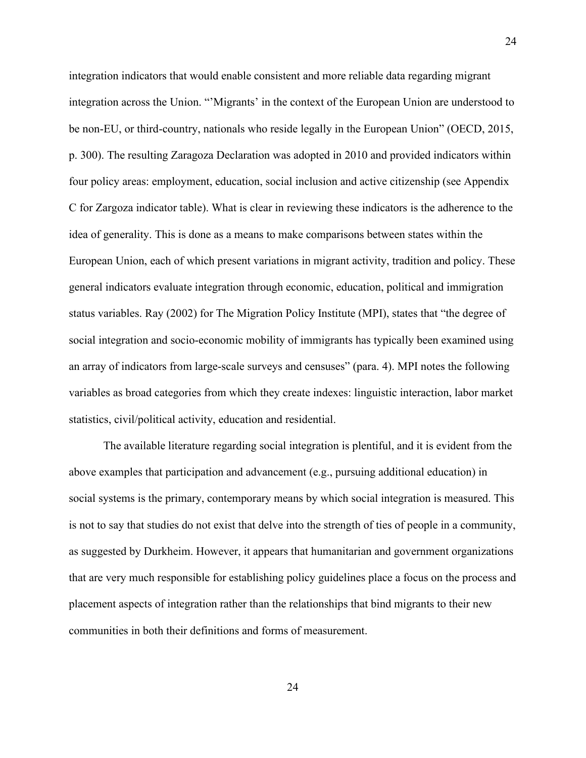integration indicators that would enable consistent and more reliable data regarding migrant integration across the Union. "'Migrants' in the context of the European Union are understood to be non-EU, or third-country, nationals who reside legally in the European Union" (OECD, 2015, p. 300). The resulting Zaragoza Declaration was adopted in 2010 and provided indicators within four policy areas: employment, education, social inclusion and active citizenship (see Appendix C for Zargoza indicator table). What is clear in reviewing these indicators is the adherence to the idea of generality. This is done as a means to make comparisons between states within the European Union, each of which present variations in migrant activity, tradition and policy. These general indicators evaluate integration through economic, education, political and immigration status variables. Ray (2002) for The Migration Policy Institute (MPI), states that "the degree of social integration and socio-economic mobility of immigrants has typically been examined using an array of indicators from large-scale surveys and censuses" (para. 4). MPI notes the following variables as broad categories from which they create indexes: linguistic interaction, labor market statistics, civil/political activity, education and residential.

The available literature regarding social integration is plentiful, and it is evident from the above examples that participation and advancement (e.g., pursuing additional education) in social systems is the primary, contemporary means by which social integration is measured. This is not to say that studies do not exist that delve into the strength of ties of people in a community, as suggested by Durkheim. However, it appears that humanitarian and government organizations that are very much responsible for establishing policy guidelines place a focus on the process and placement aspects of integration rather than the relationships that bind migrants to their new communities in both their definitions and forms of measurement.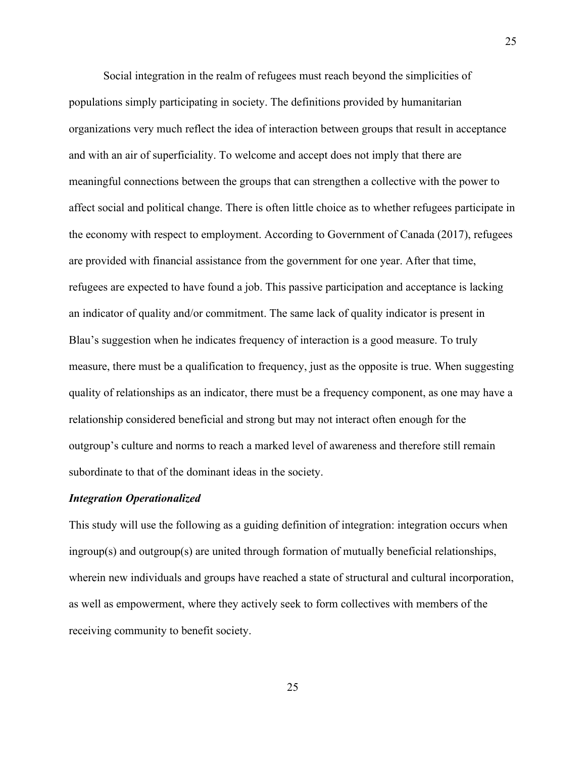Social integration in the realm of refugees must reach beyond the simplicities of populations simply participating in society. The definitions provided by humanitarian organizations very much reflect the idea of interaction between groups that result in acceptance and with an air of superficiality. To welcome and accept does not imply that there are meaningful connections between the groups that can strengthen a collective with the power to affect social and political change. There is often little choice as to whether refugees participate in the economy with respect to employment. According to Government of Canada (2017), refugees are provided with financial assistance from the government for one year. After that time, refugees are expected to have found a job. This passive participation and acceptance is lacking an indicator of quality and/or commitment. The same lack of quality indicator is present in Blau's suggestion when he indicates frequency of interaction is a good measure. To truly measure, there must be a qualification to frequency, just as the opposite is true. When suggesting quality of relationships as an indicator, there must be a frequency component, as one may have a relationship considered beneficial and strong but may not interact often enough for the outgroup's culture and norms to reach a marked level of awareness and therefore still remain subordinate to that of the dominant ideas in the society.

# *Integration Operationalized*

This study will use the following as a guiding definition of integration: integration occurs when ingroup(s) and outgroup(s) are united through formation of mutually beneficial relationships, wherein new individuals and groups have reached a state of structural and cultural incorporation, as well as empowerment, where they actively seek to form collectives with members of the receiving community to benefit society.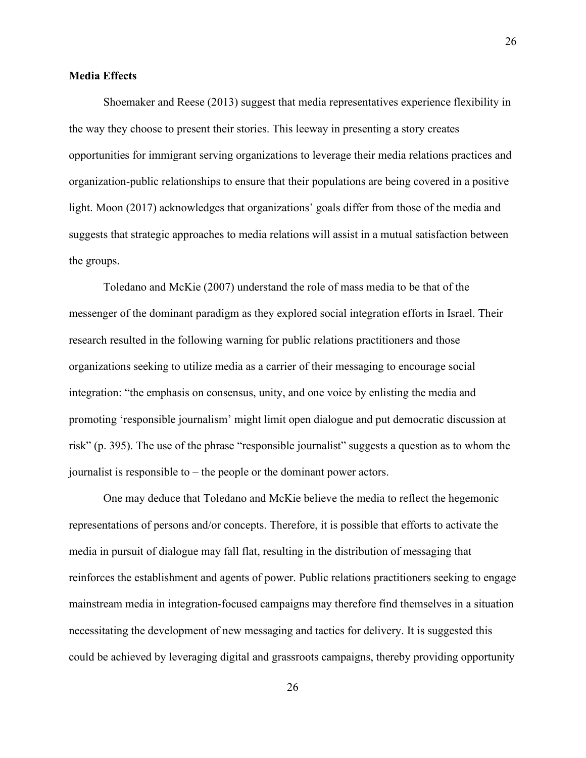## <span id="page-33-0"></span>**Media Effects**

Shoemaker and Reese (2013) suggest that media representatives experience flexibility in the way they choose to present their stories. This leeway in presenting a story creates opportunities for immigrant serving organizations to leverage their media relations practices and organization-public relationships to ensure that their populations are being covered in a positive light. Moon (2017) acknowledges that organizations' goals differ from those of the media and suggests that strategic approaches to media relations will assist in a mutual satisfaction between the groups.

Toledano and McKie (2007) understand the role of mass media to be that of the messenger of the dominant paradigm as they explored social integration efforts in Israel. Their research resulted in the following warning for public relations practitioners and those organizations seeking to utilize media as a carrier of their messaging to encourage social integration: "the emphasis on consensus, unity, and one voice by enlisting the media and promoting 'responsible journalism' might limit open dialogue and put democratic discussion at risk" (p. 395). The use of the phrase "responsible journalist" suggests a question as to whom the journalist is responsible to – the people or the dominant power actors.

One may deduce that Toledano and McKie believe the media to reflect the hegemonic representations of persons and/or concepts. Therefore, it is possible that efforts to activate the media in pursuit of dialogue may fall flat, resulting in the distribution of messaging that reinforces the establishment and agents of power. Public relations practitioners seeking to engage mainstream media in integration-focused campaigns may therefore find themselves in a situation necessitating the development of new messaging and tactics for delivery. It is suggested this could be achieved by leveraging digital and grassroots campaigns, thereby providing opportunity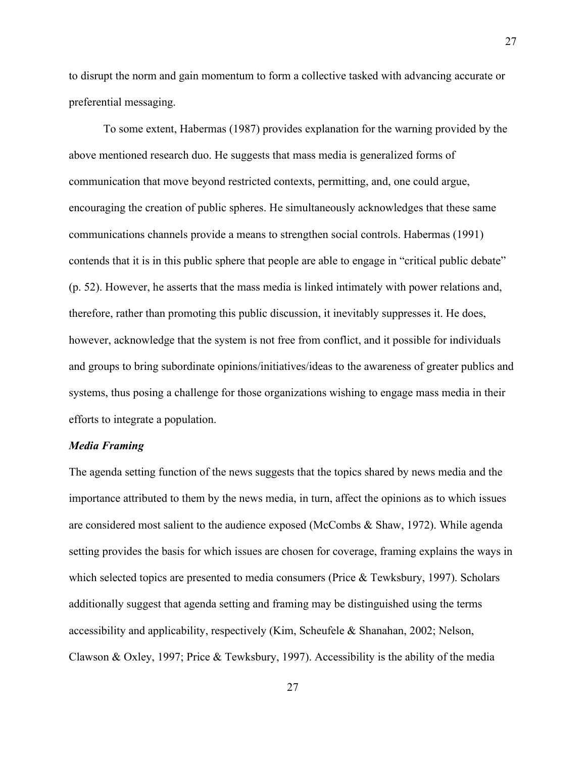to disrupt the norm and gain momentum to form a collective tasked with advancing accurate or preferential messaging.

To some extent, Habermas (1987) provides explanation for the warning provided by the above mentioned research duo. He suggests that mass media is generalized forms of communication that move beyond restricted contexts, permitting, and, one could argue, encouraging the creation of public spheres. He simultaneously acknowledges that these same communications channels provide a means to strengthen social controls. Habermas (1991) contends that it is in this public sphere that people are able to engage in "critical public debate" (p. 52). However, he asserts that the mass media is linked intimately with power relations and, therefore, rather than promoting this public discussion, it inevitably suppresses it. He does, however, acknowledge that the system is not free from conflict, and it possible for individuals and groups to bring subordinate opinions/initiatives/ideas to the awareness of greater publics and systems, thus posing a challenge for those organizations wishing to engage mass media in their efforts to integrate a population.

# <span id="page-34-0"></span>*Media Framing*

The agenda setting function of the news suggests that the topics shared by news media and the importance attributed to them by the news media, in turn, affect the opinions as to which issues are considered most salient to the audience exposed (McCombs & Shaw, 1972). While agenda setting provides the basis for which issues are chosen for coverage, framing explains the ways in which selected topics are presented to media consumers (Price & Tewksbury, 1997). Scholars additionally suggest that agenda setting and framing may be distinguished using the terms accessibility and applicability, respectively (Kim, Scheufele & Shanahan, 2002; Nelson, Clawson & Oxley, 1997; Price & Tewksbury, 1997). Accessibility is the ability of the media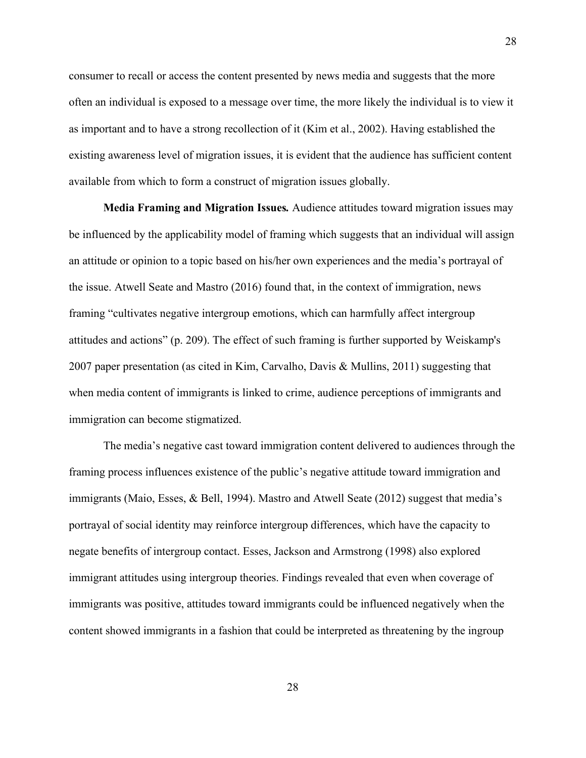consumer to recall or access the content presented by news media and suggests that the more often an individual is exposed to a message over time, the more likely the individual is to view it as important and to have a strong recollection of it (Kim et al., 2002). Having established the existing awareness level of migration issues, it is evident that the audience has sufficient content available from which to form a construct of migration issues globally.

**Media Framing and Migration Issues***.* Audience attitudes toward migration issues may be influenced by the applicability model of framing which suggests that an individual will assign an attitude or opinion to a topic based on his/her own experiences and the media's portrayal of the issue. Atwell Seate and Mastro (2016) found that, in the context of immigration, news framing "cultivates negative intergroup emotions, which can harmfully affect intergroup attitudes and actions" (p. 209). The effect of such framing is further supported by Weiskamp's 2007 paper presentation (as cited in Kim, Carvalho, Davis & Mullins, 2011) suggesting that when media content of immigrants is linked to crime, audience perceptions of immigrants and immigration can become stigmatized.

The media's negative cast toward immigration content delivered to audiences through the framing process influences existence of the public's negative attitude toward immigration and immigrants (Maio, Esses, & Bell, 1994). Mastro and Atwell Seate (2012) suggest that media's portrayal of social identity may reinforce intergroup differences, which have the capacity to negate benefits of intergroup contact. Esses, Jackson and Armstrong (1998) also explored immigrant attitudes using intergroup theories. Findings revealed that even when coverage of immigrants was positive, attitudes toward immigrants could be influenced negatively when the content showed immigrants in a fashion that could be interpreted as threatening by the ingroup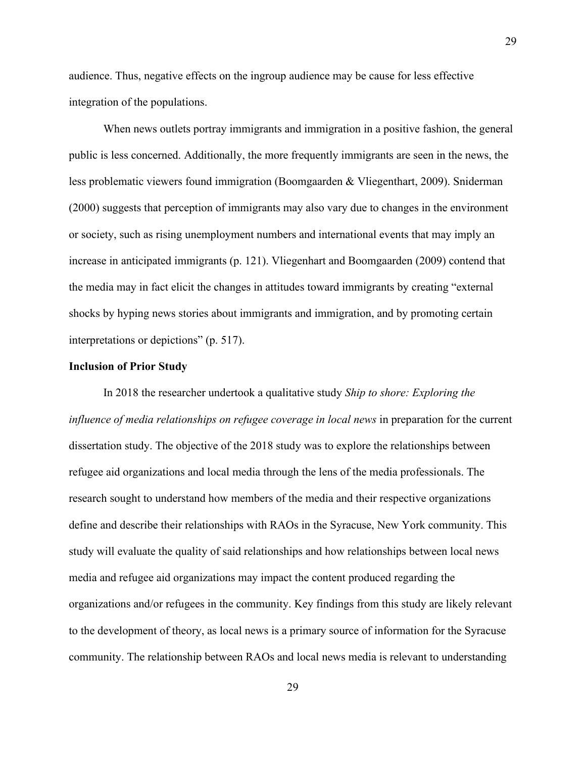audience. Thus, negative effects on the ingroup audience may be cause for less effective integration of the populations.

When news outlets portray immigrants and immigration in a positive fashion, the general public is less concerned. Additionally, the more frequently immigrants are seen in the news, the less problematic viewers found immigration (Boomgaarden & Vliegenthart, 2009). Sniderman (2000) suggests that perception of immigrants may also vary due to changes in the environment or society, such as rising unemployment numbers and international events that may imply an increase in anticipated immigrants (p. 121). Vliegenhart and Boomgaarden (2009) contend that the media may in fact elicit the changes in attitudes toward immigrants by creating "external shocks by hyping news stories about immigrants and immigration, and by promoting certain interpretations or depictions" (p. 517).

## **Inclusion of Prior Study**

In 2018 the researcher undertook a qualitative study *Ship to shore: Exploring the influence of media relationships on refugee coverage in local news* in preparation for the current dissertation study. The objective of the 2018 study was to explore the relationships between refugee aid organizations and local media through the lens of the media professionals. The research sought to understand how members of the media and their respective organizations define and describe their relationships with RAOs in the Syracuse, New York community. This study will evaluate the quality of said relationships and how relationships between local news media and refugee aid organizations may impact the content produced regarding the organizations and/or refugees in the community. Key findings from this study are likely relevant to the development of theory, as local news is a primary source of information for the Syracuse community. The relationship between RAOs and local news media is relevant to understanding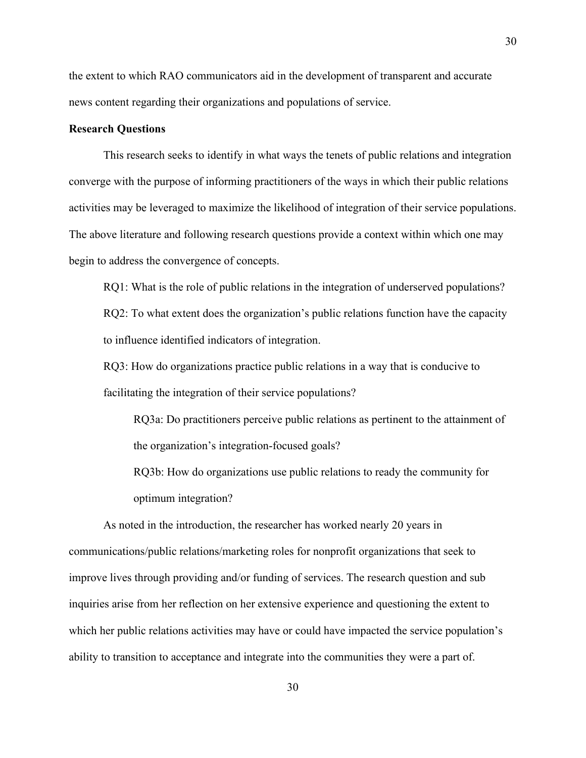the extent to which RAO communicators aid in the development of transparent and accurate news content regarding their organizations and populations of service.

## **Research Questions**

This research seeks to identify in what ways the tenets of public relations and integration converge with the purpose of informing practitioners of the ways in which their public relations activities may be leveraged to maximize the likelihood of integration of their service populations. The above literature and following research questions provide a context within which one may begin to address the convergence of concepts.

RQ1: What is the role of public relations in the integration of underserved populations? RQ2: To what extent does the organization's public relations function have the capacity to influence identified indicators of integration.

RQ3: How do organizations practice public relations in a way that is conducive to facilitating the integration of their service populations?

RQ3a: Do practitioners perceive public relations as pertinent to the attainment of the organization's integration-focused goals?

RQ3b: How do organizations use public relations to ready the community for optimum integration?

As noted in the introduction, the researcher has worked nearly 20 years in communications/public relations/marketing roles for nonprofit organizations that seek to improve lives through providing and/or funding of services. The research question and sub inquiries arise from her reflection on her extensive experience and questioning the extent to which her public relations activities may have or could have impacted the service population's ability to transition to acceptance and integrate into the communities they were a part of.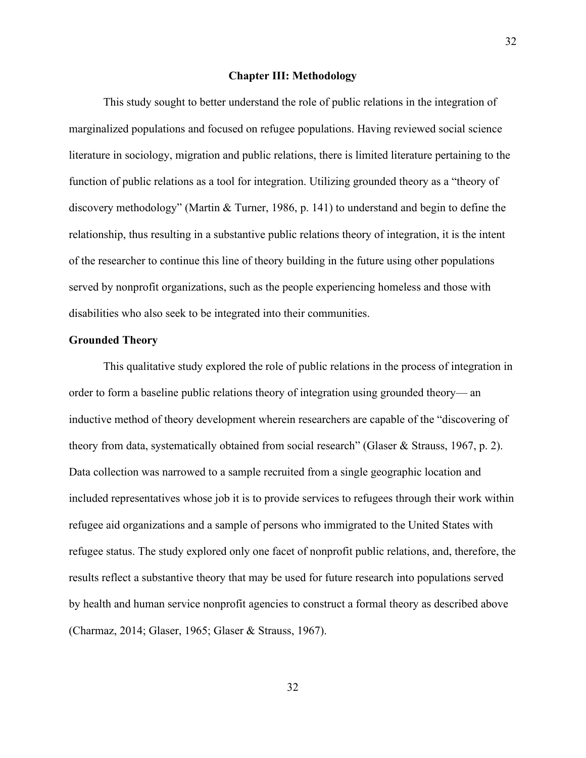#### **Chapter III: Methodology**

This study sought to better understand the role of public relations in the integration of marginalized populations and focused on refugee populations. Having reviewed social science literature in sociology, migration and public relations, there is limited literature pertaining to the function of public relations as a tool for integration. Utilizing grounded theory as a "theory of discovery methodology" (Martin & Turner, 1986, p. 141) to understand and begin to define the relationship, thus resulting in a substantive public relations theory of integration, it is the intent of the researcher to continue this line of theory building in the future using other populations served by nonprofit organizations, such as the people experiencing homeless and those with disabilities who also seek to be integrated into their communities.

## **Grounded Theory**

This qualitative study explored the role of public relations in the process of integration in order to form a baseline public relations theory of integration using grounded theory— an inductive method of theory development wherein researchers are capable of the "discovering of theory from data, systematically obtained from social research" (Glaser & Strauss, 1967, p. 2). Data collection was narrowed to a sample recruited from a single geographic location and included representatives whose job it is to provide services to refugees through their work within refugee aid organizations and a sample of persons who immigrated to the United States with refugee status. The study explored only one facet of nonprofit public relations, and, therefore, the results reflect a substantive theory that may be used for future research into populations served by health and human service nonprofit agencies to construct a formal theory as described above (Charmaz, 2014; Glaser, 1965; Glaser & Strauss, 1967).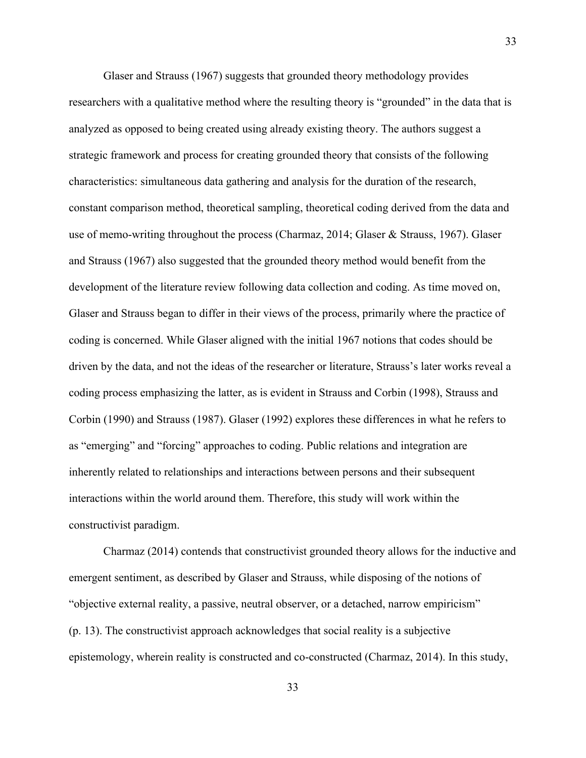Glaser and Strauss (1967) suggests that grounded theory methodology provides researchers with a qualitative method where the resulting theory is "grounded" in the data that is analyzed as opposed to being created using already existing theory. The authors suggest a strategic framework and process for creating grounded theory that consists of the following characteristics: simultaneous data gathering and analysis for the duration of the research, constant comparison method, theoretical sampling, theoretical coding derived from the data and use of memo-writing throughout the process (Charmaz, 2014; Glaser & Strauss, 1967). Glaser and Strauss (1967) also suggested that the grounded theory method would benefit from the development of the literature review following data collection and coding. As time moved on, Glaser and Strauss began to differ in their views of the process, primarily where the practice of coding is concerned. While Glaser aligned with the initial 1967 notions that codes should be driven by the data, and not the ideas of the researcher or literature, Strauss's later works reveal a coding process emphasizing the latter, as is evident in Strauss and Corbin (1998), Strauss and Corbin (1990) and Strauss (1987). Glaser (1992) explores these differences in what he refers to as "emerging" and "forcing" approaches to coding. Public relations and integration are inherently related to relationships and interactions between persons and their subsequent interactions within the world around them. Therefore, this study will work within the constructivist paradigm.

Charmaz (2014) contends that constructivist grounded theory allows for the inductive and emergent sentiment, as described by Glaser and Strauss, while disposing of the notions of "objective external reality, a passive, neutral observer, or a detached, narrow empiricism" (p. 13). The constructivist approach acknowledges that social reality is a subjective epistemology, wherein reality is constructed and co-constructed (Charmaz, 2014). In this study,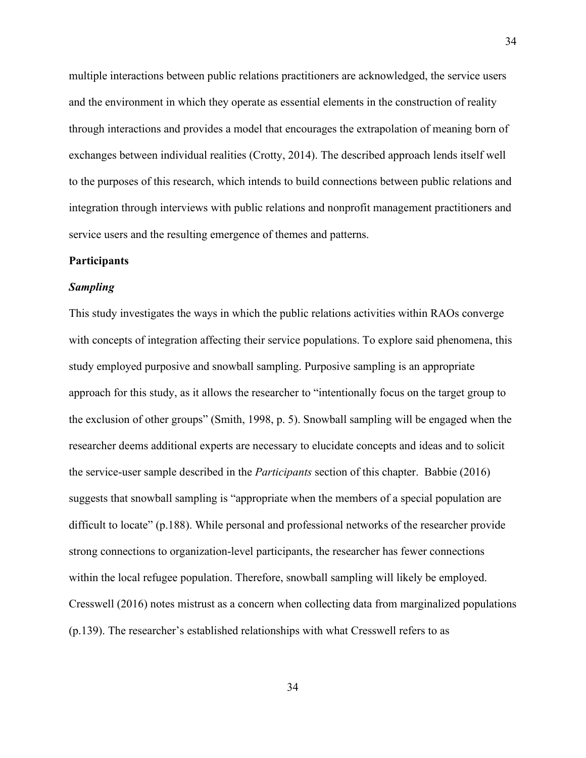multiple interactions between public relations practitioners are acknowledged, the service users and the environment in which they operate as essential elements in the construction of reality through interactions and provides a model that encourages the extrapolation of meaning born of exchanges between individual realities (Crotty, 2014). The described approach lends itself well to the purposes of this research, which intends to build connections between public relations and integration through interviews with public relations and nonprofit management practitioners and service users and the resulting emergence of themes and patterns.

#### **Participants**

#### *Sampling*

This study investigates the ways in which the public relations activities within RAOs converge with concepts of integration affecting their service populations. To explore said phenomena, this study employed purposive and snowball sampling. Purposive sampling is an appropriate approach for this study, as it allows the researcher to "intentionally focus on the target group to the exclusion of other groups" (Smith, 1998, p. 5). Snowball sampling will be engaged when the researcher deems additional experts are necessary to elucidate concepts and ideas and to solicit the service-user sample described in the *Participants* section of this chapter. Babbie (2016) suggests that snowball sampling is "appropriate when the members of a special population are difficult to locate" (p.188). While personal and professional networks of the researcher provide strong connections to organization-level participants, the researcher has fewer connections within the local refugee population. Therefore, snowball sampling will likely be employed. Cresswell (2016) notes mistrust as a concern when collecting data from marginalized populations (p.139). The researcher's established relationships with what Cresswell refers to as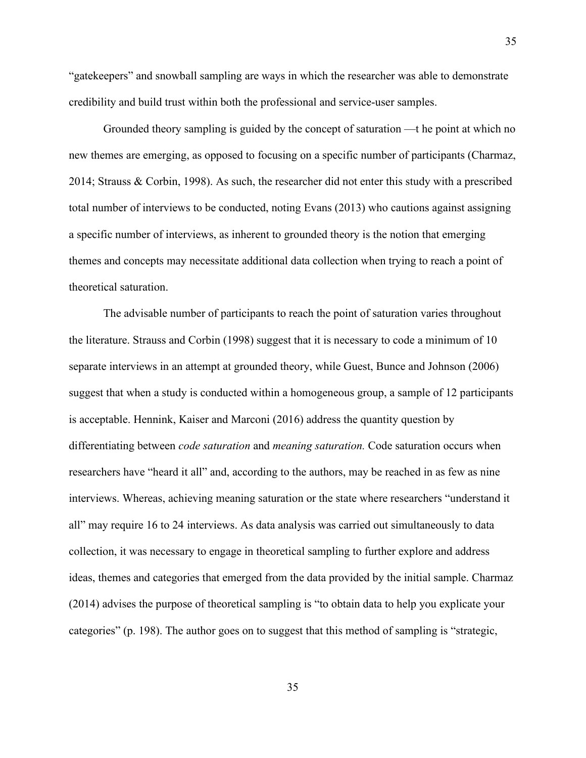"gatekeepers" and snowball sampling are ways in which the researcher was able to demonstrate credibility and build trust within both the professional and service-user samples.

35

Grounded theory sampling is guided by the concept of saturation —t he point at which no new themes are emerging, as opposed to focusing on a specific number of participants (Charmaz, 2014; Strauss & Corbin, 1998). As such, the researcher did not enter this study with a prescribed total number of interviews to be conducted, noting Evans (2013) who cautions against assigning a specific number of interviews, as inherent to grounded theory is the notion that emerging themes and concepts may necessitate additional data collection when trying to reach a point of theoretical saturation.

The advisable number of participants to reach the point of saturation varies throughout the literature. Strauss and Corbin (1998) suggest that it is necessary to code a minimum of 10 separate interviews in an attempt at grounded theory, while Guest, Bunce and Johnson (2006) suggest that when a study is conducted within a homogeneous group, a sample of 12 participants is acceptable. Hennink, Kaiser and Marconi (2016) address the quantity question by differentiating between *code saturation* and *meaning saturation.* Code saturation occurs when researchers have "heard it all" and, according to the authors, may be reached in as few as nine interviews. Whereas, achieving meaning saturation or the state where researchers "understand it all" may require 16 to 24 interviews. As data analysis was carried out simultaneously to data collection, it was necessary to engage in theoretical sampling to further explore and address ideas, themes and categories that emerged from the data provided by the initial sample. Charmaz (2014) advises the purpose of theoretical sampling is "to obtain data to help you explicate your categories" (p. 198). The author goes on to suggest that this method of sampling is "strategic,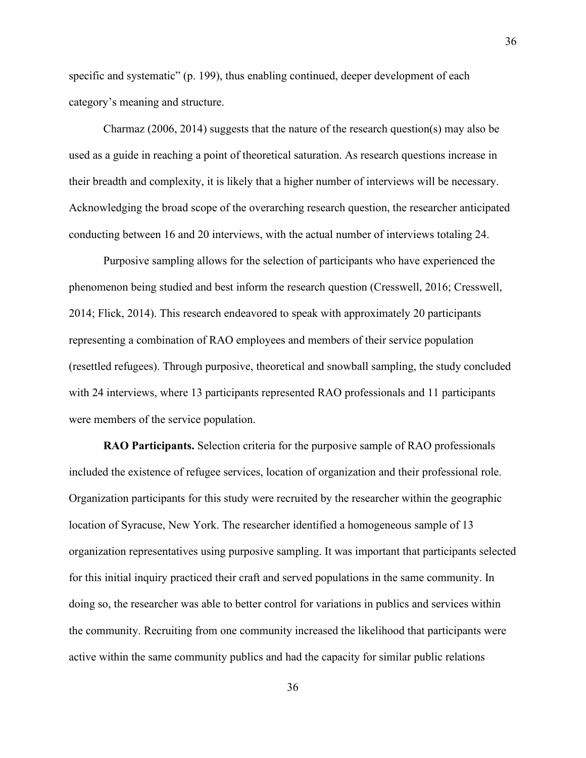specific and systematic" (p. 199), thus enabling continued, deeper development of each category's meaning and structure.

Charmaz (2006, 2014) suggests that the nature of the research question(s) may also be used as a guide in reaching a point of theoretical saturation. As research questions increase in their breadth and complexity, it is likely that a higher number of interviews will be necessary. Acknowledging the broad scope of the overarching research question, the researcher anticipated conducting between 16 and 20 interviews, with the actual number of interviews totaling 24.

Purposive sampling allows for the selection of participants who have experienced the phenomenon being studied and best inform the research question (Cresswell, 2016; Cresswell, 2014; Flick, 2014). This research endeavored to speak with approximately 20 participants representing a combination of RAO employees and members of their service population (resettled refugees). Through purposive, theoretical and snowball sampling, the study concluded with 24 interviews, where 13 participants represented RAO professionals and 11 participants were members of the service population.

**RAO Participants.** Selection criteria for the purposive sample of RAO professionals included the existence of refugee services, location of organization and their professional role. Organization participants for this study were recruited by the researcher within the geographic location of Syracuse, New York. The researcher identified a homogeneous sample of 13 organization representatives using purposive sampling. It was important that participants selected for this initial inquiry practiced their craft and served populations in the same community. In doing so, the researcher was able to better control for variations in publics and services within the community. Recruiting from one community increased the likelihood that participants were active within the same community publics and had the capacity for similar public relations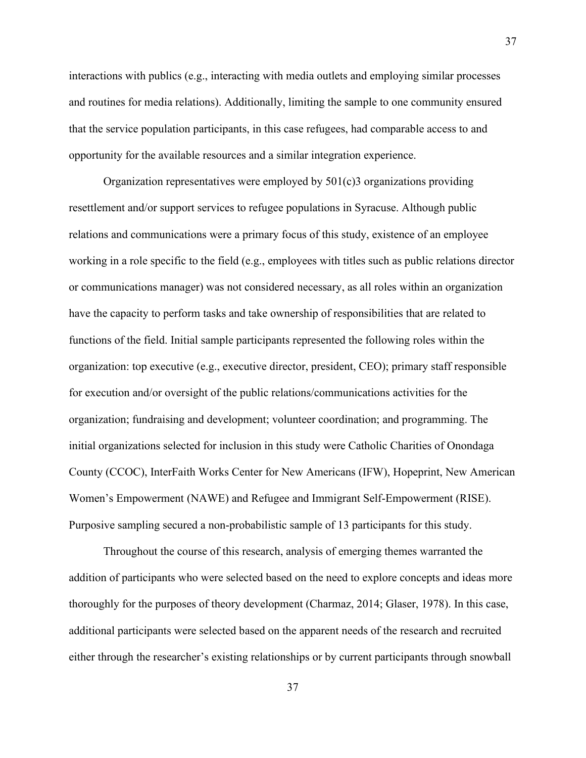interactions with publics (e.g., interacting with media outlets and employing similar processes and routines for media relations). Additionally, limiting the sample to one community ensured that the service population participants, in this case refugees, had comparable access to and opportunity for the available resources and a similar integration experience.

Organization representatives were employed by  $501(c)3$  organizations providing resettlement and/or support services to refugee populations in Syracuse. Although public relations and communications were a primary focus of this study, existence of an employee working in a role specific to the field (e.g., employees with titles such as public relations director or communications manager) was not considered necessary, as all roles within an organization have the capacity to perform tasks and take ownership of responsibilities that are related to functions of the field. Initial sample participants represented the following roles within the organization: top executive (e.g., executive director, president, CEO); primary staff responsible for execution and/or oversight of the public relations/communications activities for the organization; fundraising and development; volunteer coordination; and programming. The initial organizations selected for inclusion in this study were Catholic Charities of Onondaga County (CCOC), InterFaith Works Center for New Americans (IFW), Hopeprint, New American Women's Empowerment (NAWE) and Refugee and Immigrant Self-Empowerment (RISE). Purposive sampling secured a non-probabilistic sample of 13 participants for this study.

Throughout the course of this research, analysis of emerging themes warranted the addition of participants who were selected based on the need to explore concepts and ideas more thoroughly for the purposes of theory development (Charmaz, 2014; Glaser, 1978). In this case, additional participants were selected based on the apparent needs of the research and recruited either through the researcher's existing relationships or by current participants through snowball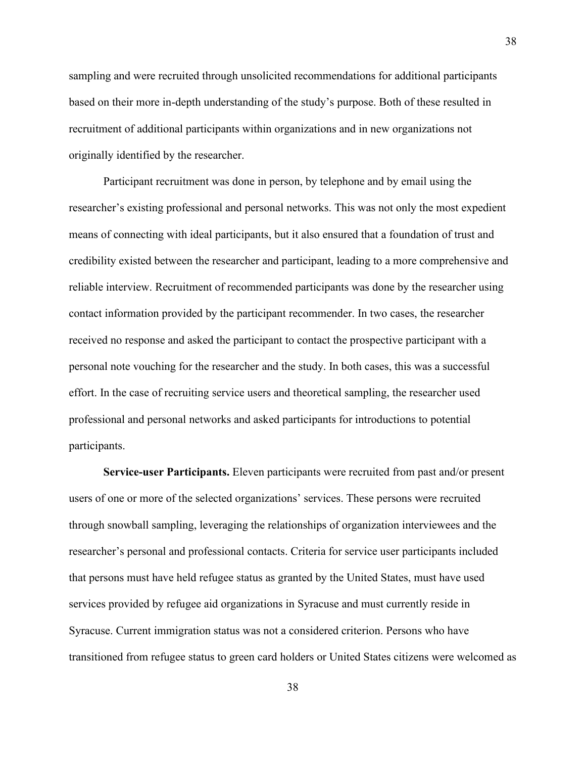sampling and were recruited through unsolicited recommendations for additional participants based on their more in-depth understanding of the study's purpose. Both of these resulted in recruitment of additional participants within organizations and in new organizations not originally identified by the researcher.

Participant recruitment was done in person, by telephone and by email using the researcher's existing professional and personal networks. This was not only the most expedient means of connecting with ideal participants, but it also ensured that a foundation of trust and credibility existed between the researcher and participant, leading to a more comprehensive and reliable interview. Recruitment of recommended participants was done by the researcher using contact information provided by the participant recommender. In two cases, the researcher received no response and asked the participant to contact the prospective participant with a personal note vouching for the researcher and the study. In both cases, this was a successful effort. In the case of recruiting service users and theoretical sampling, the researcher used professional and personal networks and asked participants for introductions to potential participants.

**Service-user Participants.** Eleven participants were recruited from past and/or present users of one or more of the selected organizations' services. These persons were recruited through snowball sampling, leveraging the relationships of organization interviewees and the researcher's personal and professional contacts. Criteria for service user participants included that persons must have held refugee status as granted by the United States, must have used services provided by refugee aid organizations in Syracuse and must currently reside in Syracuse. Current immigration status was not a considered criterion. Persons who have transitioned from refugee status to green card holders or United States citizens were welcomed as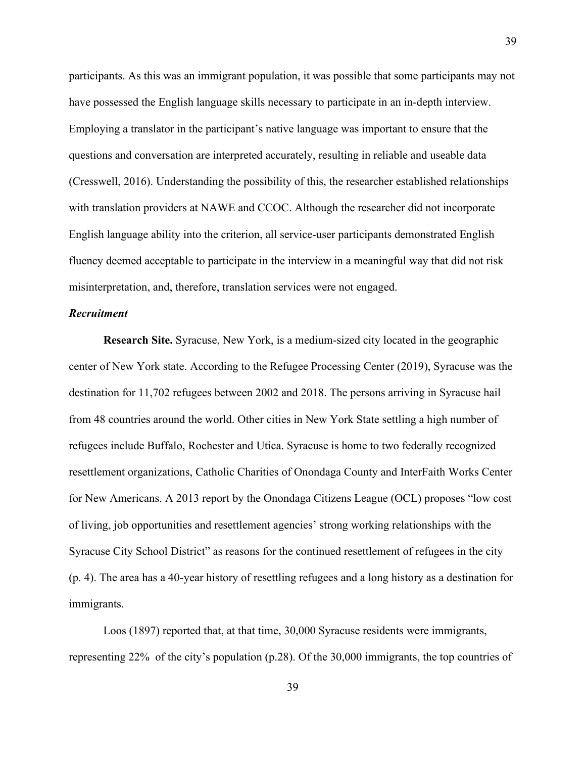participants. As this was an immigrant population, it was possible that some participants may not have possessed the English language skills necessary to participate in an in-depth interview. Employing a translator in the participant's native language was important to ensure that the questions and conversation are interpreted accurately, resulting in reliable and useable data (Cresswell, 2016). Understanding the possibility of this, the researcher established relationships with translation providers at NAWE and CCOC. Although the researcher did not incorporate English language ability into the criterion, all service-user participants demonstrated English fluency deemed acceptable to participate in the interview in a meaningful way that did not risk misinterpretation, and, therefore, translation services were not engaged.

## *Recruitment*

**Research Site.** Syracuse, New York, is a medium-sized city located in the geographic center of New York state. According to the Refugee Processing Center (2019), Syracuse was the destination for 11,702 refugees between 2002 and 2018. The persons arriving in Syracuse hail from 48 countries around the world. Other cities in New York State settling a high number of refugees include Buffalo, Rochester and Utica. Syracuse is home to two federally recognized resettlement organizations, Catholic Charities of Onondaga County and InterFaith Works Center for New Americans. A 2013 report by the Onondaga Citizens League (OCL) proposes "low cost of living, job opportunities and resettlement agencies' strong working relationships with the Syracuse City School District" as reasons for the continued resettlement of refugees in the city (p. 4). The area has a 40-year history of resettling refugees and a long history as a destination for immigrants.

Loos (1897) reported that, at that time, 30,000 Syracuse residents were immigrants, representing 22% of the city's population (p.28). Of the 30,000 immigrants, the top countries of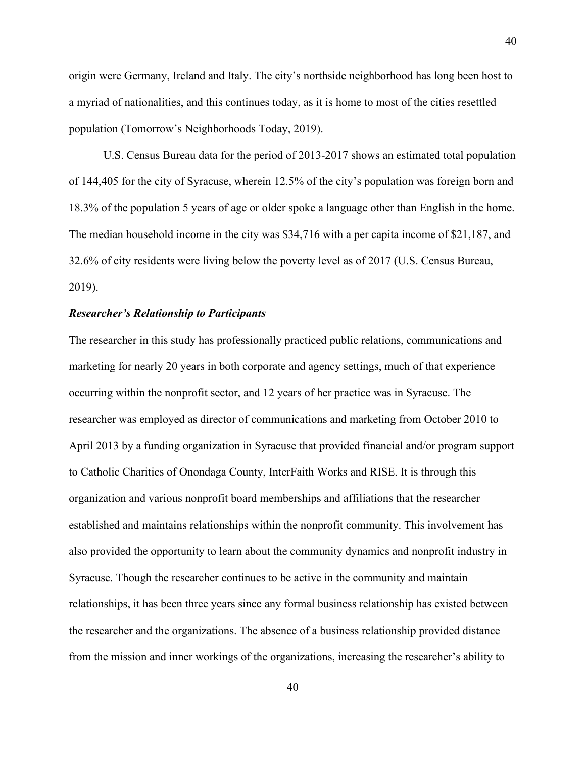origin were Germany, Ireland and Italy. The city's northside neighborhood has long been host to a myriad of nationalities, and this continues today, as it is home to most of the cities resettled population (Tomorrow's Neighborhoods Today, 2019).

U.S. Census Bureau data for the period of 2013-2017 shows an estimated total population of 144,405 for the city of Syracuse, wherein 12.5% of the city's population was foreign born and 18.3% of the population 5 years of age or older spoke a language other than English in the home. The median household income in the city was \$34,716 with a per capita income of \$21,187, and 32.6% of city residents were living below the poverty level as of 2017 (U.S. Census Bureau, 2019).

#### *Researcher's Relationship to Participants*

The researcher in this study has professionally practiced public relations, communications and marketing for nearly 20 years in both corporate and agency settings, much of that experience occurring within the nonprofit sector, and 12 years of her practice was in Syracuse. The researcher was employed as director of communications and marketing from October 2010 to April 2013 by a funding organization in Syracuse that provided financial and/or program support to Catholic Charities of Onondaga County, InterFaith Works and RISE. It is through this organization and various nonprofit board memberships and affiliations that the researcher established and maintains relationships within the nonprofit community. This involvement has also provided the opportunity to learn about the community dynamics and nonprofit industry in Syracuse. Though the researcher continues to be active in the community and maintain relationships, it has been three years since any formal business relationship has existed between the researcher and the organizations. The absence of a business relationship provided distance from the mission and inner workings of the organizations, increasing the researcher's ability to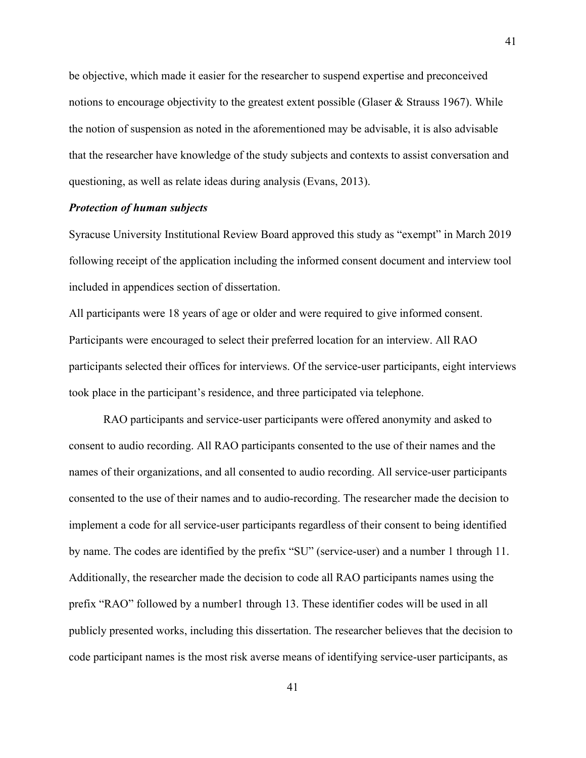be objective, which made it easier for the researcher to suspend expertise and preconceived notions to encourage objectivity to the greatest extent possible (Glaser  $\&$  Strauss 1967). While the notion of suspension as noted in the aforementioned may be advisable, it is also advisable that the researcher have knowledge of the study subjects and contexts to assist conversation and questioning, as well as relate ideas during analysis (Evans, 2013).

## *Protection of human subjects*

Syracuse University Institutional Review Board approved this study as "exempt" in March 2019 following receipt of the application including the informed consent document and interview tool included in appendices section of dissertation.

All participants were 18 years of age or older and were required to give informed consent. Participants were encouraged to select their preferred location for an interview. All RAO participants selected their offices for interviews. Of the service-user participants, eight interviews took place in the participant's residence, and three participated via telephone.

RAO participants and service-user participants were offered anonymity and asked to consent to audio recording. All RAO participants consented to the use of their names and the names of their organizations, and all consented to audio recording. All service-user participants consented to the use of their names and to audio-recording. The researcher made the decision to implement a code for all service-user participants regardless of their consent to being identified by name. The codes are identified by the prefix "SU" (service-user) and a number 1 through 11. Additionally, the researcher made the decision to code all RAO participants names using the prefix "RAO" followed by a number1 through 13. These identifier codes will be used in all publicly presented works, including this dissertation. The researcher believes that the decision to code participant names is the most risk averse means of identifying service-user participants, as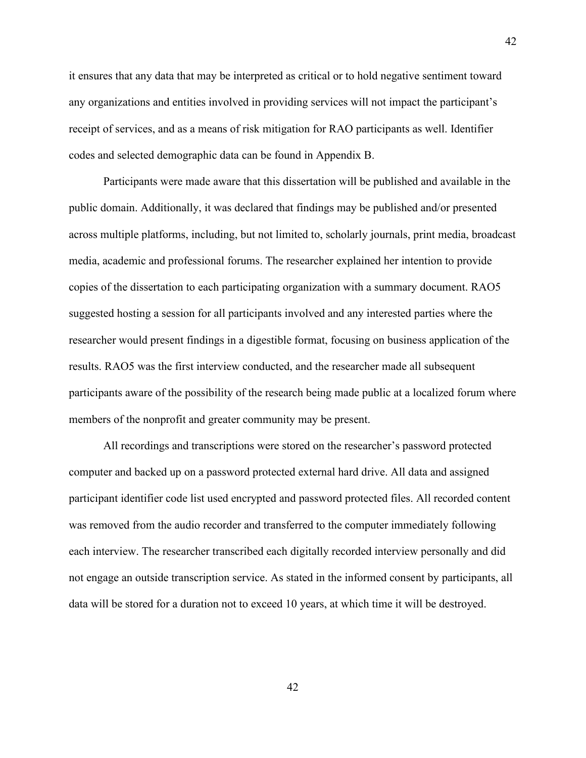it ensures that any data that may be interpreted as critical or to hold negative sentiment toward any organizations and entities involved in providing services will not impact the participant's receipt of services, and as a means of risk mitigation for RAO participants as well. Identifier codes and selected demographic data can be found in Appendix B.

42

Participants were made aware that this dissertation will be published and available in the public domain. Additionally, it was declared that findings may be published and/or presented across multiple platforms, including, but not limited to, scholarly journals, print media, broadcast media, academic and professional forums. The researcher explained her intention to provide copies of the dissertation to each participating organization with a summary document. RAO5 suggested hosting a session for all participants involved and any interested parties where the researcher would present findings in a digestible format, focusing on business application of the results. RAO5 was the first interview conducted, and the researcher made all subsequent participants aware of the possibility of the research being made public at a localized forum where members of the nonprofit and greater community may be present.

All recordings and transcriptions were stored on the researcher's password protected computer and backed up on a password protected external hard drive. All data and assigned participant identifier code list used encrypted and password protected files. All recorded content was removed from the audio recorder and transferred to the computer immediately following each interview. The researcher transcribed each digitally recorded interview personally and did not engage an outside transcription service. As stated in the informed consent by participants, all data will be stored for a duration not to exceed 10 years, at which time it will be destroyed.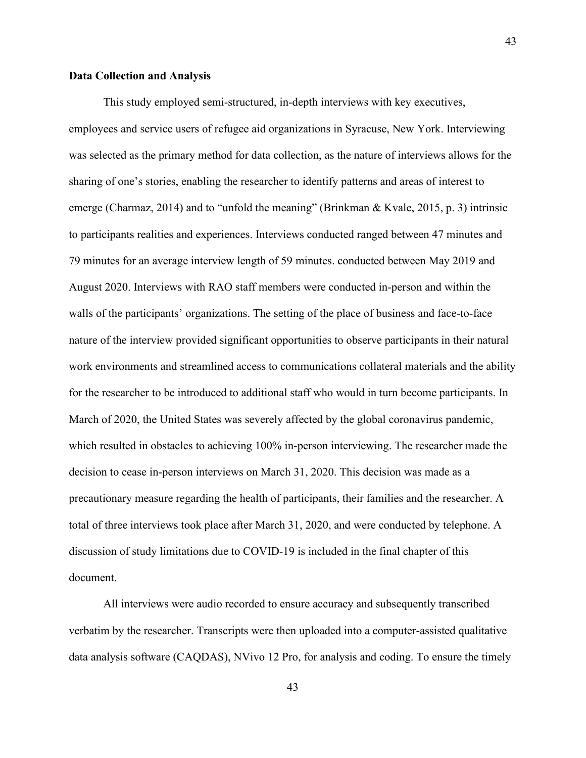#### **Data Collection and Analysis**

This study employed semi-structured, in-depth interviews with key executives, employees and service users of refugee aid organizations in Syracuse, New York. Interviewing was selected as the primary method for data collection, as the nature of interviews allows for the sharing of one's stories, enabling the researcher to identify patterns and areas of interest to emerge (Charmaz, 2014) and to "unfold the meaning" (Brinkman & Kvale, 2015, p. 3) intrinsic to participants realities and experiences. Interviews conducted ranged between 47 minutes and 79 minutes for an average interview length of 59 minutes. conducted between May 2019 and August 2020. Interviews with RAO staff members were conducted in-person and within the walls of the participants' organizations. The setting of the place of business and face-to-face nature of the interview provided significant opportunities to observe participants in their natural work environments and streamlined access to communications collateral materials and the ability for the researcher to be introduced to additional staff who would in turn become participants. In March of 2020, the United States was severely affected by the global coronavirus pandemic, which resulted in obstacles to achieving 100% in-person interviewing. The researcher made the decision to cease in-person interviews on March 31, 2020. This decision was made as a precautionary measure regarding the health of participants, their families and the researcher. A total of three interviews took place after March 31, 2020, and were conducted by telephone. A discussion of study limitations due to COVID-19 is included in the final chapter of this document.

All interviews were audio recorded to ensure accuracy and subsequently transcribed verbatim by the researcher. Transcripts were then uploaded into a computer-assisted qualitative data analysis software (CAQDAS), NVivo 12 Pro, for analysis and coding. To ensure the timely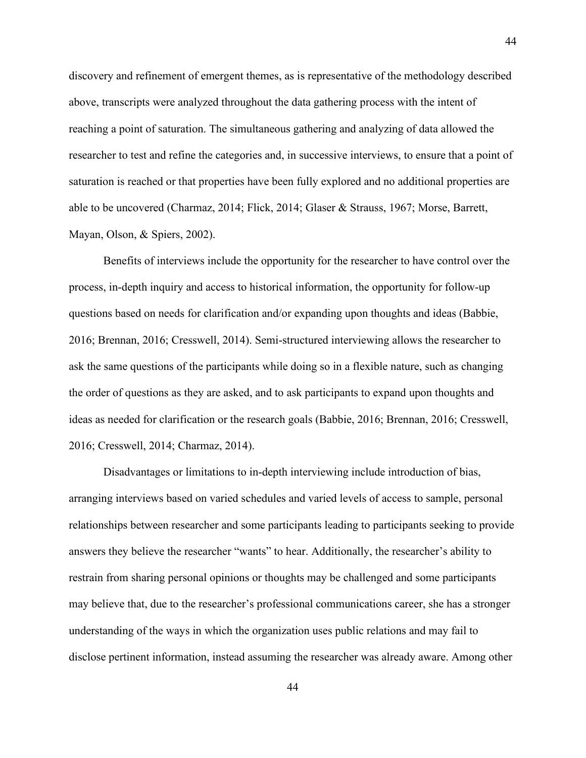discovery and refinement of emergent themes, as is representative of the methodology described above, transcripts were analyzed throughout the data gathering process with the intent of reaching a point of saturation. The simultaneous gathering and analyzing of data allowed the researcher to test and refine the categories and, in successive interviews, to ensure that a point of saturation is reached or that properties have been fully explored and no additional properties are able to be uncovered (Charmaz, 2014; Flick, 2014; Glaser & Strauss, 1967; Morse, Barrett, Mayan, Olson, & Spiers, 2002).

Benefits of interviews include the opportunity for the researcher to have control over the process, in-depth inquiry and access to historical information, the opportunity for follow-up questions based on needs for clarification and/or expanding upon thoughts and ideas (Babbie, 2016; Brennan, 2016; Cresswell, 2014). Semi-structured interviewing allows the researcher to ask the same questions of the participants while doing so in a flexible nature, such as changing the order of questions as they are asked, and to ask participants to expand upon thoughts and ideas as needed for clarification or the research goals (Babbie, 2016; Brennan, 2016; Cresswell, 2016; Cresswell, 2014; Charmaz, 2014).

Disadvantages or limitations to in-depth interviewing include introduction of bias, arranging interviews based on varied schedules and varied levels of access to sample, personal relationships between researcher and some participants leading to participants seeking to provide answers they believe the researcher "wants" to hear. Additionally, the researcher's ability to restrain from sharing personal opinions or thoughts may be challenged and some participants may believe that, due to the researcher's professional communications career, she has a stronger understanding of the ways in which the organization uses public relations and may fail to disclose pertinent information, instead assuming the researcher was already aware. Among other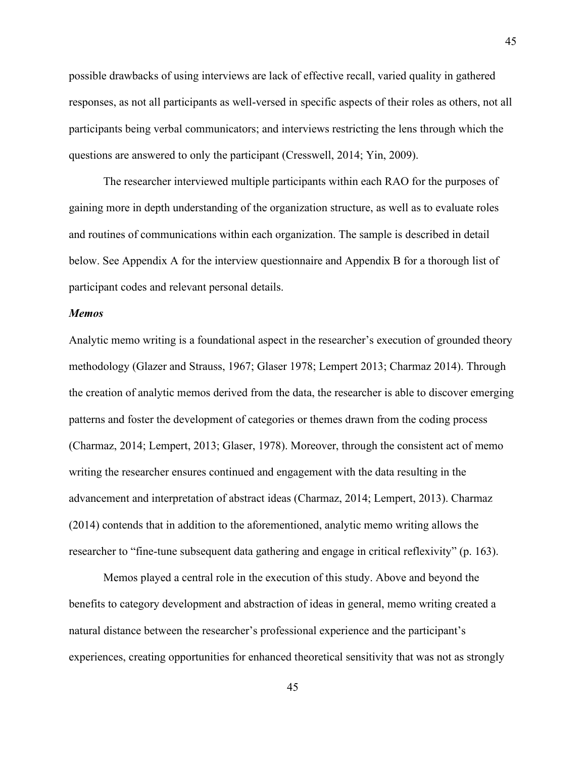possible drawbacks of using interviews are lack of effective recall, varied quality in gathered responses, as not all participants as well-versed in specific aspects of their roles as others, not all participants being verbal communicators; and interviews restricting the lens through which the questions are answered to only the participant (Cresswell, 2014; Yin, 2009).

The researcher interviewed multiple participants within each RAO for the purposes of gaining more in depth understanding of the organization structure, as well as to evaluate roles and routines of communications within each organization. The sample is described in detail below. See Appendix A for the interview questionnaire and Appendix B for a thorough list of participant codes and relevant personal details.

## *Memos*

Analytic memo writing is a foundational aspect in the researcher's execution of grounded theory methodology (Glazer and Strauss, 1967; Glaser 1978; Lempert 2013; Charmaz 2014). Through the creation of analytic memos derived from the data, the researcher is able to discover emerging patterns and foster the development of categories or themes drawn from the coding process (Charmaz, 2014; Lempert, 2013; Glaser, 1978). Moreover, through the consistent act of memo writing the researcher ensures continued and engagement with the data resulting in the advancement and interpretation of abstract ideas (Charmaz, 2014; Lempert, 2013). Charmaz (2014) contends that in addition to the aforementioned, analytic memo writing allows the researcher to "fine-tune subsequent data gathering and engage in critical reflexivity" (p. 163).

Memos played a central role in the execution of this study. Above and beyond the benefits to category development and abstraction of ideas in general, memo writing created a natural distance between the researcher's professional experience and the participant's experiences, creating opportunities for enhanced theoretical sensitivity that was not as strongly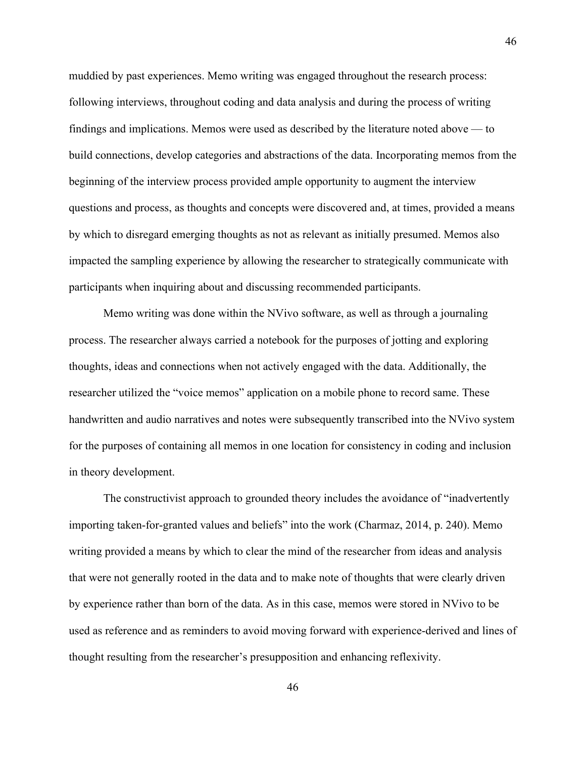muddied by past experiences. Memo writing was engaged throughout the research process: following interviews, throughout coding and data analysis and during the process of writing findings and implications. Memos were used as described by the literature noted above — to build connections, develop categories and abstractions of the data. Incorporating memos from the beginning of the interview process provided ample opportunity to augment the interview questions and process, as thoughts and concepts were discovered and, at times, provided a means by which to disregard emerging thoughts as not as relevant as initially presumed. Memos also impacted the sampling experience by allowing the researcher to strategically communicate with participants when inquiring about and discussing recommended participants.

Memo writing was done within the NVivo software, as well as through a journaling process. The researcher always carried a notebook for the purposes of jotting and exploring thoughts, ideas and connections when not actively engaged with the data. Additionally, the researcher utilized the "voice memos" application on a mobile phone to record same. These handwritten and audio narratives and notes were subsequently transcribed into the NVivo system for the purposes of containing all memos in one location for consistency in coding and inclusion in theory development.

The constructivist approach to grounded theory includes the avoidance of "inadvertently importing taken-for-granted values and beliefs" into the work (Charmaz, 2014, p. 240). Memo writing provided a means by which to clear the mind of the researcher from ideas and analysis that were not generally rooted in the data and to make note of thoughts that were clearly driven by experience rather than born of the data. As in this case, memos were stored in NVivo to be used as reference and as reminders to avoid moving forward with experience-derived and lines of thought resulting from the researcher's presupposition and enhancing reflexivity.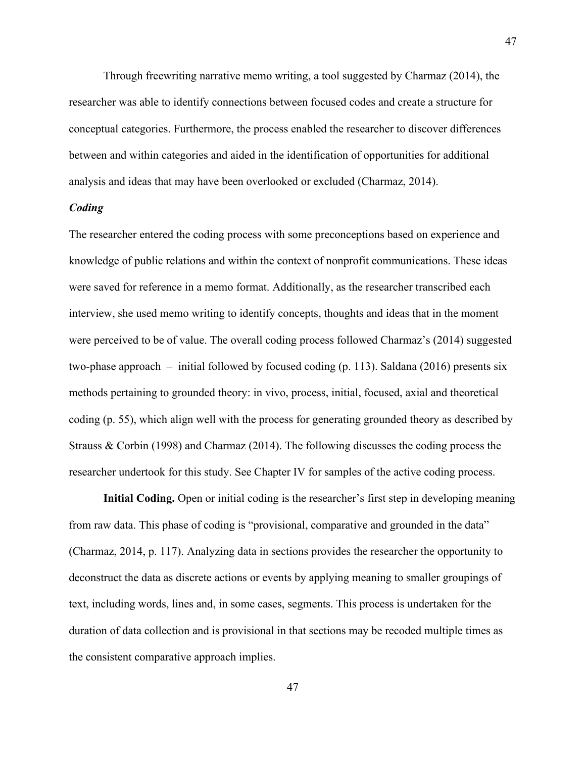Through freewriting narrative memo writing, a tool suggested by Charmaz (2014), the researcher was able to identify connections between focused codes and create a structure for conceptual categories. Furthermore, the process enabled the researcher to discover differences between and within categories and aided in the identification of opportunities for additional analysis and ideas that may have been overlooked or excluded (Charmaz, 2014).

## *Coding*

The researcher entered the coding process with some preconceptions based on experience and knowledge of public relations and within the context of nonprofit communications. These ideas were saved for reference in a memo format. Additionally, as the researcher transcribed each interview, she used memo writing to identify concepts, thoughts and ideas that in the moment were perceived to be of value. The overall coding process followed Charmaz's (2014) suggested two-phase approach – initial followed by focused coding (p. 113). Saldana (2016) presents six methods pertaining to grounded theory: in vivo, process, initial, focused, axial and theoretical coding (p. 55), which align well with the process for generating grounded theory as described by Strauss & Corbin (1998) and Charmaz (2014). The following discusses the coding process the researcher undertook for this study. See Chapter IV for samples of the active coding process.

**Initial Coding.** Open or initial coding is the researcher's first step in developing meaning from raw data. This phase of coding is "provisional, comparative and grounded in the data" (Charmaz, 2014, p. 117). Analyzing data in sections provides the researcher the opportunity to deconstruct the data as discrete actions or events by applying meaning to smaller groupings of text, including words, lines and, in some cases, segments. This process is undertaken for the duration of data collection and is provisional in that sections may be recoded multiple times as the consistent comparative approach implies.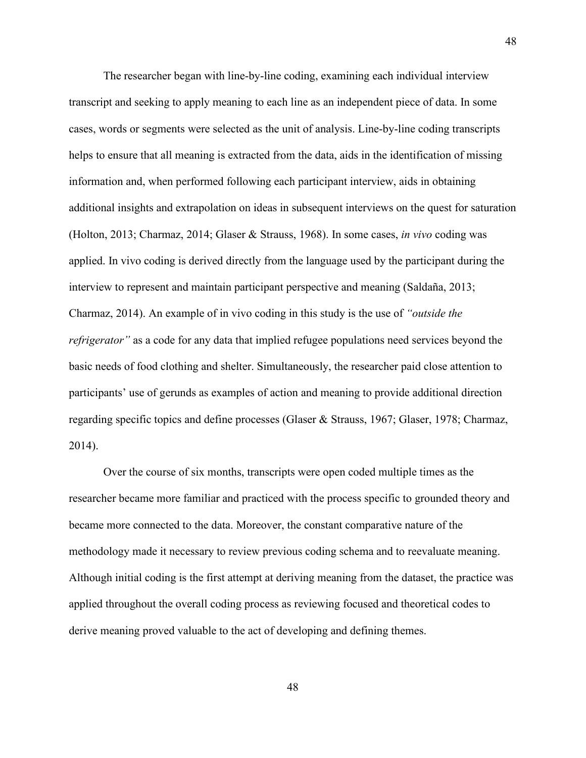The researcher began with line-by-line coding, examining each individual interview transcript and seeking to apply meaning to each line as an independent piece of data. In some cases, words or segments were selected as the unit of analysis. Line-by-line coding transcripts helps to ensure that all meaning is extracted from the data, aids in the identification of missing information and, when performed following each participant interview, aids in obtaining additional insights and extrapolation on ideas in subsequent interviews on the quest for saturation (Holton, 2013; Charmaz, 2014; Glaser & Strauss, 1968). In some cases, *in vivo* coding was applied. In vivo coding is derived directly from the language used by the participant during the interview to represent and maintain participant perspective and meaning (Saldaña, 2013; Charmaz, 2014). An example of in vivo coding in this study is the use of *"outside the refrigerator*" as a code for any data that implied refugee populations need services beyond the basic needs of food clothing and shelter. Simultaneously, the researcher paid close attention to participants' use of gerunds as examples of action and meaning to provide additional direction regarding specific topics and define processes (Glaser & Strauss, 1967; Glaser, 1978; Charmaz, 2014).

Over the course of six months, transcripts were open coded multiple times as the researcher became more familiar and practiced with the process specific to grounded theory and became more connected to the data. Moreover, the constant comparative nature of the methodology made it necessary to review previous coding schema and to reevaluate meaning. Although initial coding is the first attempt at deriving meaning from the dataset, the practice was applied throughout the overall coding process as reviewing focused and theoretical codes to derive meaning proved valuable to the act of developing and defining themes.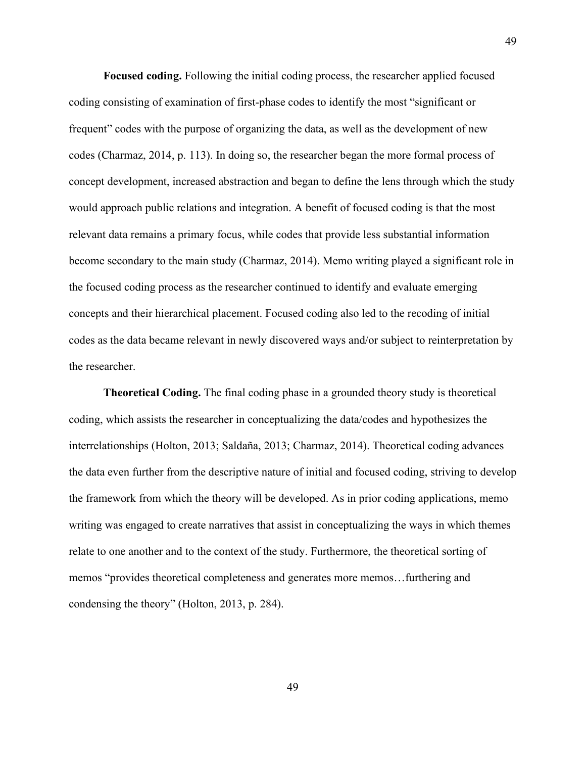**Focused coding.** Following the initial coding process, the researcher applied focused coding consisting of examination of first-phase codes to identify the most "significant or frequent" codes with the purpose of organizing the data, as well as the development of new codes (Charmaz, 2014, p. 113). In doing so, the researcher began the more formal process of concept development, increased abstraction and began to define the lens through which the study would approach public relations and integration. A benefit of focused coding is that the most relevant data remains a primary focus, while codes that provide less substantial information become secondary to the main study (Charmaz, 2014). Memo writing played a significant role in the focused coding process as the researcher continued to identify and evaluate emerging concepts and their hierarchical placement. Focused coding also led to the recoding of initial codes as the data became relevant in newly discovered ways and/or subject to reinterpretation by the researcher.

**Theoretical Coding.** The final coding phase in a grounded theory study is theoretical coding, which assists the researcher in conceptualizing the data/codes and hypothesizes the interrelationships (Holton, 2013; Saldaña, 2013; Charmaz, 2014). Theoretical coding advances the data even further from the descriptive nature of initial and focused coding, striving to develop the framework from which the theory will be developed. As in prior coding applications, memo writing was engaged to create narratives that assist in conceptualizing the ways in which themes relate to one another and to the context of the study. Furthermore, the theoretical sorting of memos "provides theoretical completeness and generates more memos…furthering and condensing the theory" (Holton, 2013, p. 284).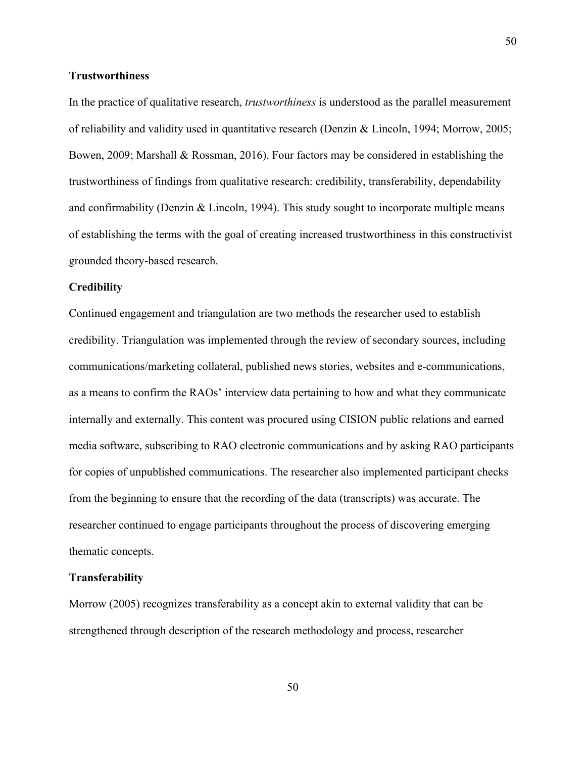## **Trustworthiness**

In the practice of qualitative research, *trustworthiness* is understood as the parallel measurement of reliability and validity used in quantitative research (Denzin & Lincoln, 1994; Morrow, 2005; Bowen, 2009; Marshall & Rossman, 2016). Four factors may be considered in establishing the trustworthiness of findings from qualitative research: credibility, transferability, dependability and confirmability (Denzin & Lincoln, 1994). This study sought to incorporate multiple means of establishing the terms with the goal of creating increased trustworthiness in this constructivist grounded theory-based research.

#### **Credibility**

Continued engagement and triangulation are two methods the researcher used to establish credibility. Triangulation was implemented through the review of secondary sources, including communications/marketing collateral, published news stories, websites and e-communications, as a means to confirm the RAOs' interview data pertaining to how and what they communicate internally and externally. This content was procured using CISION public relations and earned media software, subscribing to RAO electronic communications and by asking RAO participants for copies of unpublished communications. The researcher also implemented participant checks from the beginning to ensure that the recording of the data (transcripts) was accurate. The researcher continued to engage participants throughout the process of discovering emerging thematic concepts.

#### **Transferability**

Morrow (2005) recognizes transferability as a concept akin to external validity that can be strengthened through description of the research methodology and process, researcher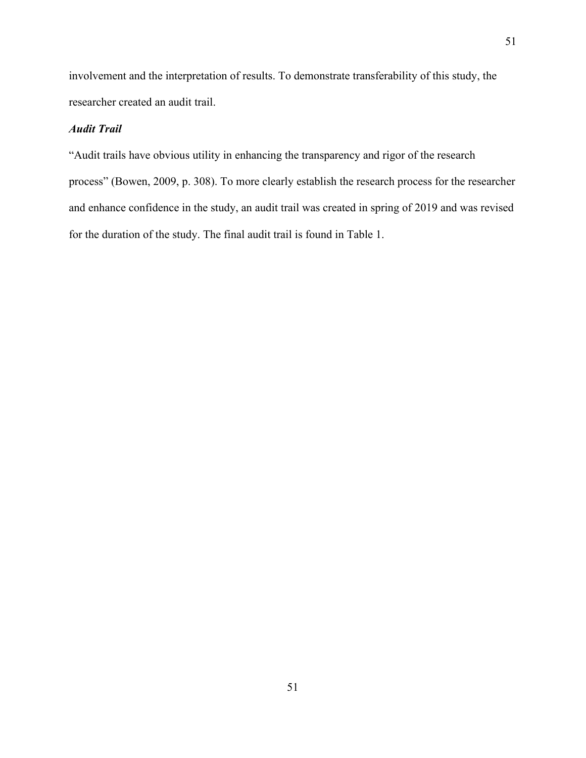involvement and the interpretation of results. To demonstrate transferability of this study, the researcher created an audit trail.

## *Audit Trail*

"Audit trails have obvious utility in enhancing the transparency and rigor of the research process" (Bowen, 2009, p. 308). To more clearly establish the research process for the researcher and enhance confidence in the study, an audit trail was created in spring of 2019 and was revised for the duration of the study. The final audit trail is found in Table 1.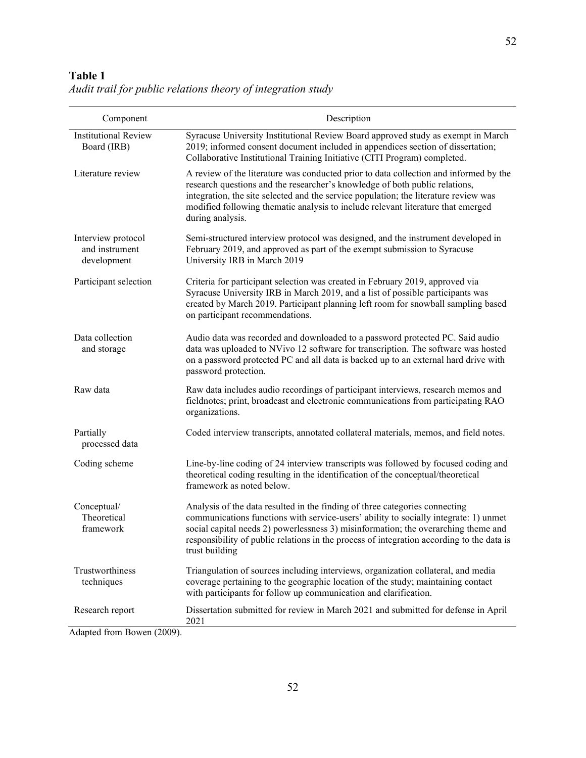# **Table 1**

*Audit trail for public relations theory of integration study*

| Component                                           | Description                                                                                                                                                                                                                                                                                                                                                              |
|-----------------------------------------------------|--------------------------------------------------------------------------------------------------------------------------------------------------------------------------------------------------------------------------------------------------------------------------------------------------------------------------------------------------------------------------|
| <b>Institutional Review</b><br>Board (IRB)          | Syracuse University Institutional Review Board approved study as exempt in March<br>2019; informed consent document included in appendices section of dissertation;<br>Collaborative Institutional Training Initiative (CITI Program) completed.                                                                                                                         |
| Literature review                                   | A review of the literature was conducted prior to data collection and informed by the<br>research questions and the researcher's knowledge of both public relations,<br>integration, the site selected and the service population; the literature review was<br>modified following thematic analysis to include relevant literature that emerged<br>during analysis.     |
| Interview protocol<br>and instrument<br>development | Semi-structured interview protocol was designed, and the instrument developed in<br>February 2019, and approved as part of the exempt submission to Syracuse<br>University IRB in March 2019                                                                                                                                                                             |
| Participant selection                               | Criteria for participant selection was created in February 2019, approved via<br>Syracuse University IRB in March 2019, and a list of possible participants was<br>created by March 2019. Participant planning left room for snowball sampling based<br>on participant recommendations.                                                                                  |
| Data collection<br>and storage                      | Audio data was recorded and downloaded to a password protected PC. Said audio<br>data was uploaded to NVivo 12 software for transcription. The software was hosted<br>on a password protected PC and all data is backed up to an external hard drive with<br>password protection.                                                                                        |
| Raw data                                            | Raw data includes audio recordings of participant interviews, research memos and<br>fieldnotes; print, broadcast and electronic communications from participating RAO<br>organizations.                                                                                                                                                                                  |
| Partially<br>processed data                         | Coded interview transcripts, annotated collateral materials, memos, and field notes.                                                                                                                                                                                                                                                                                     |
| Coding scheme                                       | Line-by-line coding of 24 interview transcripts was followed by focused coding and<br>theoretical coding resulting in the identification of the conceptual/theoretical<br>framework as noted below.                                                                                                                                                                      |
| Conceptual/<br>Theoretical<br>framework             | Analysis of the data resulted in the finding of three categories connecting<br>communications functions with service-users' ability to socially integrate: 1) unmet<br>social capital needs 2) powerlessness 3) misinformation; the overarching theme and<br>responsibility of public relations in the process of integration according to the data is<br>trust building |
| Trustworthiness<br>techniques                       | Triangulation of sources including interviews, organization collateral, and media<br>coverage pertaining to the geographic location of the study; maintaining contact<br>with participants for follow up communication and clarification.                                                                                                                                |
| Research report                                     | Dissertation submitted for review in March 2021 and submitted for defense in April<br>2021                                                                                                                                                                                                                                                                               |
| Adapted from Bowen (2009).                          |                                                                                                                                                                                                                                                                                                                                                                          |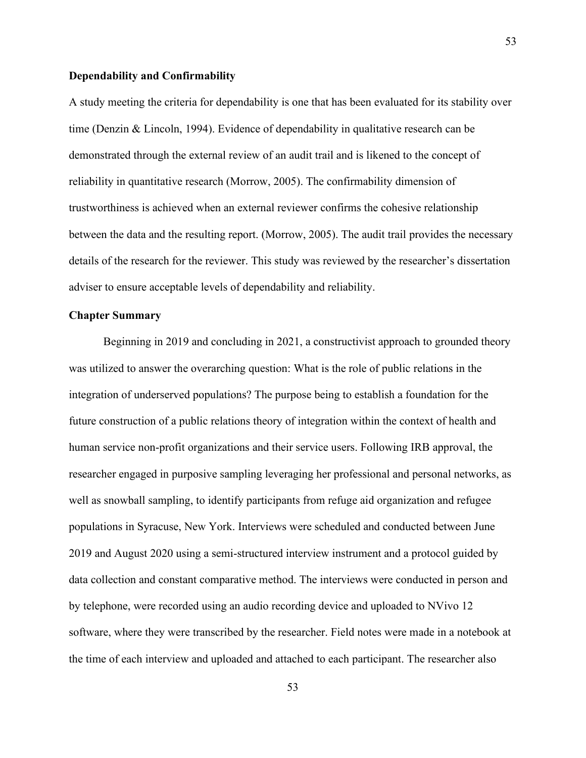## **Dependability and Confirmability**

A study meeting the criteria for dependability is one that has been evaluated for its stability over time (Denzin & Lincoln, 1994). Evidence of dependability in qualitative research can be demonstrated through the external review of an audit trail and is likened to the concept of reliability in quantitative research (Morrow, 2005). The confirmability dimension of trustworthiness is achieved when an external reviewer confirms the cohesive relationship between the data and the resulting report. (Morrow, 2005). The audit trail provides the necessary details of the research for the reviewer. This study was reviewed by the researcher's dissertation adviser to ensure acceptable levels of dependability and reliability.

## **Chapter Summary**

Beginning in 2019 and concluding in 2021, a constructivist approach to grounded theory was utilized to answer the overarching question: What is the role of public relations in the integration of underserved populations? The purpose being to establish a foundation for the future construction of a public relations theory of integration within the context of health and human service non-profit organizations and their service users. Following IRB approval, the researcher engaged in purposive sampling leveraging her professional and personal networks, as well as snowball sampling, to identify participants from refuge aid organization and refugee populations in Syracuse, New York. Interviews were scheduled and conducted between June 2019 and August 2020 using a semi-structured interview instrument and a protocol guided by data collection and constant comparative method. The interviews were conducted in person and by telephone, were recorded using an audio recording device and uploaded to NVivo 12 software, where they were transcribed by the researcher. Field notes were made in a notebook at the time of each interview and uploaded and attached to each participant. The researcher also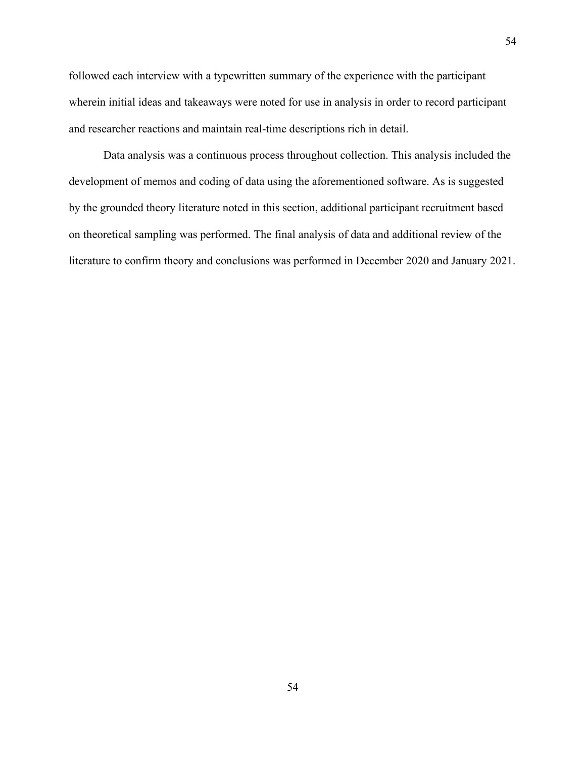followed each interview with a typewritten summary of the experience with the participant wherein initial ideas and takeaways were noted for use in analysis in order to record participant and researcher reactions and maintain real-time descriptions rich in detail.

Data analysis was a continuous process throughout collection. This analysis included the development of memos and coding of data using the aforementioned software. As is suggested by the grounded theory literature noted in this section, additional participant recruitment based on theoretical sampling was performed. The final analysis of data and additional review of the literature to confirm theory and conclusions was performed in December 2020 and January 2021.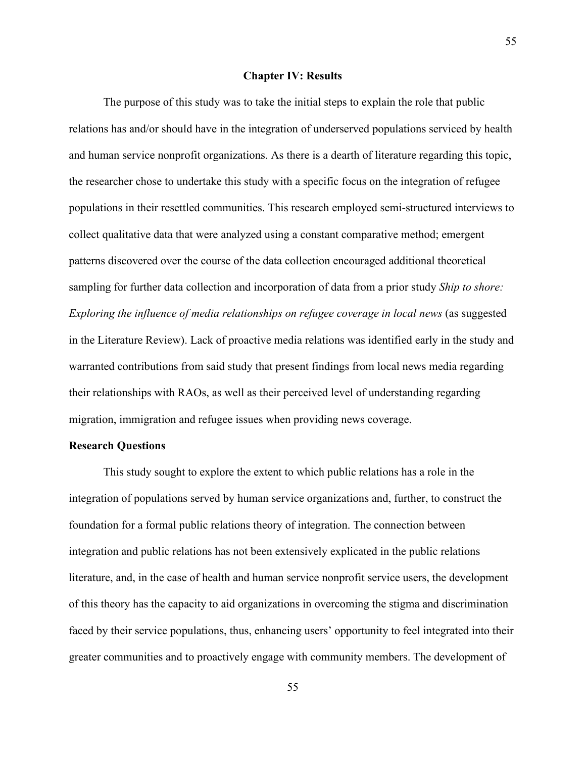#### **Chapter IV: Results**

The purpose of this study was to take the initial steps to explain the role that public relations has and/or should have in the integration of underserved populations serviced by health and human service nonprofit organizations. As there is a dearth of literature regarding this topic, the researcher chose to undertake this study with a specific focus on the integration of refugee populations in their resettled communities. This research employed semi-structured interviews to collect qualitative data that were analyzed using a constant comparative method; emergent patterns discovered over the course of the data collection encouraged additional theoretical sampling for further data collection and incorporation of data from a prior study *Ship to shore: Exploring the influence of media relationships on refugee coverage in local news* (as suggested in the Literature Review). Lack of proactive media relations was identified early in the study and warranted contributions from said study that present findings from local news media regarding their relationships with RAOs, as well as their perceived level of understanding regarding migration, immigration and refugee issues when providing news coverage.

## **Research Questions**

This study sought to explore the extent to which public relations has a role in the integration of populations served by human service organizations and, further, to construct the foundation for a formal public relations theory of integration. The connection between integration and public relations has not been extensively explicated in the public relations literature, and, in the case of health and human service nonprofit service users, the development of this theory has the capacity to aid organizations in overcoming the stigma and discrimination faced by their service populations, thus, enhancing users' opportunity to feel integrated into their greater communities and to proactively engage with community members. The development of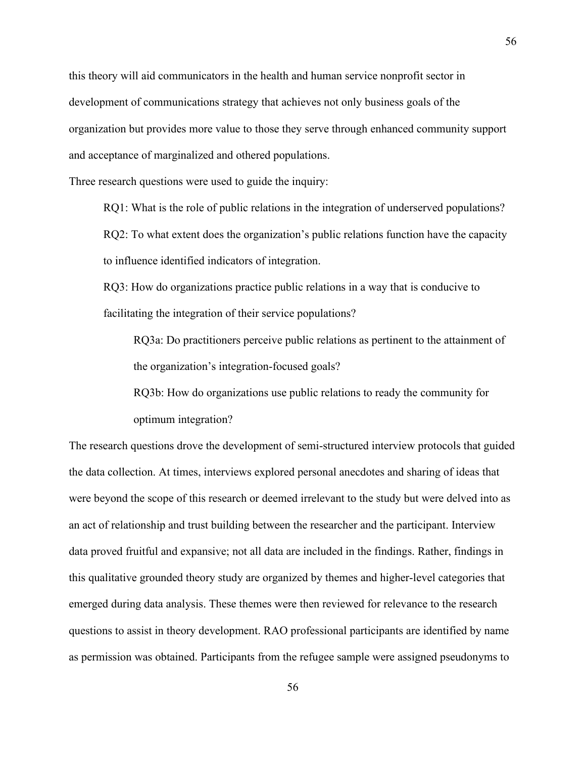this theory will aid communicators in the health and human service nonprofit sector in development of communications strategy that achieves not only business goals of the organization but provides more value to those they serve through enhanced community support and acceptance of marginalized and othered populations.

Three research questions were used to guide the inquiry:

RQ1: What is the role of public relations in the integration of underserved populations? RQ2: To what extent does the organization's public relations function have the capacity to influence identified indicators of integration.

RQ3: How do organizations practice public relations in a way that is conducive to facilitating the integration of their service populations?

RQ3a: Do practitioners perceive public relations as pertinent to the attainment of the organization's integration-focused goals?

RQ3b: How do organizations use public relations to ready the community for optimum integration?

The research questions drove the development of semi-structured interview protocols that guided the data collection. At times, interviews explored personal anecdotes and sharing of ideas that were beyond the scope of this research or deemed irrelevant to the study but were delved into as an act of relationship and trust building between the researcher and the participant. Interview data proved fruitful and expansive; not all data are included in the findings. Rather, findings in this qualitative grounded theory study are organized by themes and higher-level categories that emerged during data analysis. These themes were then reviewed for relevance to the research questions to assist in theory development. RAO professional participants are identified by name as permission was obtained. Participants from the refugee sample were assigned pseudonyms to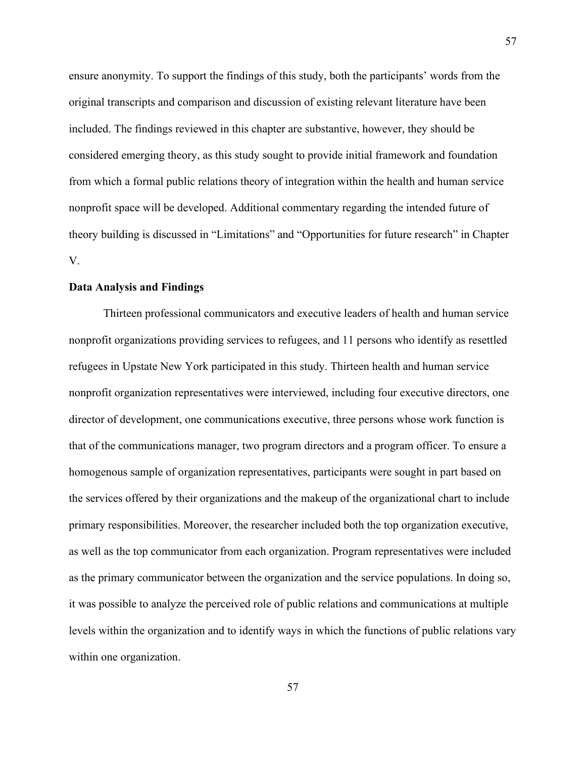ensure anonymity. To support the findings of this study, both the participants' words from the original transcripts and comparison and discussion of existing relevant literature have been included. The findings reviewed in this chapter are substantive, however, they should be considered emerging theory, as this study sought to provide initial framework and foundation from which a formal public relations theory of integration within the health and human service nonprofit space will be developed. Additional commentary regarding the intended future of theory building is discussed in "Limitations" and "Opportunities for future research" in Chapter V.

#### **Data Analysis and Findings**

Thirteen professional communicators and executive leaders of health and human service nonprofit organizations providing services to refugees, and 11 persons who identify as resettled refugees in Upstate New York participated in this study. Thirteen health and human service nonprofit organization representatives were interviewed, including four executive directors, one director of development, one communications executive, three persons whose work function is that of the communications manager, two program directors and a program officer. To ensure a homogenous sample of organization representatives, participants were sought in part based on the services offered by their organizations and the makeup of the organizational chart to include primary responsibilities. Moreover, the researcher included both the top organization executive, as well as the top communicator from each organization. Program representatives were included as the primary communicator between the organization and the service populations. In doing so, it was possible to analyze the perceived role of public relations and communications at multiple levels within the organization and to identify ways in which the functions of public relations vary within one organization.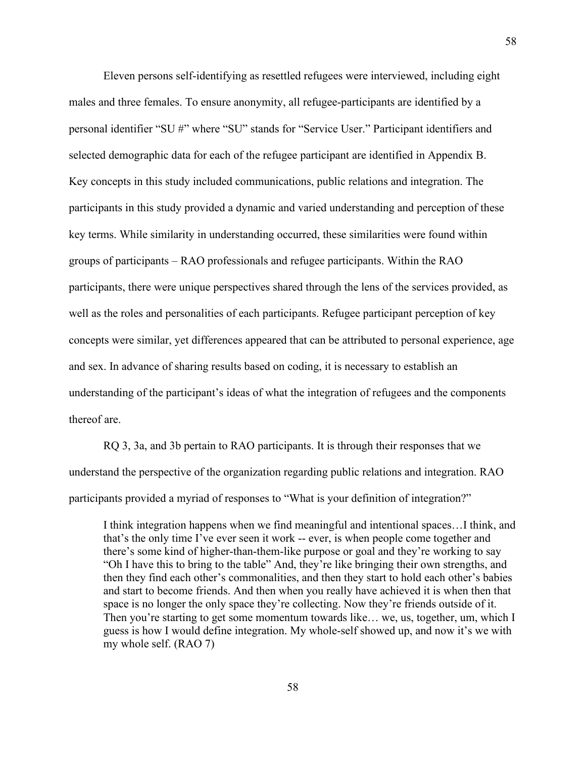Eleven persons self-identifying as resettled refugees were interviewed, including eight males and three females. To ensure anonymity, all refugee-participants are identified by a personal identifier "SU #" where "SU" stands for "Service User." Participant identifiers and selected demographic data for each of the refugee participant are identified in Appendix B. Key concepts in this study included communications, public relations and integration. The participants in this study provided a dynamic and varied understanding and perception of these key terms. While similarity in understanding occurred, these similarities were found within groups of participants – RAO professionals and refugee participants. Within the RAO participants, there were unique perspectives shared through the lens of the services provided, as well as the roles and personalities of each participants. Refugee participant perception of key concepts were similar, yet differences appeared that can be attributed to personal experience, age and sex. In advance of sharing results based on coding, it is necessary to establish an understanding of the participant's ideas of what the integration of refugees and the components thereof are.

RQ 3, 3a, and 3b pertain to RAO participants. It is through their responses that we understand the perspective of the organization regarding public relations and integration. RAO participants provided a myriad of responses to "What is your definition of integration?"

I think integration happens when we find meaningful and intentional spaces…I think, and that's the only time I've ever seen it work -- ever, is when people come together and there's some kind of higher-than-them-like purpose or goal and they're working to say "Oh I have this to bring to the table" And, they're like bringing their own strengths, and then they find each other's commonalities, and then they start to hold each other's babies and start to become friends. And then when you really have achieved it is when then that space is no longer the only space they're collecting. Now they're friends outside of it. Then you're starting to get some momentum towards like... we, us, together, um, which I guess is how I would define integration. My whole-self showed up, and now it's we with my whole self. (RAO 7)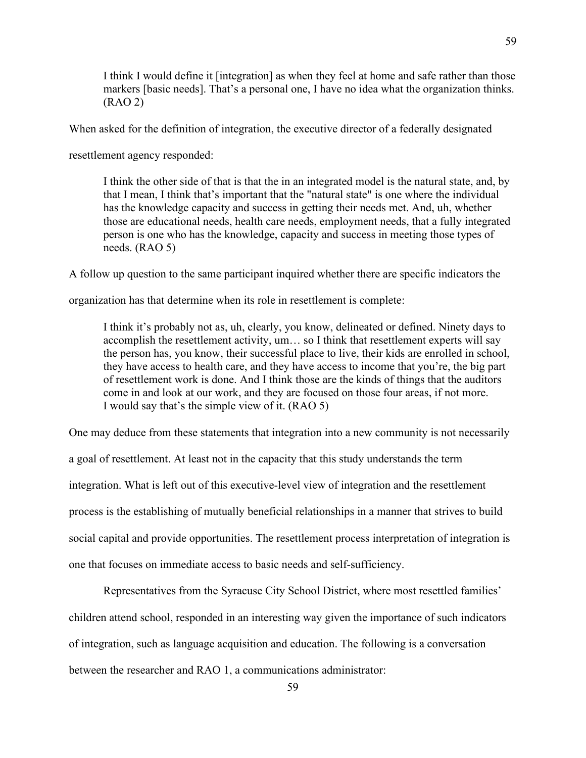I think I would define it [integration] as when they feel at home and safe rather than those markers [basic needs]. That's a personal one, I have no idea what the organization thinks. (RAO 2)

When asked for the definition of integration, the executive director of a federally designated

resettlement agency responded:

I think the other side of that is that the in an integrated model is the natural state, and, by that I mean, I think that's important that the "natural state" is one where the individual has the knowledge capacity and success in getting their needs met. And, uh, whether those are educational needs, health care needs, employment needs, that a fully integrated person is one who has the knowledge, capacity and success in meeting those types of needs. (RAO 5)

A follow up question to the same participant inquired whether there are specific indicators the

organization has that determine when its role in resettlement is complete:

I think it's probably not as, uh, clearly, you know, delineated or defined. Ninety days to accomplish the resettlement activity, um… so I think that resettlement experts will say the person has, you know, their successful place to live, their kids are enrolled in school, they have access to health care, and they have access to income that you're, the big part of resettlement work is done. And I think those are the kinds of things that the auditors come in and look at our work, and they are focused on those four areas, if not more. I would say that's the simple view of it. (RAO 5)

One may deduce from these statements that integration into a new community is not necessarily a goal of resettlement. At least not in the capacity that this study understands the term integration. What is left out of this executive-level view of integration and the resettlement process is the establishing of mutually beneficial relationships in a manner that strives to build social capital and provide opportunities. The resettlement process interpretation of integration is one that focuses on immediate access to basic needs and self-sufficiency.

Representatives from the Syracuse City School District, where most resettled families' children attend school, responded in an interesting way given the importance of such indicators of integration, such as language acquisition and education. The following is a conversation between the researcher and RAO 1, a communications administrator: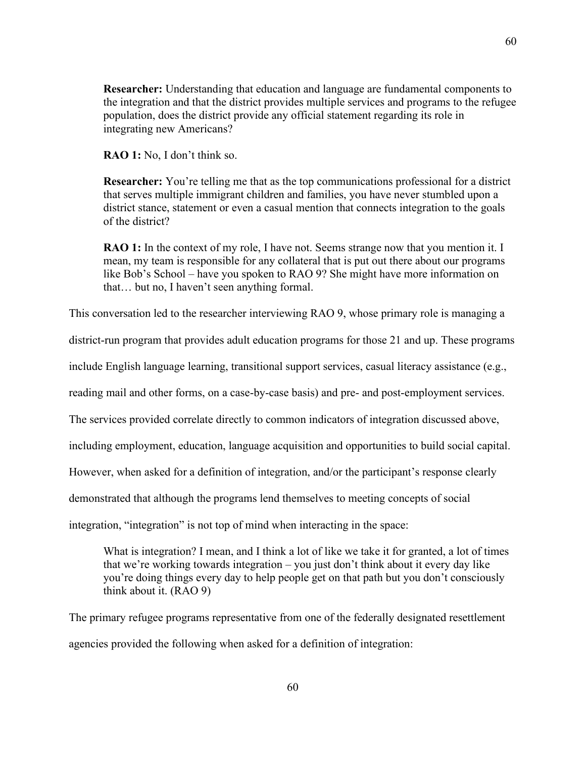**Researcher:** Understanding that education and language are fundamental components to the integration and that the district provides multiple services and programs to the refugee population, does the district provide any official statement regarding its role in integrating new Americans?

**RAO 1:** No, I don't think so.

**Researcher:** You're telling me that as the top communications professional for a district that serves multiple immigrant children and families, you have never stumbled upon a district stance, statement or even a casual mention that connects integration to the goals of the district?

**RAO 1:** In the context of my role, I have not. Seems strange now that you mention it. I mean, my team is responsible for any collateral that is put out there about our programs like Bob's School – have you spoken to RAO 9? She might have more information on that… but no, I haven't seen anything formal.

This conversation led to the researcher interviewing RAO 9, whose primary role is managing a

district-run program that provides adult education programs for those 21 and up. These programs

include English language learning, transitional support services, casual literacy assistance (e.g.,

reading mail and other forms, on a case-by-case basis) and pre- and post-employment services.

The services provided correlate directly to common indicators of integration discussed above,

including employment, education, language acquisition and opportunities to build social capital.

However, when asked for a definition of integration, and/or the participant's response clearly

demonstrated that although the programs lend themselves to meeting concepts of social

integration, "integration" is not top of mind when interacting in the space:

What is integration? I mean, and I think a lot of like we take it for granted, a lot of times that we're working towards integration – you just don't think about it every day like you're doing things every day to help people get on that path but you don't consciously think about it. (RAO 9)

The primary refugee programs representative from one of the federally designated resettlement agencies provided the following when asked for a definition of integration: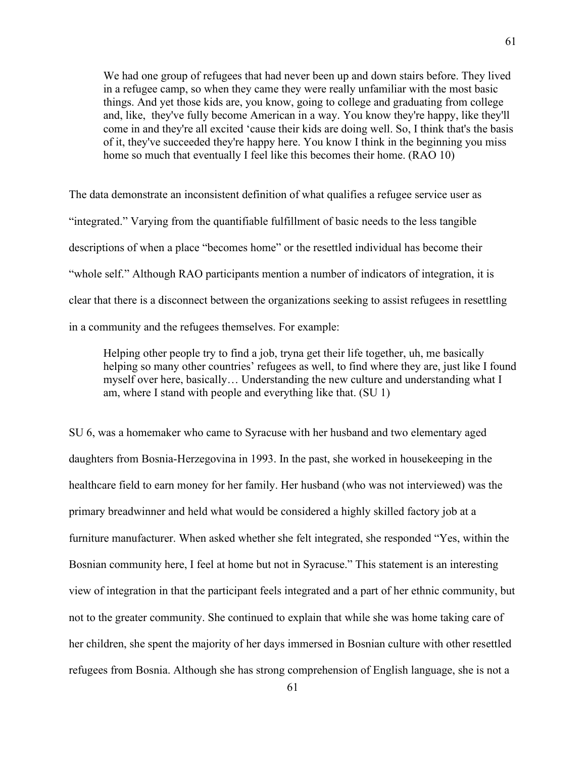We had one group of refugees that had never been up and down stairs before. They lived in a refugee camp, so when they came they were really unfamiliar with the most basic things. And yet those kids are, you know, going to college and graduating from college and, like, they've fully become American in a way. You know they're happy, like they'll come in and they're all excited 'cause their kids are doing well. So, I think that's the basis of it, they've succeeded they're happy here. You know I think in the beginning you miss home so much that eventually I feel like this becomes their home. (RAO 10)

The data demonstrate an inconsistent definition of what qualifies a refugee service user as "integrated." Varying from the quantifiable fulfillment of basic needs to the less tangible descriptions of when a place "becomes home" or the resettled individual has become their "whole self." Although RAO participants mention a number of indicators of integration, it is clear that there is a disconnect between the organizations seeking to assist refugees in resettling in a community and the refugees themselves. For example:

Helping other people try to find a job, tryna get their life together, uh, me basically helping so many other countries' refugees as well, to find where they are, just like I found myself over here, basically… Understanding the new culture and understanding what I am, where I stand with people and everything like that. (SU 1)

SU 6, was a homemaker who came to Syracuse with her husband and two elementary aged daughters from Bosnia-Herzegovina in 1993. In the past, she worked in housekeeping in the healthcare field to earn money for her family. Her husband (who was not interviewed) was the primary breadwinner and held what would be considered a highly skilled factory job at a furniture manufacturer. When asked whether she felt integrated, she responded "Yes, within the Bosnian community here, I feel at home but not in Syracuse." This statement is an interesting view of integration in that the participant feels integrated and a part of her ethnic community, but not to the greater community. She continued to explain that while she was home taking care of her children, she spent the majority of her days immersed in Bosnian culture with other resettled refugees from Bosnia. Although she has strong comprehension of English language, she is not a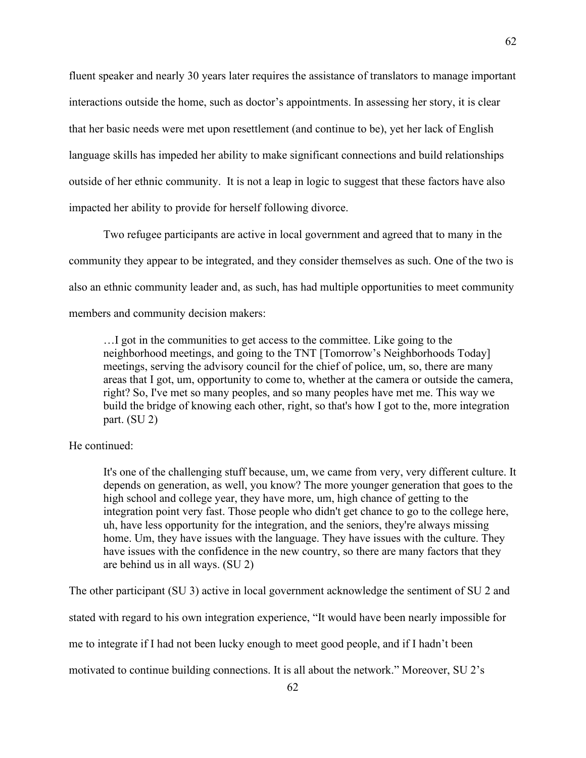fluent speaker and nearly 30 years later requires the assistance of translators to manage important interactions outside the home, such as doctor's appointments. In assessing her story, it is clear that her basic needs were met upon resettlement (and continue to be), yet her lack of English language skills has impeded her ability to make significant connections and build relationships outside of her ethnic community. It is not a leap in logic to suggest that these factors have also impacted her ability to provide for herself following divorce.

Two refugee participants are active in local government and agreed that to many in the community they appear to be integrated, and they consider themselves as such. One of the two is also an ethnic community leader and, as such, has had multiple opportunities to meet community members and community decision makers:

…I got in the communities to get access to the committee. Like going to the neighborhood meetings, and going to the TNT [Tomorrow's Neighborhoods Today] meetings, serving the advisory council for the chief of police, um, so, there are many areas that I got, um, opportunity to come to, whether at the camera or outside the camera, right? So, I've met so many peoples, and so many peoples have met me. This way we build the bridge of knowing each other, right, so that's how I got to the, more integration part. (SU 2)

## He continued:

It's one of the challenging stuff because, um, we came from very, very different culture. It depends on generation, as well, you know? The more younger generation that goes to the high school and college year, they have more, um, high chance of getting to the integration point very fast. Those people who didn't get chance to go to the college here, uh, have less opportunity for the integration, and the seniors, they're always missing home. Um, they have issues with the language. They have issues with the culture. They have issues with the confidence in the new country, so there are many factors that they are behind us in all ways. (SU 2)

The other participant (SU 3) active in local government acknowledge the sentiment of SU 2 and

stated with regard to his own integration experience, "It would have been nearly impossible for

me to integrate if I had not been lucky enough to meet good people, and if I hadn't been

motivated to continue building connections. It is all about the network." Moreover, SU 2's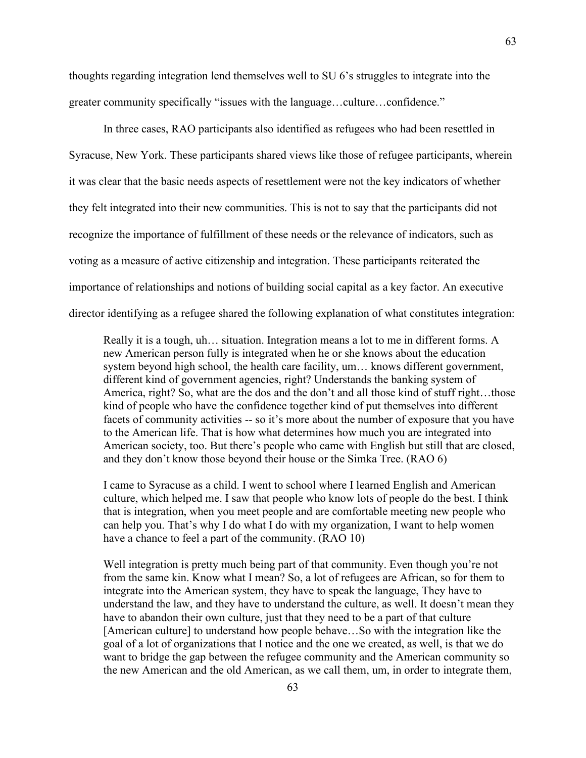thoughts regarding integration lend themselves well to SU 6's struggles to integrate into the greater community specifically "issues with the language…culture…confidence."

In three cases, RAO participants also identified as refugees who had been resettled in Syracuse, New York. These participants shared views like those of refugee participants, wherein it was clear that the basic needs aspects of resettlement were not the key indicators of whether they felt integrated into their new communities. This is not to say that the participants did not recognize the importance of fulfillment of these needs or the relevance of indicators, such as voting as a measure of active citizenship and integration. These participants reiterated the importance of relationships and notions of building social capital as a key factor. An executive director identifying as a refugee shared the following explanation of what constitutes integration:

Really it is a tough, uh… situation. Integration means a lot to me in different forms. A new American person fully is integrated when he or she knows about the education system beyond high school, the health care facility, um… knows different government, different kind of government agencies, right? Understands the banking system of America, right? So, what are the dos and the don't and all those kind of stuff right…those kind of people who have the confidence together kind of put themselves into different facets of community activities -- so it's more about the number of exposure that you have to the American life. That is how what determines how much you are integrated into American society, too. But there's people who came with English but still that are closed, and they don't know those beyond their house or the Simka Tree. (RAO 6)

I came to Syracuse as a child. I went to school where I learned English and American culture, which helped me. I saw that people who know lots of people do the best. I think that is integration, when you meet people and are comfortable meeting new people who can help you. That's why I do what I do with my organization, I want to help women have a chance to feel a part of the community. (RAO 10)

Well integration is pretty much being part of that community. Even though you're not from the same kin. Know what I mean? So, a lot of refugees are African, so for them to integrate into the American system, they have to speak the language, They have to understand the law, and they have to understand the culture, as well. It doesn't mean they have to abandon their own culture, just that they need to be a part of that culture [American culture] to understand how people behave…So with the integration like the goal of a lot of organizations that I notice and the one we created, as well, is that we do want to bridge the gap between the refugee community and the American community so the new American and the old American, as we call them, um, in order to integrate them,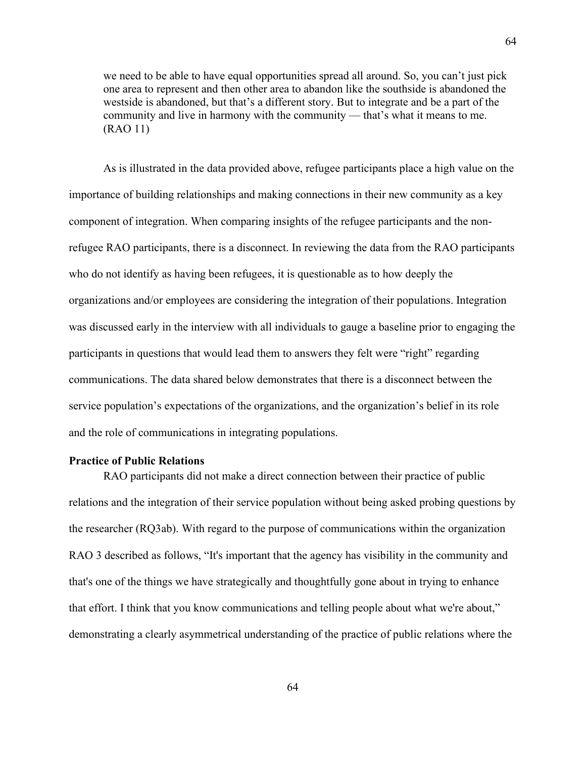we need to be able to have equal opportunities spread all around. So, you can't just pick one area to represent and then other area to abandon like the southside is abandoned the westside is abandoned, but that's a different story. But to integrate and be a part of the community and live in harmony with the community — that's what it means to me. (RAO 11)

As is illustrated in the data provided above, refugee participants place a high value on the importance of building relationships and making connections in their new community as a key component of integration. When comparing insights of the refugee participants and the nonrefugee RAO participants, there is a disconnect. In reviewing the data from the RAO participants who do not identify as having been refugees, it is questionable as to how deeply the organizations and/or employees are considering the integration of their populations. Integration was discussed early in the interview with all individuals to gauge a baseline prior to engaging the participants in questions that would lead them to answers they felt were "right" regarding communications. The data shared below demonstrates that there is a disconnect between the service population's expectations of the organizations, and the organization's belief in its role and the role of communications in integrating populations.

## **Practice of Public Relations**

RAO participants did not make a direct connection between their practice of public relations and the integration of their service population without being asked probing questions by the researcher (RQ3ab). With regard to the purpose of communications within the organization RAO 3 described as follows, "It's important that the agency has visibility in the community and that's one of the things we have strategically and thoughtfully gone about in trying to enhance that effort. I think that you know communications and telling people about what we're about," demonstrating a clearly asymmetrical understanding of the practice of public relations where the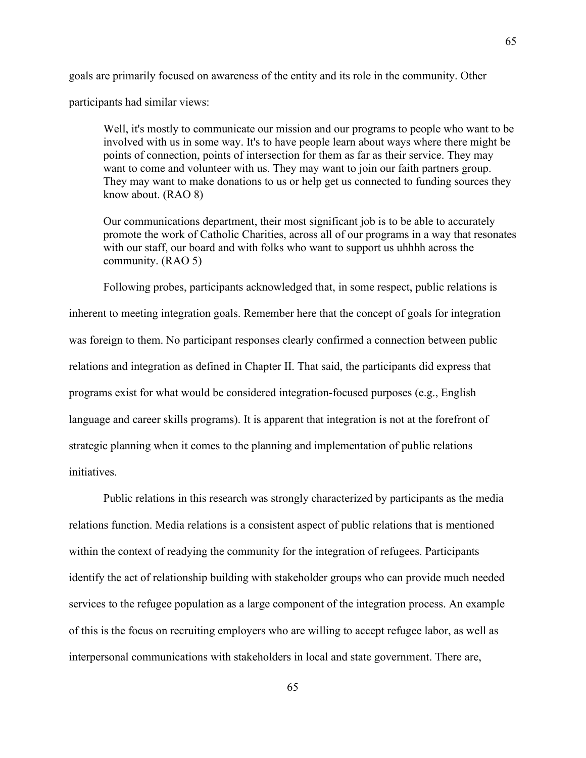goals are primarily focused on awareness of the entity and its role in the community. Other

participants had similar views:

Well, it's mostly to communicate our mission and our programs to people who want to be involved with us in some way. It's to have people learn about ways where there might be points of connection, points of intersection for them as far as their service. They may want to come and volunteer with us. They may want to join our faith partners group. They may want to make donations to us or help get us connected to funding sources they know about. (RAO 8)

Our communications department, their most significant job is to be able to accurately promote the work of Catholic Charities, across all of our programs in a way that resonates with our staff, our board and with folks who want to support us uhhhh across the community. (RAO 5)

Following probes, participants acknowledged that, in some respect, public relations is inherent to meeting integration goals. Remember here that the concept of goals for integration was foreign to them. No participant responses clearly confirmed a connection between public relations and integration as defined in Chapter II. That said, the participants did express that programs exist for what would be considered integration-focused purposes (e.g., English language and career skills programs). It is apparent that integration is not at the forefront of strategic planning when it comes to the planning and implementation of public relations initiatives.

Public relations in this research was strongly characterized by participants as the media relations function. Media relations is a consistent aspect of public relations that is mentioned within the context of readying the community for the integration of refugees. Participants identify the act of relationship building with stakeholder groups who can provide much needed services to the refugee population as a large component of the integration process. An example of this is the focus on recruiting employers who are willing to accept refugee labor, as well as interpersonal communications with stakeholders in local and state government. There are,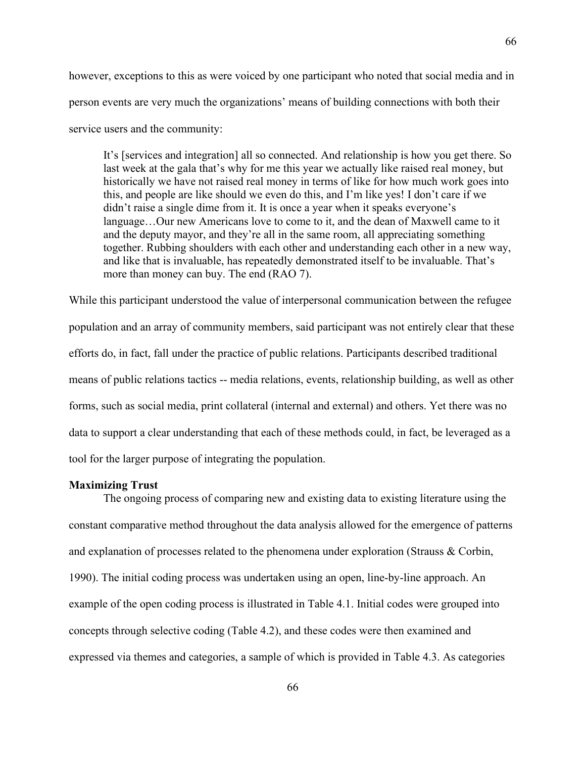however, exceptions to this as were voiced by one participant who noted that social media and in person events are very much the organizations' means of building connections with both their service users and the community:

It's [services and integration] all so connected. And relationship is how you get there. So last week at the gala that's why for me this year we actually like raised real money, but historically we have not raised real money in terms of like for how much work goes into this, and people are like should we even do this, and I'm like yes! I don't care if we didn't raise a single dime from it. It is once a year when it speaks everyone's language…Our new Americans love to come to it, and the dean of Maxwell came to it and the deputy mayor, and they're all in the same room, all appreciating something together. Rubbing shoulders with each other and understanding each other in a new way, and like that is invaluable, has repeatedly demonstrated itself to be invaluable. That's more than money can buy. The end (RAO 7).

While this participant understood the value of interpersonal communication between the refugee population and an array of community members, said participant was not entirely clear that these efforts do, in fact, fall under the practice of public relations. Participants described traditional means of public relations tactics -- media relations, events, relationship building, as well as other forms, such as social media, print collateral (internal and external) and others. Yet there was no data to support a clear understanding that each of these methods could, in fact, be leveraged as a tool for the larger purpose of integrating the population.

#### **Maximizing Trust**

The ongoing process of comparing new and existing data to existing literature using the constant comparative method throughout the data analysis allowed for the emergence of patterns and explanation of processes related to the phenomena under exploration (Strauss & Corbin, 1990). The initial coding process was undertaken using an open, line-by-line approach. An example of the open coding process is illustrated in Table 4.1. Initial codes were grouped into concepts through selective coding (Table 4.2), and these codes were then examined and expressed via themes and categories, a sample of which is provided in Table 4.3. As categories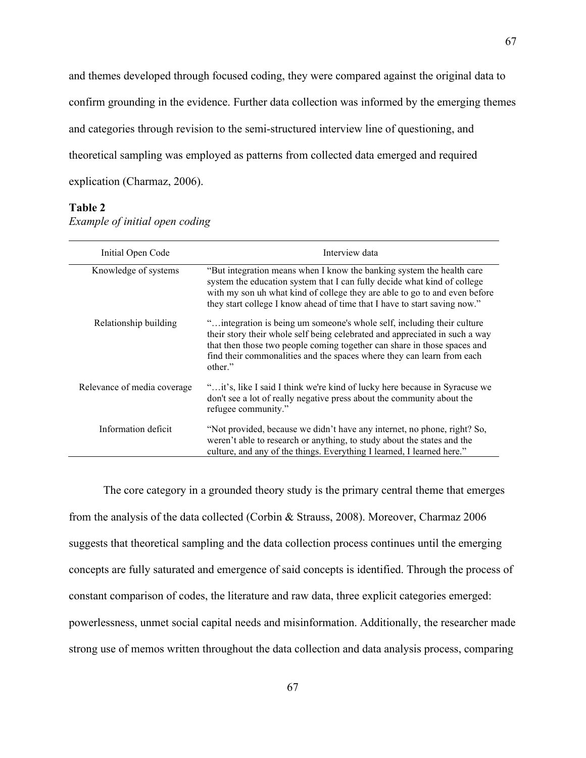and themes developed through focused coding, they were compared against the original data to confirm grounding in the evidence. Further data collection was informed by the emerging themes and categories through revision to the semi-structured interview line of questioning, and theoretical sampling was employed as patterns from collected data emerged and required explication (Charmaz, 2006).

#### **Table 2**

| Initial Open Code           | Interview data                                                                                                                                                                                                                                                                                                          |
|-----------------------------|-------------------------------------------------------------------------------------------------------------------------------------------------------------------------------------------------------------------------------------------------------------------------------------------------------------------------|
| Knowledge of systems        | "But integration means when I know the banking system the health care<br>system the education system that I can fully decide what kind of college<br>with my son uh what kind of college they are able to go to and even before<br>they start college I know ahead of time that I have to start saving now."            |
| Relationship building       | " integration is being um someone's whole self, including their culture<br>their story their whole self being celebrated and appreciated in such a way<br>that then those two people coming together can share in those spaces and<br>find their commonalities and the spaces where they can learn from each<br>other." |
| Relevance of media coverage | "it's, like I said I think we're kind of lucky here because in Syracuse we<br>don't see a lot of really negative press about the community about the<br>refugee community."                                                                                                                                             |
| Information deficit         | "Not provided, because we didn't have any internet, no phone, right? So,<br>weren't able to research or anything, to study about the states and the<br>culture, and any of the things. Everything I learned, I learned here."                                                                                           |

The core category in a grounded theory study is the primary central theme that emerges from the analysis of the data collected (Corbin & Strauss, 2008). Moreover, Charmaz 2006 suggests that theoretical sampling and the data collection process continues until the emerging concepts are fully saturated and emergence of said concepts is identified. Through the process of constant comparison of codes, the literature and raw data, three explicit categories emerged: powerlessness, unmet social capital needs and misinformation. Additionally, the researcher made strong use of memos written throughout the data collection and data analysis process, comparing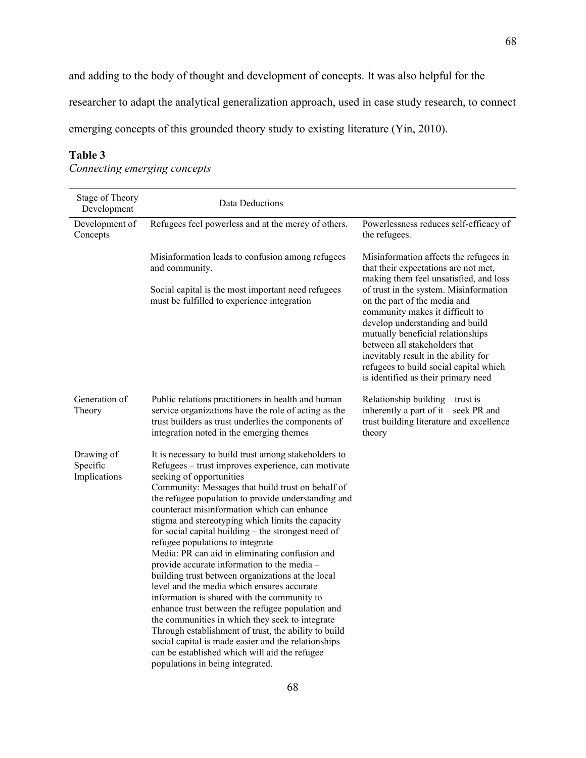researcher to adapt the analytical generalization approach, used in case study research, to connect

emerging concepts of this grounded theory study to existing literature (Yin, 2010).

# **Table 3**

*Connecting emerging concepts*

| Stage of Theory<br>Development         | Data Deductions                                                                                                                                                                                                                                                                                                                                                                                                                                                                                                                                                                                                                                                                                                                                                                                                                                                                                                                                                                                                   |                                                                                                                                                                                                                                                                                                                                             |
|----------------------------------------|-------------------------------------------------------------------------------------------------------------------------------------------------------------------------------------------------------------------------------------------------------------------------------------------------------------------------------------------------------------------------------------------------------------------------------------------------------------------------------------------------------------------------------------------------------------------------------------------------------------------------------------------------------------------------------------------------------------------------------------------------------------------------------------------------------------------------------------------------------------------------------------------------------------------------------------------------------------------------------------------------------------------|---------------------------------------------------------------------------------------------------------------------------------------------------------------------------------------------------------------------------------------------------------------------------------------------------------------------------------------------|
| Development of<br>Concepts             | Refugees feel powerless and at the mercy of others.                                                                                                                                                                                                                                                                                                                                                                                                                                                                                                                                                                                                                                                                                                                                                                                                                                                                                                                                                               | Powerlessness reduces self-efficacy of<br>the refugees.                                                                                                                                                                                                                                                                                     |
|                                        | Misinformation leads to confusion among refugees<br>and community.                                                                                                                                                                                                                                                                                                                                                                                                                                                                                                                                                                                                                                                                                                                                                                                                                                                                                                                                                | Misinformation affects the refugees in<br>that their expectations are not met,<br>making them feel unsatisfied, and loss                                                                                                                                                                                                                    |
|                                        | Social capital is the most important need refugees<br>must be fulfilled to experience integration                                                                                                                                                                                                                                                                                                                                                                                                                                                                                                                                                                                                                                                                                                                                                                                                                                                                                                                 | of trust in the system. Misinformation<br>on the part of the media and<br>community makes it difficult to<br>develop understanding and build<br>mutually beneficial relationships<br>between all stakeholders that<br>inevitably result in the ability for<br>refugees to build social capital which<br>is identified as their primary need |
| Generation of<br>Theory                | Public relations practitioners in health and human<br>service organizations have the role of acting as the<br>trust builders as trust underlies the components of<br>integration noted in the emerging themes                                                                                                                                                                                                                                                                                                                                                                                                                                                                                                                                                                                                                                                                                                                                                                                                     | Relationship building – trust is<br>inherently a part of it – seek PR and<br>trust building literature and excellence<br>theory                                                                                                                                                                                                             |
| Drawing of<br>Specific<br>Implications | It is necessary to build trust among stakeholders to<br>Refugees – trust improves experience, can motivate<br>seeking of opportunities<br>Community: Messages that build trust on behalf of<br>the refugee population to provide understanding and<br>counteract misinformation which can enhance<br>stigma and stereotyping which limits the capacity<br>for social capital building $-$ the strongest need of<br>refugee populations to integrate<br>Media: PR can aid in eliminating confusion and<br>provide accurate information to the media -<br>building trust between organizations at the local<br>level and the media which ensures accurate<br>information is shared with the community to<br>enhance trust between the refugee population and<br>the communities in which they seek to integrate<br>Through establishment of trust, the ability to build<br>social capital is made easier and the relationships<br>can be established which will aid the refugee<br>populations in being integrated. |                                                                                                                                                                                                                                                                                                                                             |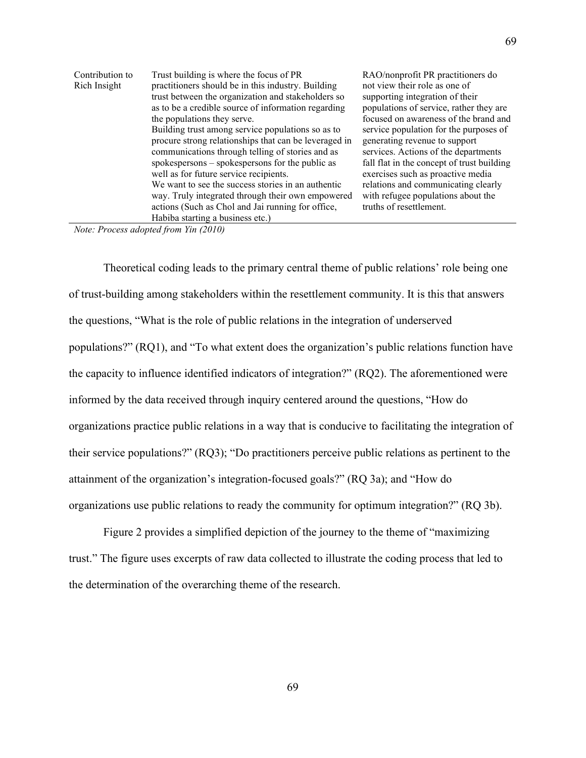| Contribution to | Trust building is where the focus of PR               | RAO/nonprofit PR practitioners do          |
|-----------------|-------------------------------------------------------|--------------------------------------------|
| Rich Insight    | practitioners should be in this industry. Building    | not view their role as one of              |
|                 | trust between the organization and stakeholders so    | supporting integration of their            |
|                 | as to be a credible source of information regarding   | populations of service, rather they are    |
|                 | the populations they serve.                           | focused on awareness of the brand and      |
|                 | Building trust among service populations so as to     | service population for the purposes of     |
|                 | procure strong relationships that can be leveraged in | generating revenue to support              |
|                 | communications through telling of stories and as      | services. Actions of the departments       |
|                 | spokespersons – spokespersons for the public as       | fall flat in the concept of trust building |
|                 | well as for future service recipients.                | exercises such as proactive media          |
|                 | We want to see the success stories in an authentic    | relations and communicating clearly        |
|                 | way. Truly integrated through their own empowered     | with refugee populations about the         |
|                 | actions (Such as Chol and Jai running for office,     | truths of resettlement.                    |
|                 | Habiba starting a business etc.)                      |                                            |

*Note: Process adopted from Yin (2010)*

Theoretical coding leads to the primary central theme of public relations' role being one of trust-building among stakeholders within the resettlement community. It is this that answers the questions, "What is the role of public relations in the integration of underserved populations?" (RQ1), and "To what extent does the organization's public relations function have the capacity to influence identified indicators of integration?" (RQ2). The aforementioned were informed by the data received through inquiry centered around the questions, "How do organizations practice public relations in a way that is conducive to facilitating the integration of their service populations?" (RQ3); "Do practitioners perceive public relations as pertinent to the attainment of the organization's integration-focused goals?" (RQ 3a); and "How do organizations use public relations to ready the community for optimum integration?" (RQ 3b).

Figure 2 provides a simplified depiction of the journey to the theme of "maximizing trust." The figure uses excerpts of raw data collected to illustrate the coding process that led to the determination of the overarching theme of the research.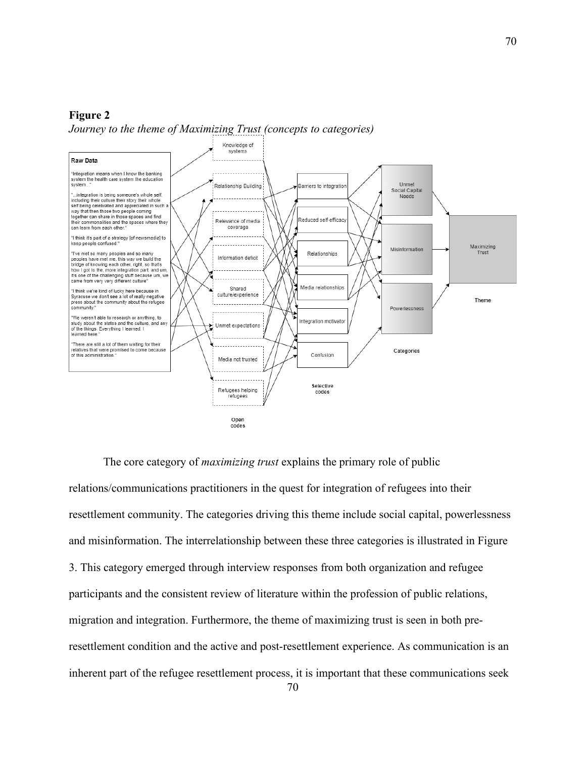#### **Figure 2**



*Journey to the theme of Maximizing Trust (concepts to categories)*

The core category of *maximizing trust* explains the primary role of public relations/communications practitioners in the quest for integration of refugees into their resettlement community. The categories driving this theme include social capital, powerlessness and misinformation. The interrelationship between these three categories is illustrated in Figure 3. This category emerged through interview responses from both organization and refugee participants and the consistent review of literature within the profession of public relations, migration and integration. Furthermore, the theme of maximizing trust is seen in both preresettlement condition and the active and post-resettlement experience. As communication is an inherent part of the refugee resettlement process, it is important that these communications seek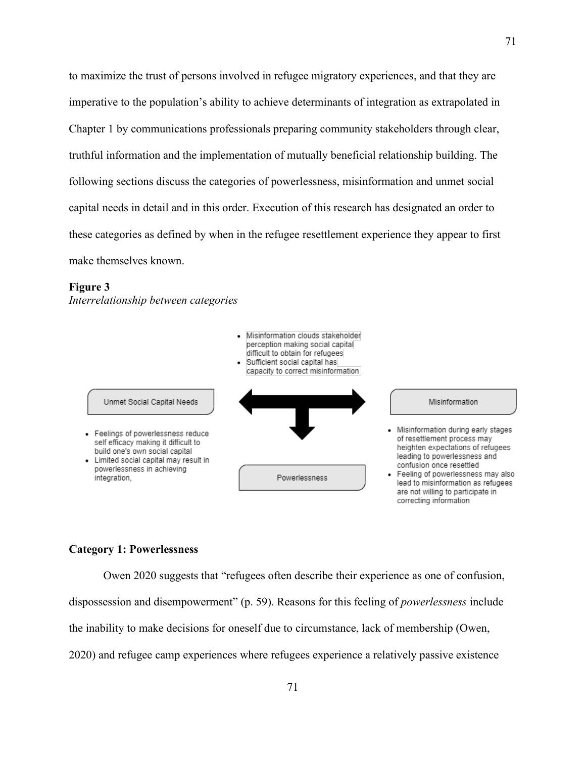to maximize the trust of persons involved in refugee migratory experiences, and that they are imperative to the population's ability to achieve determinants of integration as extrapolated in Chapter 1 by communications professionals preparing community stakeholders through clear, truthful information and the implementation of mutually beneficial relationship building. The following sections discuss the categories of powerlessness, misinformation and unmet social capital needs in detail and in this order. Execution of this research has designated an order to these categories as defined by when in the refugee resettlement experience they appear to first make themselves known.

#### **Figure 3**

*Interrelationship between categories* 



# **Category 1: Powerlessness**

Owen 2020 suggests that "refugees often describe their experience as one of confusion, dispossession and disempowerment" (p. 59). Reasons for this feeling of *powerlessness* include the inability to make decisions for oneself due to circumstance, lack of membership (Owen, 2020) and refugee camp experiences where refugees experience a relatively passive existence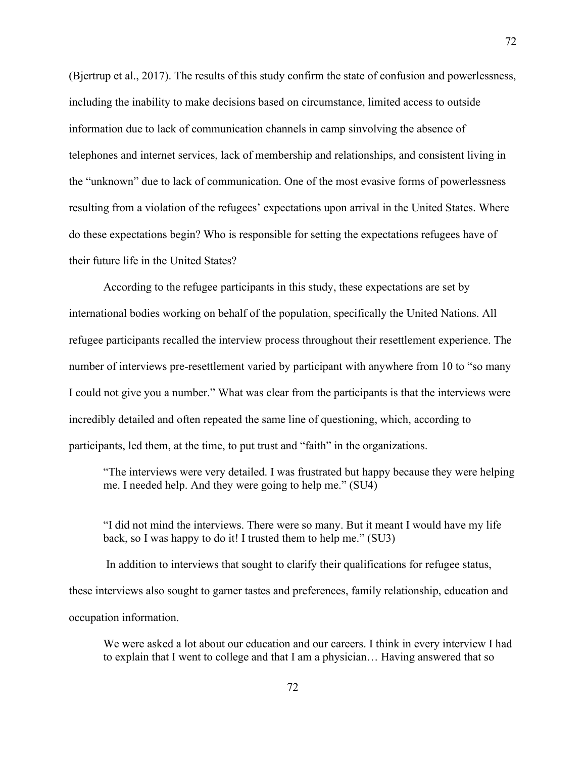(Bjertrup et al., 2017). The results of this study confirm the state of confusion and powerlessness, including the inability to make decisions based on circumstance, limited access to outside information due to lack of communication channels in camp sinvolving the absence of telephones and internet services, lack of membership and relationships, and consistent living in the "unknown" due to lack of communication. One of the most evasive forms of powerlessness resulting from a violation of the refugees' expectations upon arrival in the United States. Where do these expectations begin? Who is responsible for setting the expectations refugees have of their future life in the United States?

According to the refugee participants in this study, these expectations are set by international bodies working on behalf of the population, specifically the United Nations. All refugee participants recalled the interview process throughout their resettlement experience. The number of interviews pre-resettlement varied by participant with anywhere from 10 to "so many I could not give you a number." What was clear from the participants is that the interviews were incredibly detailed and often repeated the same line of questioning, which, according to participants, led them, at the time, to put trust and "faith" in the organizations.

"The interviews were very detailed. I was frustrated but happy because they were helping me. I needed help. And they were going to help me." (SU4)

"I did not mind the interviews. There were so many. But it meant I would have my life back, so I was happy to do it! I trusted them to help me." (SU3)

In addition to interviews that sought to clarify their qualifications for refugee status, these interviews also sought to garner tastes and preferences, family relationship, education and occupation information.

We were asked a lot about our education and our careers. I think in every interview I had to explain that I went to college and that I am a physician… Having answered that so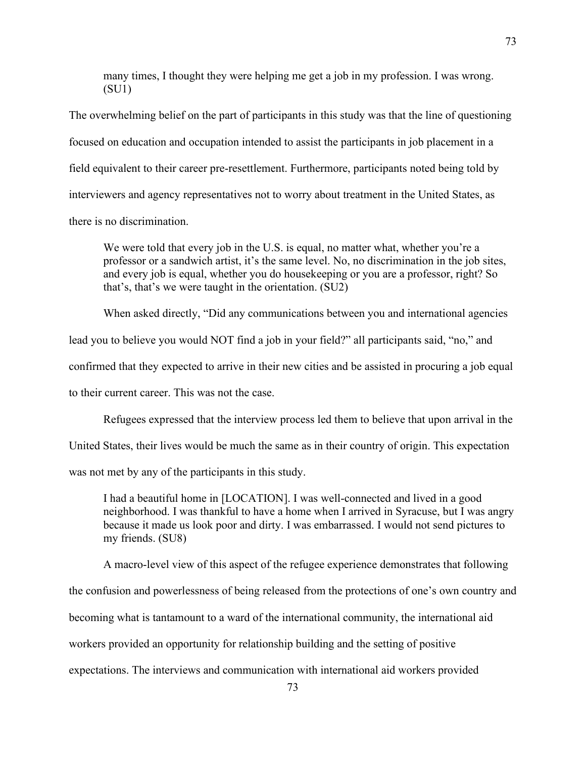many times, I thought they were helping me get a job in my profession. I was wrong. (SU1)

The overwhelming belief on the part of participants in this study was that the line of questioning focused on education and occupation intended to assist the participants in job placement in a field equivalent to their career pre-resettlement. Furthermore, participants noted being told by interviewers and agency representatives not to worry about treatment in the United States, as there is no discrimination.

We were told that every job in the U.S. is equal, no matter what, whether you're a professor or a sandwich artist, it's the same level. No, no discrimination in the job sites, and every job is equal, whether you do housekeeping or you are a professor, right? So that's, that's we were taught in the orientation. (SU2)

When asked directly, "Did any communications between you and international agencies

lead you to believe you would NOT find a job in your field?" all participants said, "no," and

confirmed that they expected to arrive in their new cities and be assisted in procuring a job equal

to their current career. This was not the case.

Refugees expressed that the interview process led them to believe that upon arrival in the

United States, their lives would be much the same as in their country of origin. This expectation

was not met by any of the participants in this study.

I had a beautiful home in [LOCATION]. I was well-connected and lived in a good neighborhood. I was thankful to have a home when I arrived in Syracuse, but I was angry because it made us look poor and dirty. I was embarrassed. I would not send pictures to my friends. (SU8)

A macro-level view of this aspect of the refugee experience demonstrates that following the confusion and powerlessness of being released from the protections of one's own country and becoming what is tantamount to a ward of the international community, the international aid workers provided an opportunity for relationship building and the setting of positive expectations. The interviews and communication with international aid workers provided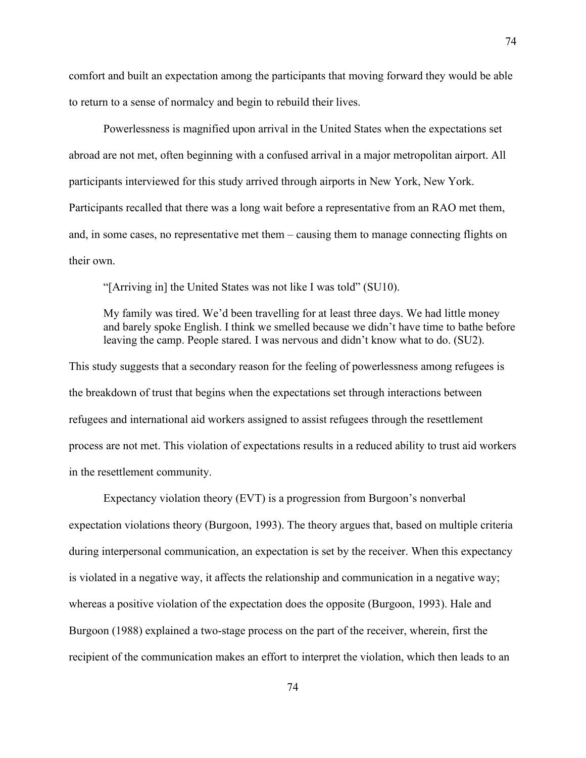comfort and built an expectation among the participants that moving forward they would be able to return to a sense of normalcy and begin to rebuild their lives.

Powerlessness is magnified upon arrival in the United States when the expectations set abroad are not met, often beginning with a confused arrival in a major metropolitan airport. All participants interviewed for this study arrived through airports in New York, New York. Participants recalled that there was a long wait before a representative from an RAO met them, and, in some cases, no representative met them – causing them to manage connecting flights on their own.

"[Arriving in] the United States was not like I was told" (SU10).

My family was tired. We'd been travelling for at least three days. We had little money and barely spoke English. I think we smelled because we didn't have time to bathe before leaving the camp. People stared. I was nervous and didn't know what to do. (SU2).

This study suggests that a secondary reason for the feeling of powerlessness among refugees is the breakdown of trust that begins when the expectations set through interactions between refugees and international aid workers assigned to assist refugees through the resettlement process are not met. This violation of expectations results in a reduced ability to trust aid workers in the resettlement community.

Expectancy violation theory (EVT) is a progression from Burgoon's nonverbal expectation violations theory (Burgoon, 1993). The theory argues that, based on multiple criteria during interpersonal communication, an expectation is set by the receiver. When this expectancy is violated in a negative way, it affects the relationship and communication in a negative way; whereas a positive violation of the expectation does the opposite (Burgoon, 1993). Hale and Burgoon (1988) explained a two-stage process on the part of the receiver, wherein, first the recipient of the communication makes an effort to interpret the violation, which then leads to an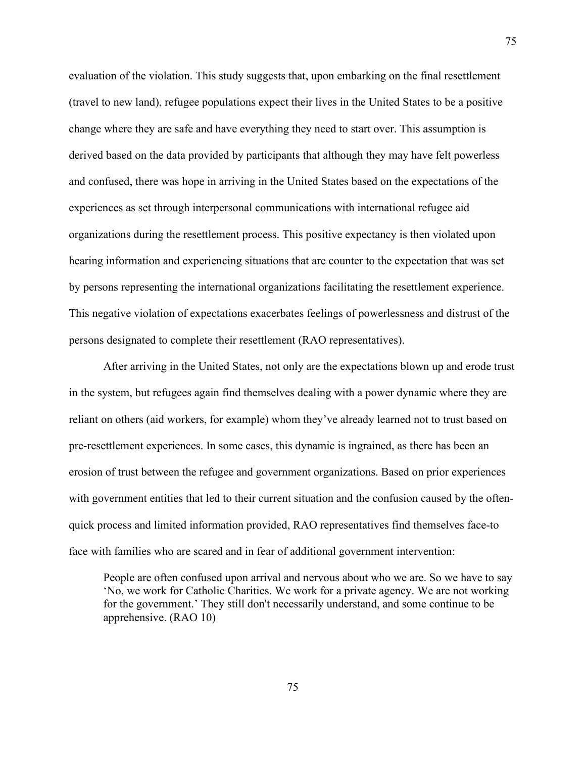evaluation of the violation. This study suggests that, upon embarking on the final resettlement (travel to new land), refugee populations expect their lives in the United States to be a positive change where they are safe and have everything they need to start over. This assumption is derived based on the data provided by participants that although they may have felt powerless and confused, there was hope in arriving in the United States based on the expectations of the experiences as set through interpersonal communications with international refugee aid organizations during the resettlement process. This positive expectancy is then violated upon hearing information and experiencing situations that are counter to the expectation that was set by persons representing the international organizations facilitating the resettlement experience. This negative violation of expectations exacerbates feelings of powerlessness and distrust of the persons designated to complete their resettlement (RAO representatives).

After arriving in the United States, not only are the expectations blown up and erode trust in the system, but refugees again find themselves dealing with a power dynamic where they are reliant on others (aid workers, for example) whom they've already learned not to trust based on pre-resettlement experiences. In some cases, this dynamic is ingrained, as there has been an erosion of trust between the refugee and government organizations. Based on prior experiences with government entities that led to their current situation and the confusion caused by the oftenquick process and limited information provided, RAO representatives find themselves face-to face with families who are scared and in fear of additional government intervention:

People are often confused upon arrival and nervous about who we are. So we have to say 'No, we work for Catholic Charities. We work for a private agency. We are not working for the government.' They still don't necessarily understand, and some continue to be apprehensive. (RAO 10)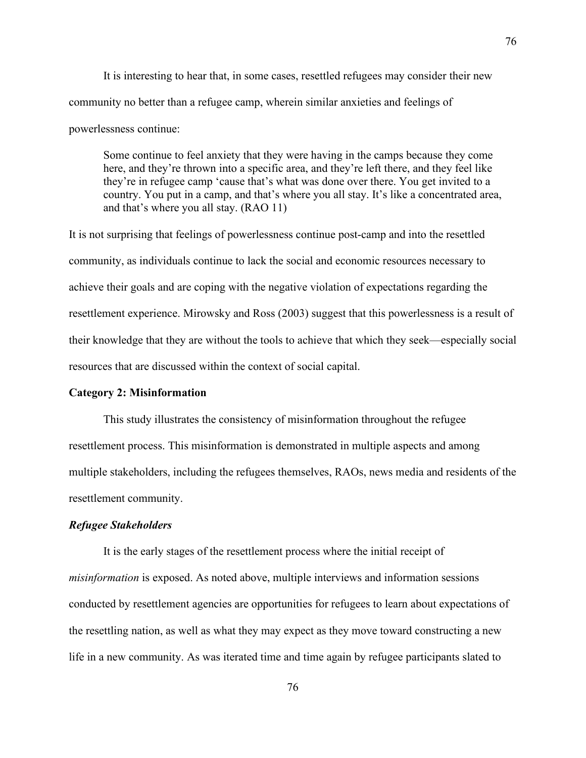It is interesting to hear that, in some cases, resettled refugees may consider their new community no better than a refugee camp, wherein similar anxieties and feelings of powerlessness continue:

Some continue to feel anxiety that they were having in the camps because they come here, and they're thrown into a specific area, and they're left there, and they feel like they're in refugee camp 'cause that's what was done over there. You get invited to a country. You put in a camp, and that's where you all stay. It's like a concentrated area, and that's where you all stay. (RAO 11)

It is not surprising that feelings of powerlessness continue post-camp and into the resettled community, as individuals continue to lack the social and economic resources necessary to achieve their goals and are coping with the negative violation of expectations regarding the resettlement experience. Mirowsky and Ross (2003) suggest that this powerlessness is a result of their knowledge that they are without the tools to achieve that which they seek—especially social resources that are discussed within the context of social capital.

#### **Category 2: Misinformation**

This study illustrates the consistency of misinformation throughout the refugee resettlement process. This misinformation is demonstrated in multiple aspects and among multiple stakeholders, including the refugees themselves, RAOs, news media and residents of the resettlement community.

#### *Refugee Stakeholders*

It is the early stages of the resettlement process where the initial receipt of *misinformation* is exposed. As noted above, multiple interviews and information sessions conducted by resettlement agencies are opportunities for refugees to learn about expectations of the resettling nation, as well as what they may expect as they move toward constructing a new life in a new community. As was iterated time and time again by refugee participants slated to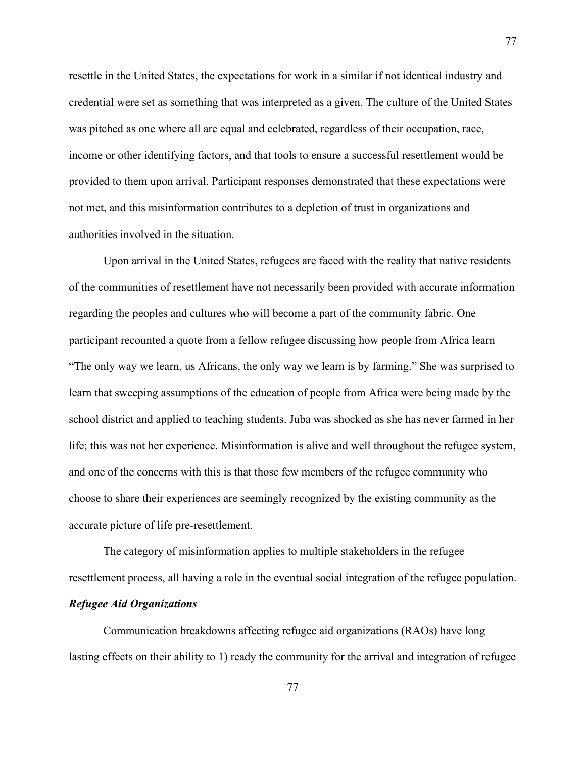resettle in the United States, the expectations for work in a similar if not identical industry and credential were set as something that was interpreted as a given. The culture of the United States was pitched as one where all are equal and celebrated, regardless of their occupation, race, income or other identifying factors, and that tools to ensure a successful resettlement would be provided to them upon arrival. Participant responses demonstrated that these expectations were not met, and this misinformation contributes to a depletion of trust in organizations and authorities involved in the situation.

Upon arrival in the United States, refugees are faced with the reality that native residents of the communities of resettlement have not necessarily been provided with accurate information regarding the peoples and cultures who will become a part of the community fabric. One participant recounted a quote from a fellow refugee discussing how people from Africa learn "The only way we learn, us Africans, the only way we learn is by farming." She was surprised to learn that sweeping assumptions of the education of people from Africa were being made by the school district and applied to teaching students. Juba was shocked as she has never farmed in her life; this was not her experience. Misinformation is alive and well throughout the refugee system, and one of the concerns with this is that those few members of the refugee community who choose to share their experiences are seemingly recognized by the existing community as the accurate picture of life pre-resettlement.

The category of misinformation applies to multiple stakeholders in the refugee resettlement process, all having a role in the eventual social integration of the refugee population.

### *Refugee Aid Organizations*

Communication breakdowns affecting refugee aid organizations (RAOs) have long lasting effects on their ability to 1) ready the community for the arrival and integration of refugee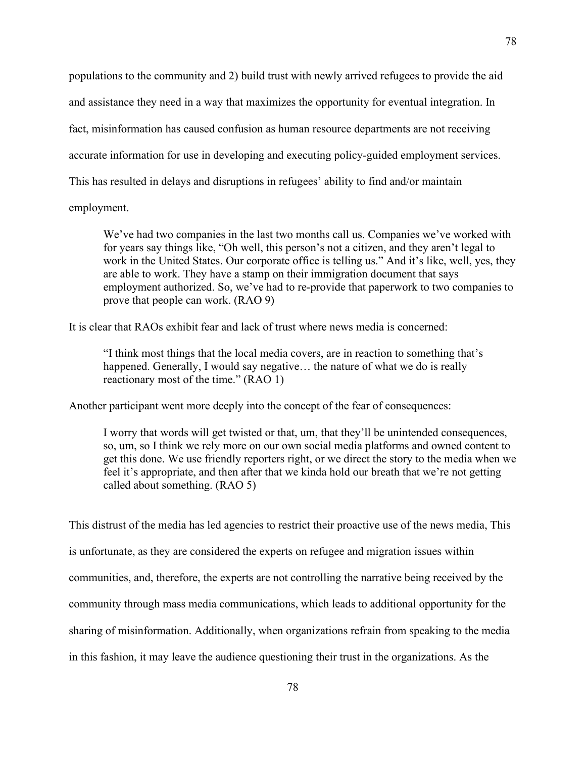populations to the community and 2) build trust with newly arrived refugees to provide the aid and assistance they need in a way that maximizes the opportunity for eventual integration. In fact, misinformation has caused confusion as human resource departments are not receiving accurate information for use in developing and executing policy-guided employment services. This has resulted in delays and disruptions in refugees' ability to find and/or maintain

employment.

We've had two companies in the last two months call us. Companies we've worked with for years say things like, "Oh well, this person's not a citizen, and they aren't legal to work in the United States. Our corporate office is telling us." And it's like, well, yes, they are able to work. They have a stamp on their immigration document that says employment authorized. So, we've had to re-provide that paperwork to two companies to prove that people can work. (RAO 9)

It is clear that RAOs exhibit fear and lack of trust where news media is concerned:

"I think most things that the local media covers, are in reaction to something that's happened. Generally, I would say negative... the nature of what we do is really reactionary most of the time." (RAO 1)

Another participant went more deeply into the concept of the fear of consequences:

I worry that words will get twisted or that, um, that they'll be unintended consequences, so, um, so I think we rely more on our own social media platforms and owned content to get this done. We use friendly reporters right, or we direct the story to the media when we feel it's appropriate, and then after that we kinda hold our breath that we're not getting called about something. (RAO 5)

This distrust of the media has led agencies to restrict their proactive use of the news media, This is unfortunate, as they are considered the experts on refugee and migration issues within communities, and, therefore, the experts are not controlling the narrative being received by the community through mass media communications, which leads to additional opportunity for the sharing of misinformation. Additionally, when organizations refrain from speaking to the media in this fashion, it may leave the audience questioning their trust in the organizations. As the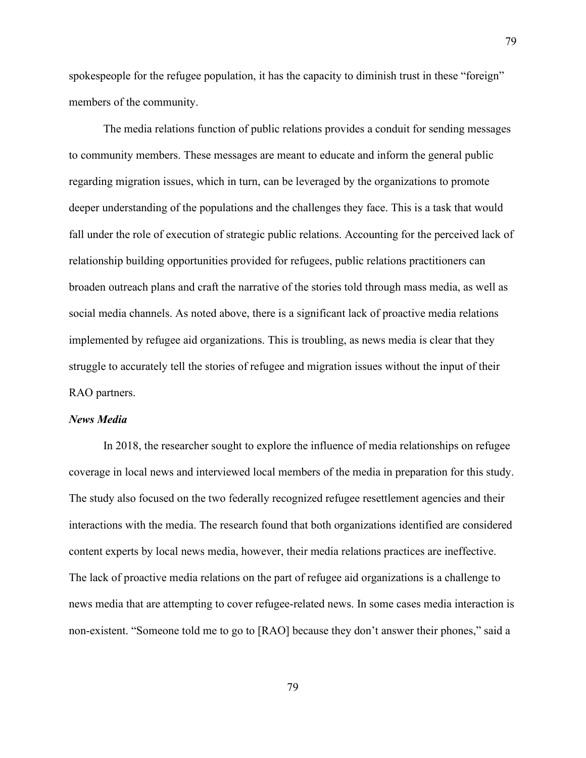spokespeople for the refugee population, it has the capacity to diminish trust in these "foreign" members of the community.

The media relations function of public relations provides a conduit for sending messages to community members. These messages are meant to educate and inform the general public regarding migration issues, which in turn, can be leveraged by the organizations to promote deeper understanding of the populations and the challenges they face. This is a task that would fall under the role of execution of strategic public relations. Accounting for the perceived lack of relationship building opportunities provided for refugees, public relations practitioners can broaden outreach plans and craft the narrative of the stories told through mass media, as well as social media channels. As noted above, there is a significant lack of proactive media relations implemented by refugee aid organizations. This is troubling, as news media is clear that they struggle to accurately tell the stories of refugee and migration issues without the input of their RAO partners.

#### *News Media*

In 2018, the researcher sought to explore the influence of media relationships on refugee coverage in local news and interviewed local members of the media in preparation for this study. The study also focused on the two federally recognized refugee resettlement agencies and their interactions with the media. The research found that both organizations identified are considered content experts by local news media, however, their media relations practices are ineffective. The lack of proactive media relations on the part of refugee aid organizations is a challenge to news media that are attempting to cover refugee-related news. In some cases media interaction is non-existent. "Someone told me to go to [RAO] because they don't answer their phones," said a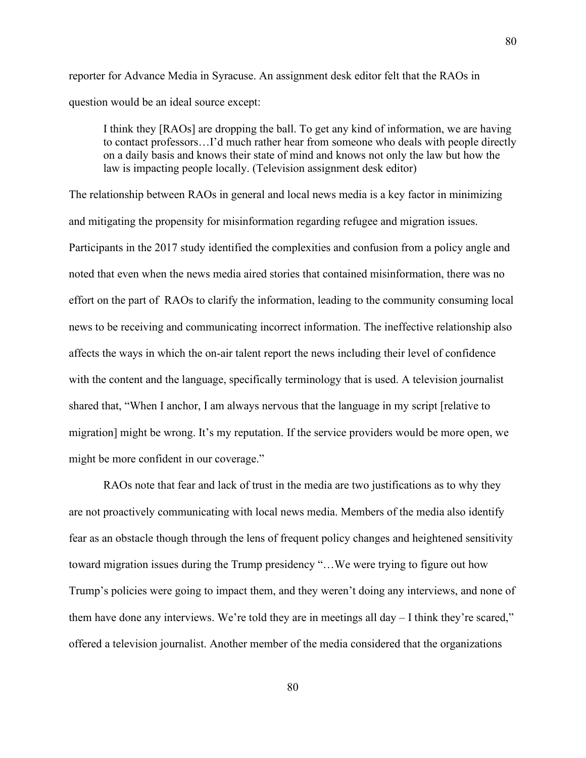reporter for Advance Media in Syracuse. An assignment desk editor felt that the RAOs in question would be an ideal source except:

I think they [RAOs] are dropping the ball. To get any kind of information, we are having to contact professors…I'd much rather hear from someone who deals with people directly on a daily basis and knows their state of mind and knows not only the law but how the law is impacting people locally. (Television assignment desk editor)

The relationship between RAOs in general and local news media is a key factor in minimizing and mitigating the propensity for misinformation regarding refugee and migration issues. Participants in the 2017 study identified the complexities and confusion from a policy angle and noted that even when the news media aired stories that contained misinformation, there was no effort on the part of RAOs to clarify the information, leading to the community consuming local news to be receiving and communicating incorrect information. The ineffective relationship also affects the ways in which the on-air talent report the news including their level of confidence with the content and the language, specifically terminology that is used. A television journalist shared that, "When I anchor, I am always nervous that the language in my script [relative to migration] might be wrong. It's my reputation. If the service providers would be more open, we might be more confident in our coverage."

RAOs note that fear and lack of trust in the media are two justifications as to why they are not proactively communicating with local news media. Members of the media also identify fear as an obstacle though through the lens of frequent policy changes and heightened sensitivity toward migration issues during the Trump presidency "…We were trying to figure out how Trump's policies were going to impact them, and they weren't doing any interviews, and none of them have done any interviews. We're told they are in meetings all day – I think they're scared," offered a television journalist. Another member of the media considered that the organizations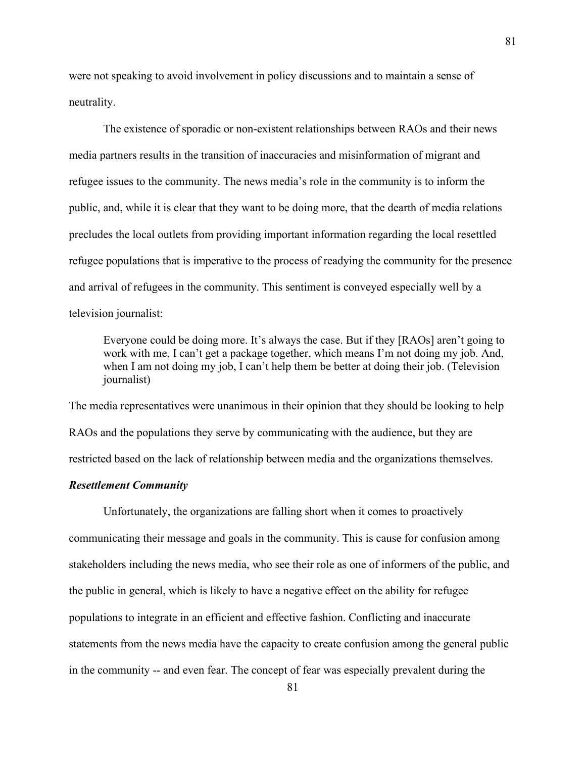were not speaking to avoid involvement in policy discussions and to maintain a sense of neutrality.

The existence of sporadic or non-existent relationships between RAOs and their news media partners results in the transition of inaccuracies and misinformation of migrant and refugee issues to the community. The news media's role in the community is to inform the public, and, while it is clear that they want to be doing more, that the dearth of media relations precludes the local outlets from providing important information regarding the local resettled refugee populations that is imperative to the process of readying the community for the presence and arrival of refugees in the community. This sentiment is conveyed especially well by a television journalist:

Everyone could be doing more. It's always the case. But if they [RAOs] aren't going to work with me, I can't get a package together, which means I'm not doing my job. And, when I am not doing my job, I can't help them be better at doing their job. (Television journalist)

The media representatives were unanimous in their opinion that they should be looking to help RAOs and the populations they serve by communicating with the audience, but they are restricted based on the lack of relationship between media and the organizations themselves.

#### *Resettlement Community*

Unfortunately, the organizations are falling short when it comes to proactively communicating their message and goals in the community. This is cause for confusion among stakeholders including the news media, who see their role as one of informers of the public, and the public in general, which is likely to have a negative effect on the ability for refugee populations to integrate in an efficient and effective fashion. Conflicting and inaccurate statements from the news media have the capacity to create confusion among the general public in the community -- and even fear. The concept of fear was especially prevalent during the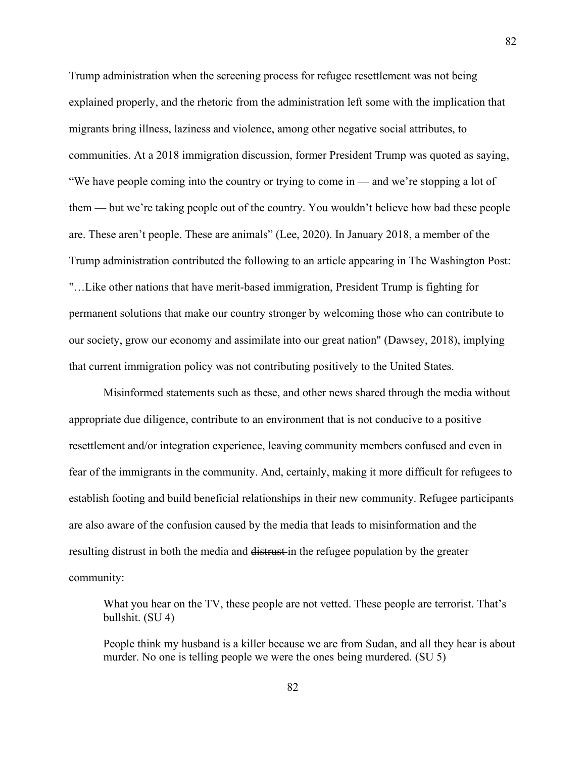Trump administration when the screening process for refugee resettlement was not being explained properly, and the rhetoric from the administration left some with the implication that migrants bring illness, laziness and violence, among other negative social attributes, to communities. At a 2018 immigration discussion, former President Trump was quoted as saying, "We have people coming into the country or trying to come in — and we're stopping a lot of them — but we're taking people out of the country. You wouldn't believe how bad these people are. These aren't people. These are animals" (Lee, 2020). In January 2018, a member of the Trump administration contributed the following to an article appearing in The Washington Post: "…Like other nations that have merit-based immigration, President Trump is fighting for permanent solutions that make our country stronger by welcoming those who can contribute to our society, grow our economy and assimilate into our great nation" (Dawsey, 2018), implying that current immigration policy was not contributing positively to the United States.

Misinformed statements such as these, and other news shared through the media without appropriate due diligence, contribute to an environment that is not conducive to a positive resettlement and/or integration experience, leaving community members confused and even in fear of the immigrants in the community. And, certainly, making it more difficult for refugees to establish footing and build beneficial relationships in their new community. Refugee participants are also aware of the confusion caused by the media that leads to misinformation and the resulting distrust in both the media and distrust in the refugee population by the greater community:

What you hear on the TV, these people are not vetted. These people are terrorist. That's bullshit. (SU 4)

People think my husband is a killer because we are from Sudan, and all they hear is about murder. No one is telling people we were the ones being murdered. (SU 5)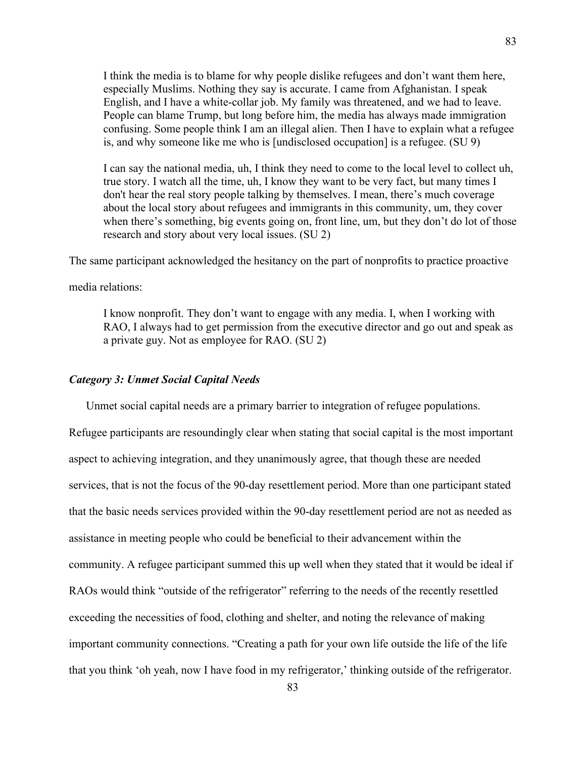I think the media is to blame for why people dislike refugees and don't want them here, especially Muslims. Nothing they say is accurate. I came from Afghanistan. I speak English, and I have a white-collar job. My family was threatened, and we had to leave. People can blame Trump, but long before him, the media has always made immigration confusing. Some people think I am an illegal alien. Then I have to explain what a refugee is, and why someone like me who is [undisclosed occupation] is a refugee. (SU 9)

I can say the national media, uh, I think they need to come to the local level to collect uh, true story. I watch all the time, uh, I know they want to be very fact, but many times I don't hear the real story people talking by themselves. I mean, there's much coverage about the local story about refugees and immigrants in this community, um, they cover when there's something, big events going on, front line, um, but they don't do lot of those research and story about very local issues. (SU 2)

The same participant acknowledged the hesitancy on the part of nonprofits to practice proactive

media relations:

I know nonprofit. They don't want to engage with any media. I, when I working with RAO, I always had to get permission from the executive director and go out and speak as a private guy. Not as employee for RAO. (SU 2)

### *Category 3: Unmet Social Capital Needs*

Unmet social capital needs are a primary barrier to integration of refugee populations. Refugee participants are resoundingly clear when stating that social capital is the most important aspect to achieving integration, and they unanimously agree, that though these are needed services, that is not the focus of the 90-day resettlement period. More than one participant stated that the basic needs services provided within the 90-day resettlement period are not as needed as assistance in meeting people who could be beneficial to their advancement within the community. A refugee participant summed this up well when they stated that it would be ideal if RAOs would think "outside of the refrigerator" referring to the needs of the recently resettled exceeding the necessities of food, clothing and shelter, and noting the relevance of making important community connections. "Creating a path for your own life outside the life of the life that you think 'oh yeah, now I have food in my refrigerator,' thinking outside of the refrigerator.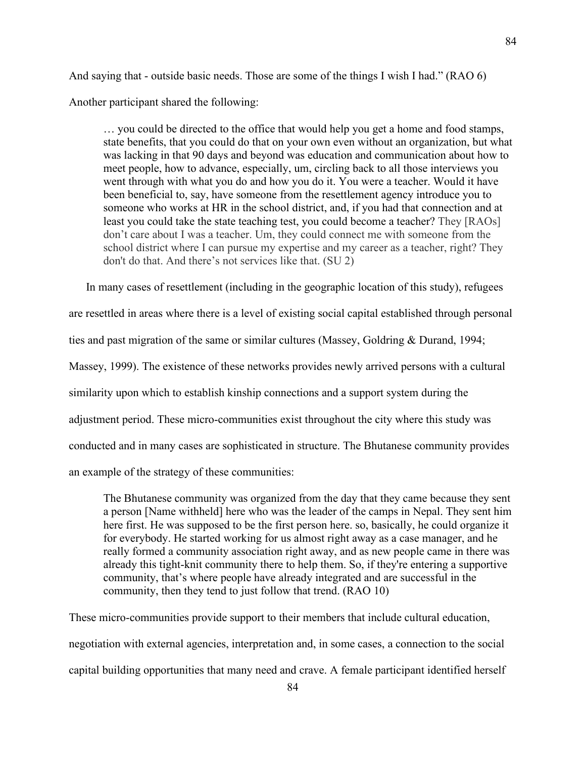And saying that - outside basic needs. Those are some of the things I wish I had." (RAO 6)

Another participant shared the following:

… you could be directed to the office that would help you get a home and food stamps, state benefits, that you could do that on your own even without an organization, but what was lacking in that 90 days and beyond was education and communication about how to meet people, how to advance, especially, um, circling back to all those interviews you went through with what you do and how you do it. You were a teacher. Would it have been beneficial to, say, have someone from the resettlement agency introduce you to someone who works at HR in the school district, and, if you had that connection and at least you could take the state teaching test, you could become a teacher? They [RAOs] don't care about I was a teacher. Um, they could connect me with someone from the school district where I can pursue my expertise and my career as a teacher, right? They don't do that. And there's not services like that. (SU 2)

In many cases of resettlement (including in the geographic location of this study), refugees are resettled in areas where there is a level of existing social capital established through personal ties and past migration of the same or similar cultures (Massey, Goldring & Durand, 1994; Massey, 1999). The existence of these networks provides newly arrived persons with a cultural similarity upon which to establish kinship connections and a support system during the adjustment period. These micro-communities exist throughout the city where this study was conducted and in many cases are sophisticated in structure. The Bhutanese community provides an example of the strategy of these communities:

The Bhutanese community was organized from the day that they came because they sent a person [Name withheld] here who was the leader of the camps in Nepal. They sent him here first. He was supposed to be the first person here. so, basically, he could organize it for everybody. He started working for us almost right away as a case manager, and he really formed a community association right away, and as new people came in there was already this tight-knit community there to help them. So, if they're entering a supportive community, that's where people have already integrated and are successful in the community, then they tend to just follow that trend. (RAO 10)

These micro-communities provide support to their members that include cultural education, negotiation with external agencies, interpretation and, in some cases, a connection to the social capital building opportunities that many need and crave. A female participant identified herself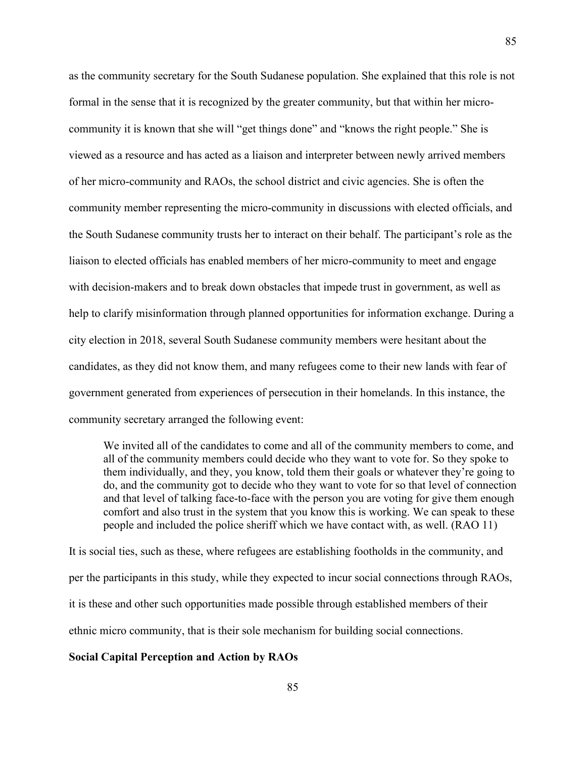as the community secretary for the South Sudanese population. She explained that this role is not formal in the sense that it is recognized by the greater community, but that within her microcommunity it is known that she will "get things done" and "knows the right people." She is viewed as a resource and has acted as a liaison and interpreter between newly arrived members of her micro-community and RAOs, the school district and civic agencies. She is often the community member representing the micro-community in discussions with elected officials, and the South Sudanese community trusts her to interact on their behalf. The participant's role as the liaison to elected officials has enabled members of her micro-community to meet and engage with decision-makers and to break down obstacles that impede trust in government, as well as help to clarify misinformation through planned opportunities for information exchange. During a city election in 2018, several South Sudanese community members were hesitant about the candidates, as they did not know them, and many refugees come to their new lands with fear of government generated from experiences of persecution in their homelands. In this instance, the community secretary arranged the following event:

We invited all of the candidates to come and all of the community members to come, and all of the community members could decide who they want to vote for. So they spoke to them individually, and they, you know, told them their goals or whatever they're going to do, and the community got to decide who they want to vote for so that level of connection and that level of talking face-to-face with the person you are voting for give them enough comfort and also trust in the system that you know this is working. We can speak to these people and included the police sheriff which we have contact with, as well. (RAO 11)

It is social ties, such as these, where refugees are establishing footholds in the community, and per the participants in this study, while they expected to incur social connections through RAOs, it is these and other such opportunities made possible through established members of their ethnic micro community, that is their sole mechanism for building social connections.

#### **Social Capital Perception and Action by RAOs**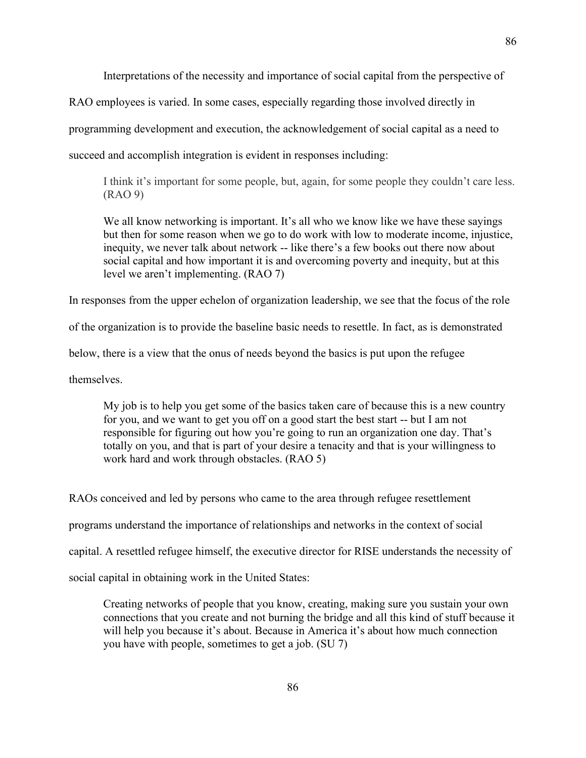86

RAO employees is varied. In some cases, especially regarding those involved directly in

programming development and execution, the acknowledgement of social capital as a need to

succeed and accomplish integration is evident in responses including:

I think it's important for some people, but, again, for some people they couldn't care less. (RAO 9)

We all know networking is important. It's all who we know like we have these sayings but then for some reason when we go to do work with low to moderate income, injustice, inequity, we never talk about network -- like there's a few books out there now about social capital and how important it is and overcoming poverty and inequity, but at this level we aren't implementing. (RAO 7)

In responses from the upper echelon of organization leadership, we see that the focus of the role

of the organization is to provide the baseline basic needs to resettle. In fact, as is demonstrated

below, there is a view that the onus of needs beyond the basics is put upon the refugee

themselves.

My job is to help you get some of the basics taken care of because this is a new country for you, and we want to get you off on a good start the best start -- but I am not responsible for figuring out how you're going to run an organization one day. That's totally on you, and that is part of your desire a tenacity and that is your willingness to work hard and work through obstacles. (RAO 5)

RAOs conceived and led by persons who came to the area through refugee resettlement programs understand the importance of relationships and networks in the context of social capital. A resettled refugee himself, the executive director for RISE understands the necessity of

social capital in obtaining work in the United States:

Creating networks of people that you know, creating, making sure you sustain your own connections that you create and not burning the bridge and all this kind of stuff because it will help you because it's about. Because in America it's about how much connection you have with people, sometimes to get a job. (SU 7)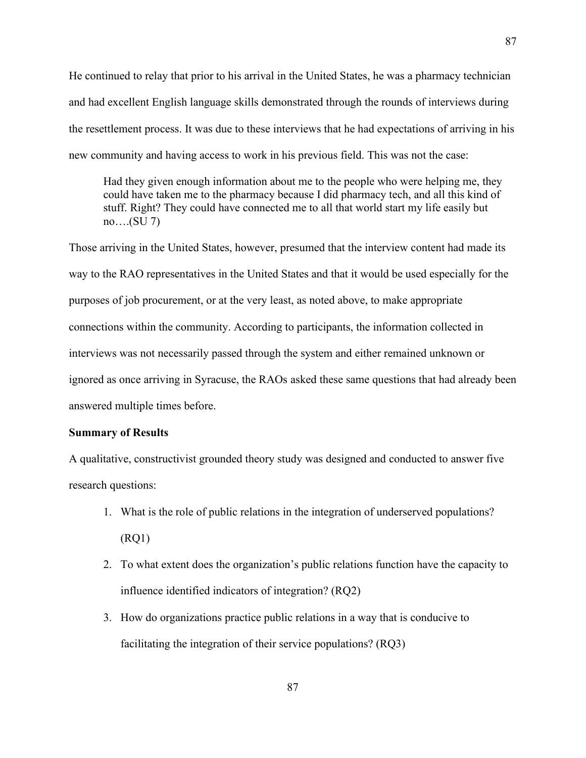He continued to relay that prior to his arrival in the United States, he was a pharmacy technician and had excellent English language skills demonstrated through the rounds of interviews during the resettlement process. It was due to these interviews that he had expectations of arriving in his new community and having access to work in his previous field. This was not the case:

Had they given enough information about me to the people who were helping me, they could have taken me to the pharmacy because I did pharmacy tech, and all this kind of stuff. Right? They could have connected me to all that world start my life easily but no….(SU 7)

Those arriving in the United States, however, presumed that the interview content had made its way to the RAO representatives in the United States and that it would be used especially for the purposes of job procurement, or at the very least, as noted above, to make appropriate connections within the community. According to participants, the information collected in interviews was not necessarily passed through the system and either remained unknown or ignored as once arriving in Syracuse, the RAOs asked these same questions that had already been answered multiple times before.

## **Summary of Results**

A qualitative, constructivist grounded theory study was designed and conducted to answer five research questions:

- 1. What is the role of public relations in the integration of underserved populations? (RQ1)
- 2. To what extent does the organization's public relations function have the capacity to influence identified indicators of integration? (RQ2)
- 3. How do organizations practice public relations in a way that is conducive to facilitating the integration of their service populations? (RQ3)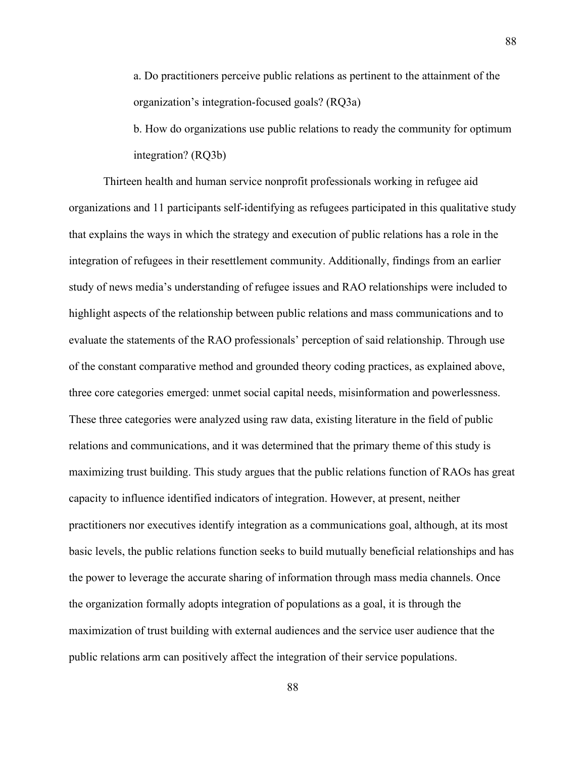a. Do practitioners perceive public relations as pertinent to the attainment of the organization's integration-focused goals? (RQ3a)

b. How do organizations use public relations to ready the community for optimum integration? (RQ3b)

Thirteen health and human service nonprofit professionals working in refugee aid organizations and 11 participants self-identifying as refugees participated in this qualitative study that explains the ways in which the strategy and execution of public relations has a role in the integration of refugees in their resettlement community. Additionally, findings from an earlier study of news media's understanding of refugee issues and RAO relationships were included to highlight aspects of the relationship between public relations and mass communications and to evaluate the statements of the RAO professionals' perception of said relationship. Through use of the constant comparative method and grounded theory coding practices, as explained above, three core categories emerged: unmet social capital needs, misinformation and powerlessness. These three categories were analyzed using raw data, existing literature in the field of public relations and communications, and it was determined that the primary theme of this study is maximizing trust building. This study argues that the public relations function of RAOs has great capacity to influence identified indicators of integration. However, at present, neither practitioners nor executives identify integration as a communications goal, although, at its most basic levels, the public relations function seeks to build mutually beneficial relationships and has the power to leverage the accurate sharing of information through mass media channels. Once the organization formally adopts integration of populations as a goal, it is through the maximization of trust building with external audiences and the service user audience that the public relations arm can positively affect the integration of their service populations.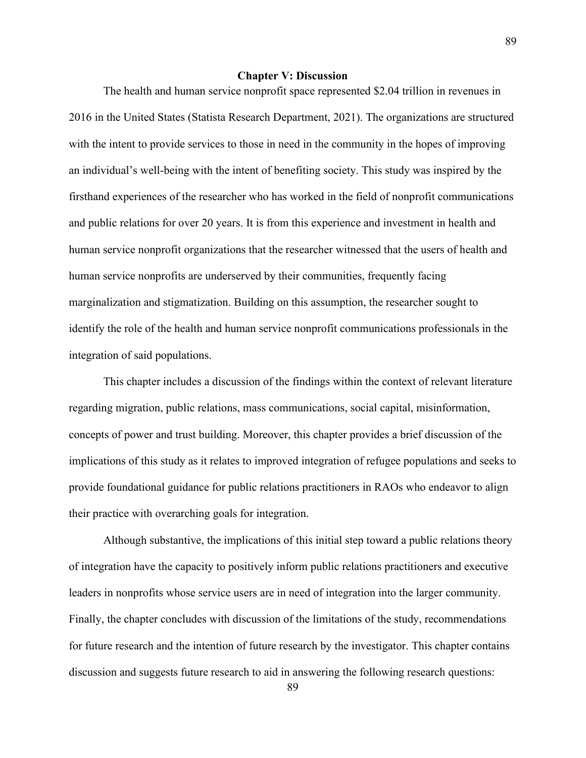# **Chapter V: Discussion**

The health and human service nonprofit space represented \$2.04 trillion in revenues in 2016 in the United States (Statista Research Department, 2021). The organizations are structured with the intent to provide services to those in need in the community in the hopes of improving an individual's well-being with the intent of benefiting society. This study was inspired by the firsthand experiences of the researcher who has worked in the field of nonprofit communications and public relations for over 20 years. It is from this experience and investment in health and human service nonprofit organizations that the researcher witnessed that the users of health and human service nonprofits are underserved by their communities, frequently facing marginalization and stigmatization. Building on this assumption, the researcher sought to identify the role of the health and human service nonprofit communications professionals in the integration of said populations.

This chapter includes a discussion of the findings within the context of relevant literature regarding migration, public relations, mass communications, social capital, misinformation, concepts of power and trust building. Moreover, this chapter provides a brief discussion of the implications of this study as it relates to improved integration of refugee populations and seeks to provide foundational guidance for public relations practitioners in RAOs who endeavor to align their practice with overarching goals for integration.

Although substantive, the implications of this initial step toward a public relations theory of integration have the capacity to positively inform public relations practitioners and executive leaders in nonprofits whose service users are in need of integration into the larger community. Finally, the chapter concludes with discussion of the limitations of the study, recommendations for future research and the intention of future research by the investigator. This chapter contains discussion and suggests future research to aid in answering the following research questions: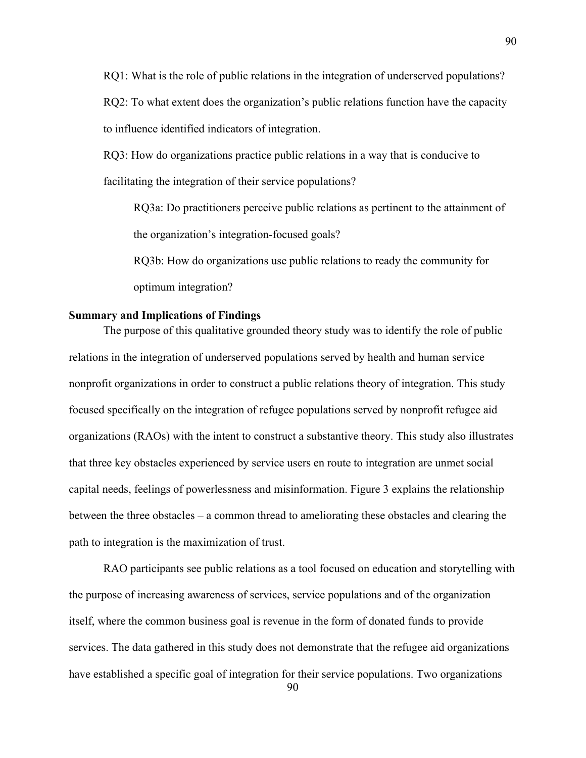RQ1: What is the role of public relations in the integration of underserved populations? RQ2: To what extent does the organization's public relations function have the capacity to influence identified indicators of integration.

RQ3: How do organizations practice public relations in a way that is conducive to facilitating the integration of their service populations?

RQ3a: Do practitioners perceive public relations as pertinent to the attainment of the organization's integration-focused goals?

RQ3b: How do organizations use public relations to ready the community for optimum integration?

# **Summary and Implications of Findings**

The purpose of this qualitative grounded theory study was to identify the role of public relations in the integration of underserved populations served by health and human service nonprofit organizations in order to construct a public relations theory of integration. This study focused specifically on the integration of refugee populations served by nonprofit refugee aid organizations (RAOs) with the intent to construct a substantive theory. This study also illustrates that three key obstacles experienced by service users en route to integration are unmet social capital needs, feelings of powerlessness and misinformation. Figure 3 explains the relationship between the three obstacles – a common thread to ameliorating these obstacles and clearing the path to integration is the maximization of trust.

RAO participants see public relations as a tool focused on education and storytelling with the purpose of increasing awareness of services, service populations and of the organization itself, where the common business goal is revenue in the form of donated funds to provide services. The data gathered in this study does not demonstrate that the refugee aid organizations have established a specific goal of integration for their service populations. Two organizations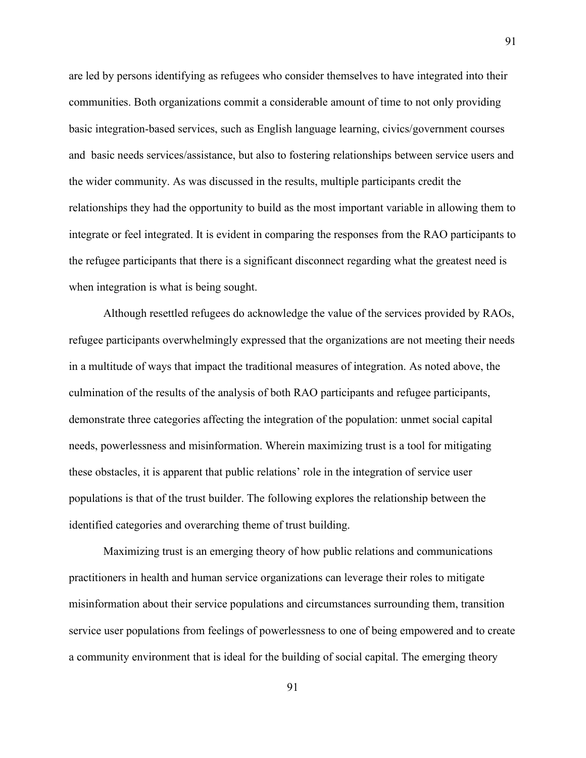are led by persons identifying as refugees who consider themselves to have integrated into their communities. Both organizations commit a considerable amount of time to not only providing basic integration-based services, such as English language learning, civics/government courses and basic needs services/assistance, but also to fostering relationships between service users and the wider community. As was discussed in the results, multiple participants credit the relationships they had the opportunity to build as the most important variable in allowing them to integrate or feel integrated. It is evident in comparing the responses from the RAO participants to the refugee participants that there is a significant disconnect regarding what the greatest need is when integration is what is being sought.

Although resettled refugees do acknowledge the value of the services provided by RAOs, refugee participants overwhelmingly expressed that the organizations are not meeting their needs in a multitude of ways that impact the traditional measures of integration. As noted above, the culmination of the results of the analysis of both RAO participants and refugee participants, demonstrate three categories affecting the integration of the population: unmet social capital needs, powerlessness and misinformation. Wherein maximizing trust is a tool for mitigating these obstacles, it is apparent that public relations' role in the integration of service user populations is that of the trust builder. The following explores the relationship between the identified categories and overarching theme of trust building.

Maximizing trust is an emerging theory of how public relations and communications practitioners in health and human service organizations can leverage their roles to mitigate misinformation about their service populations and circumstances surrounding them, transition service user populations from feelings of powerlessness to one of being empowered and to create a community environment that is ideal for the building of social capital. The emerging theory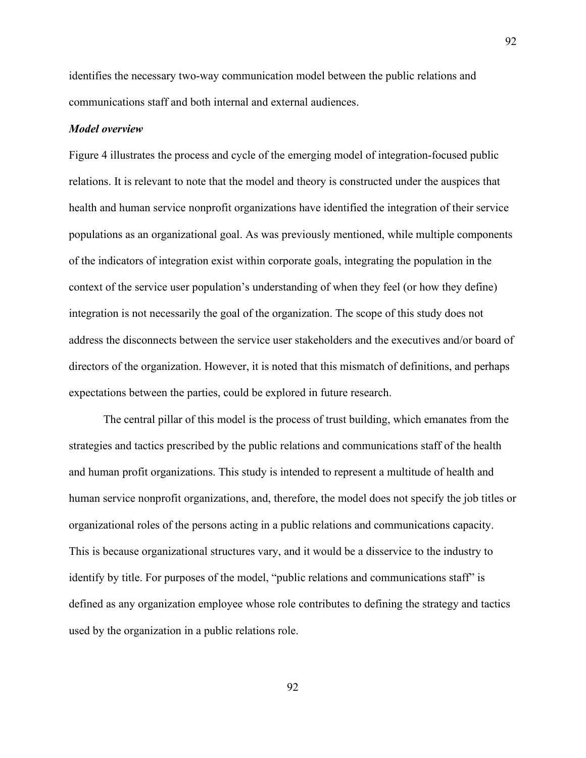identifies the necessary two-way communication model between the public relations and communications staff and both internal and external audiences.

#### *Model overview*

Figure 4 illustrates the process and cycle of the emerging model of integration-focused public relations. It is relevant to note that the model and theory is constructed under the auspices that health and human service nonprofit organizations have identified the integration of their service populations as an organizational goal. As was previously mentioned, while multiple components of the indicators of integration exist within corporate goals, integrating the population in the context of the service user population's understanding of when they feel (or how they define) integration is not necessarily the goal of the organization. The scope of this study does not address the disconnects between the service user stakeholders and the executives and/or board of directors of the organization. However, it is noted that this mismatch of definitions, and perhaps expectations between the parties, could be explored in future research.

The central pillar of this model is the process of trust building, which emanates from the strategies and tactics prescribed by the public relations and communications staff of the health and human profit organizations. This study is intended to represent a multitude of health and human service nonprofit organizations, and, therefore, the model does not specify the job titles or organizational roles of the persons acting in a public relations and communications capacity. This is because organizational structures vary, and it would be a disservice to the industry to identify by title. For purposes of the model, "public relations and communications staff" is defined as any organization employee whose role contributes to defining the strategy and tactics used by the organization in a public relations role.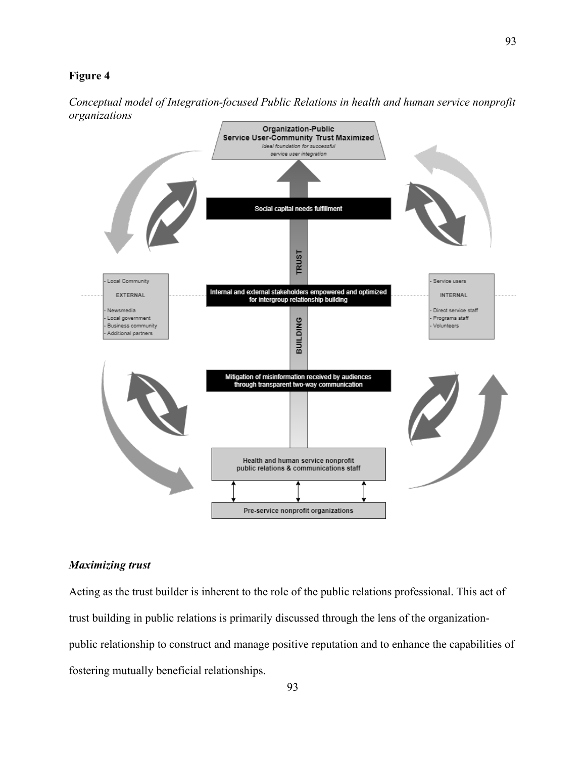## **Figure 4**





## *Maximizing trust*

Acting as the trust builder is inherent to the role of the public relations professional. This act of trust building in public relations is primarily discussed through the lens of the organizationpublic relationship to construct and manage positive reputation and to enhance the capabilities of fostering mutually beneficial relationships.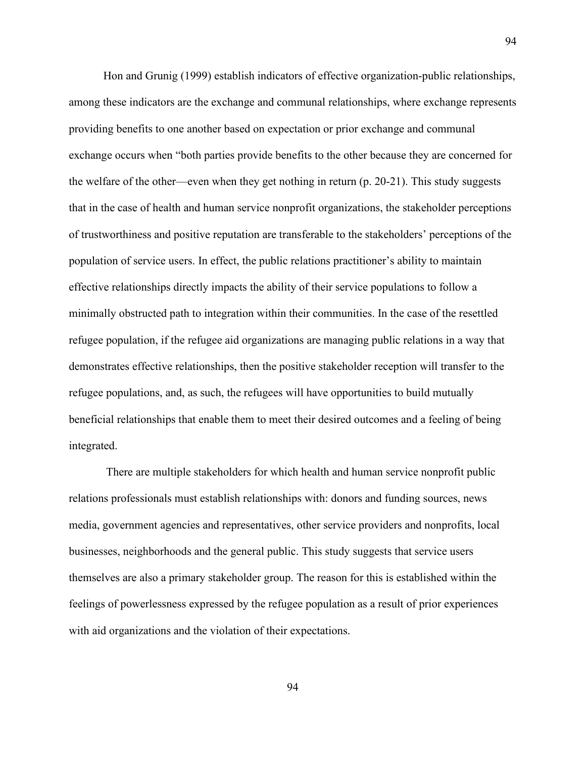Hon and Grunig (1999) establish indicators of effective organization-public relationships, among these indicators are the exchange and communal relationships, where exchange represents providing benefits to one another based on expectation or prior exchange and communal exchange occurs when "both parties provide benefits to the other because they are concerned for the welfare of the other—even when they get nothing in return (p. 20-21). This study suggests that in the case of health and human service nonprofit organizations, the stakeholder perceptions of trustworthiness and positive reputation are transferable to the stakeholders' perceptions of the population of service users. In effect, the public relations practitioner's ability to maintain effective relationships directly impacts the ability of their service populations to follow a minimally obstructed path to integration within their communities. In the case of the resettled refugee population, if the refugee aid organizations are managing public relations in a way that demonstrates effective relationships, then the positive stakeholder reception will transfer to the refugee populations, and, as such, the refugees will have opportunities to build mutually beneficial relationships that enable them to meet their desired outcomes and a feeling of being integrated.

94

There are multiple stakeholders for which health and human service nonprofit public relations professionals must establish relationships with: donors and funding sources, news media, government agencies and representatives, other service providers and nonprofits, local businesses, neighborhoods and the general public. This study suggests that service users themselves are also a primary stakeholder group. The reason for this is established within the feelings of powerlessness expressed by the refugee population as a result of prior experiences with aid organizations and the violation of their expectations.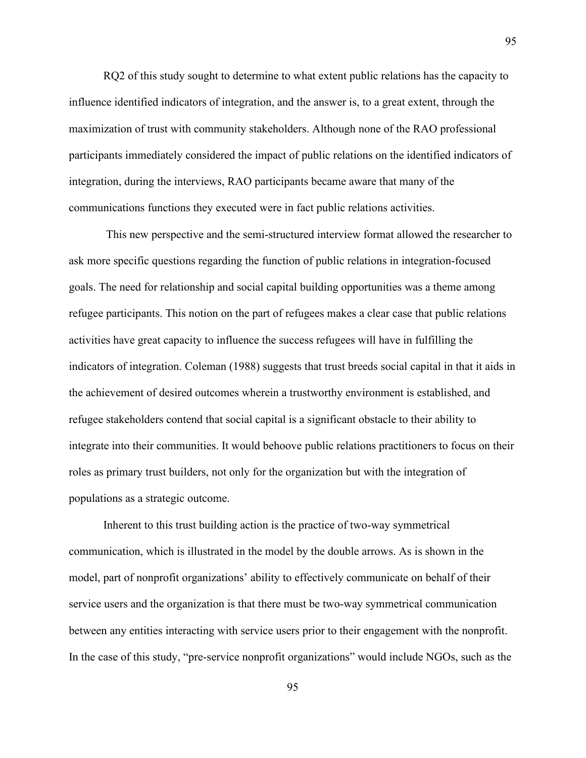RQ2 of this study sought to determine to what extent public relations has the capacity to influence identified indicators of integration, and the answer is, to a great extent, through the maximization of trust with community stakeholders. Although none of the RAO professional participants immediately considered the impact of public relations on the identified indicators of integration, during the interviews, RAO participants became aware that many of the communications functions they executed were in fact public relations activities.

This new perspective and the semi-structured interview format allowed the researcher to ask more specific questions regarding the function of public relations in integration-focused goals. The need for relationship and social capital building opportunities was a theme among refugee participants. This notion on the part of refugees makes a clear case that public relations activities have great capacity to influence the success refugees will have in fulfilling the indicators of integration. Coleman (1988) suggests that trust breeds social capital in that it aids in the achievement of desired outcomes wherein a trustworthy environment is established, and refugee stakeholders contend that social capital is a significant obstacle to their ability to integrate into their communities. It would behoove public relations practitioners to focus on their roles as primary trust builders, not only for the organization but with the integration of populations as a strategic outcome.

Inherent to this trust building action is the practice of two-way symmetrical communication, which is illustrated in the model by the double arrows. As is shown in the model, part of nonprofit organizations' ability to effectively communicate on behalf of their service users and the organization is that there must be two-way symmetrical communication between any entities interacting with service users prior to their engagement with the nonprofit. In the case of this study, "pre-service nonprofit organizations" would include NGOs, such as the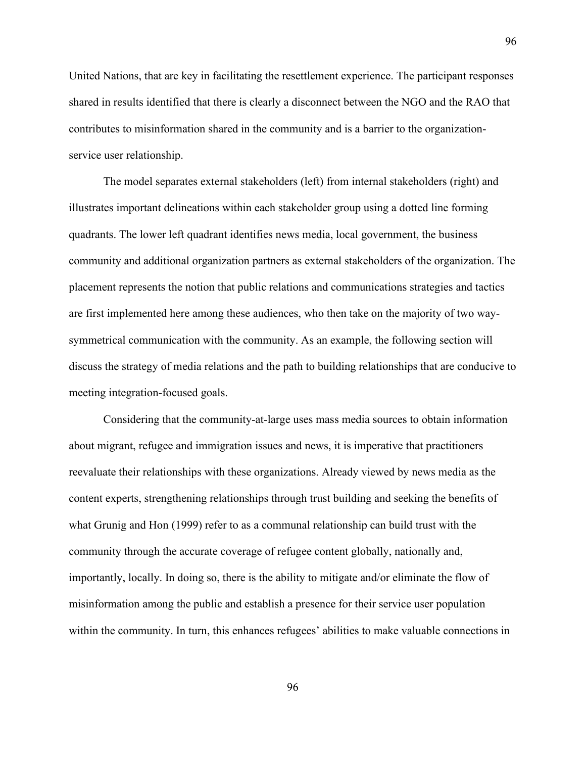United Nations, that are key in facilitating the resettlement experience. The participant responses shared in results identified that there is clearly a disconnect between the NGO and the RAO that contributes to misinformation shared in the community and is a barrier to the organizationservice user relationship.

The model separates external stakeholders (left) from internal stakeholders (right) and illustrates important delineations within each stakeholder group using a dotted line forming quadrants. The lower left quadrant identifies news media, local government, the business community and additional organization partners as external stakeholders of the organization. The placement represents the notion that public relations and communications strategies and tactics are first implemented here among these audiences, who then take on the majority of two waysymmetrical communication with the community. As an example, the following section will discuss the strategy of media relations and the path to building relationships that are conducive to meeting integration-focused goals.

Considering that the community-at-large uses mass media sources to obtain information about migrant, refugee and immigration issues and news, it is imperative that practitioners reevaluate their relationships with these organizations. Already viewed by news media as the content experts, strengthening relationships through trust building and seeking the benefits of what Grunig and Hon (1999) refer to as a communal relationship can build trust with the community through the accurate coverage of refugee content globally, nationally and, importantly, locally. In doing so, there is the ability to mitigate and/or eliminate the flow of misinformation among the public and establish a presence for their service user population within the community. In turn, this enhances refugees' abilities to make valuable connections in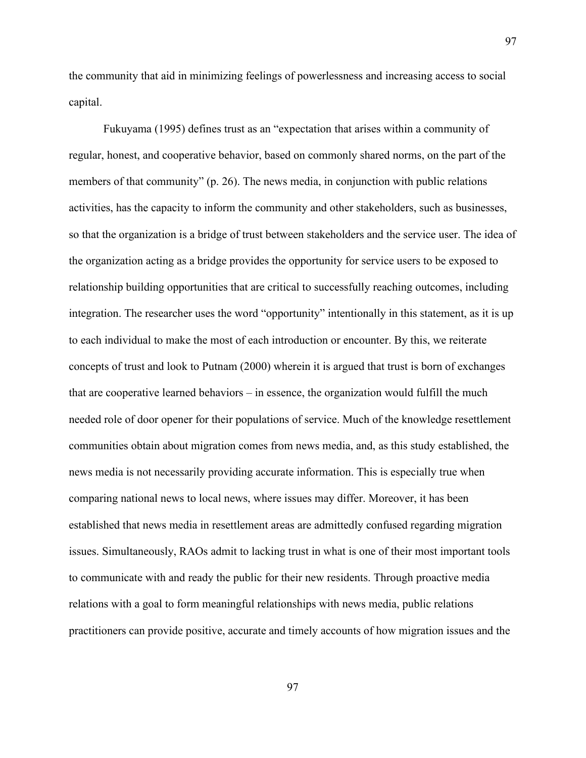the community that aid in minimizing feelings of powerlessness and increasing access to social capital.

Fukuyama (1995) defines trust as an "expectation that arises within a community of regular, honest, and cooperative behavior, based on commonly shared norms, on the part of the members of that community" (p. 26). The news media, in conjunction with public relations activities, has the capacity to inform the community and other stakeholders, such as businesses, so that the organization is a bridge of trust between stakeholders and the service user. The idea of the organization acting as a bridge provides the opportunity for service users to be exposed to relationship building opportunities that are critical to successfully reaching outcomes, including integration. The researcher uses the word "opportunity" intentionally in this statement, as it is up to each individual to make the most of each introduction or encounter. By this, we reiterate concepts of trust and look to Putnam (2000) wherein it is argued that trust is born of exchanges that are cooperative learned behaviors – in essence, the organization would fulfill the much needed role of door opener for their populations of service. Much of the knowledge resettlement communities obtain about migration comes from news media, and, as this study established, the news media is not necessarily providing accurate information. This is especially true when comparing national news to local news, where issues may differ. Moreover, it has been established that news media in resettlement areas are admittedly confused regarding migration issues. Simultaneously, RAOs admit to lacking trust in what is one of their most important tools to communicate with and ready the public for their new residents. Through proactive media relations with a goal to form meaningful relationships with news media, public relations practitioners can provide positive, accurate and timely accounts of how migration issues and the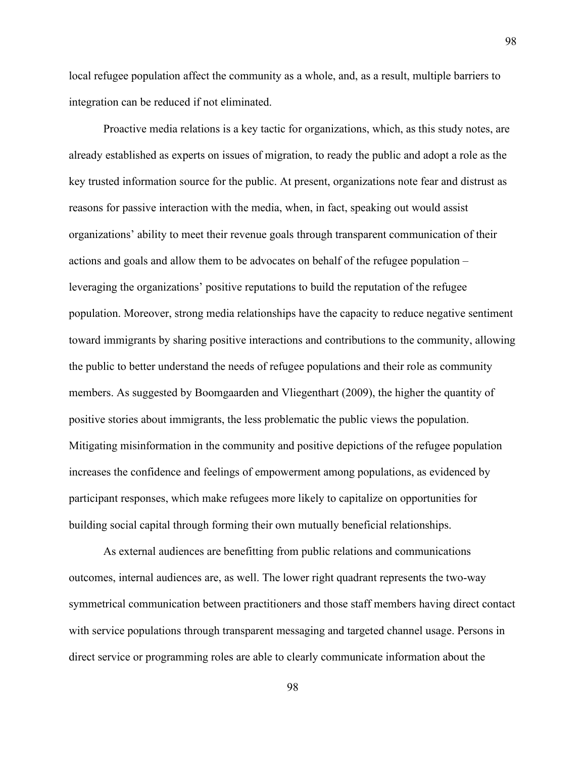local refugee population affect the community as a whole, and, as a result, multiple barriers to integration can be reduced if not eliminated.

Proactive media relations is a key tactic for organizations, which, as this study notes, are already established as experts on issues of migration, to ready the public and adopt a role as the key trusted information source for the public. At present, organizations note fear and distrust as reasons for passive interaction with the media, when, in fact, speaking out would assist organizations' ability to meet their revenue goals through transparent communication of their actions and goals and allow them to be advocates on behalf of the refugee population – leveraging the organizations' positive reputations to build the reputation of the refugee population. Moreover, strong media relationships have the capacity to reduce negative sentiment toward immigrants by sharing positive interactions and contributions to the community, allowing the public to better understand the needs of refugee populations and their role as community members. As suggested by Boomgaarden and Vliegenthart (2009), the higher the quantity of positive stories about immigrants, the less problematic the public views the population. Mitigating misinformation in the community and positive depictions of the refugee population increases the confidence and feelings of empowerment among populations, as evidenced by participant responses, which make refugees more likely to capitalize on opportunities for building social capital through forming their own mutually beneficial relationships.

As external audiences are benefitting from public relations and communications outcomes, internal audiences are, as well. The lower right quadrant represents the two-way symmetrical communication between practitioners and those staff members having direct contact with service populations through transparent messaging and targeted channel usage. Persons in direct service or programming roles are able to clearly communicate information about the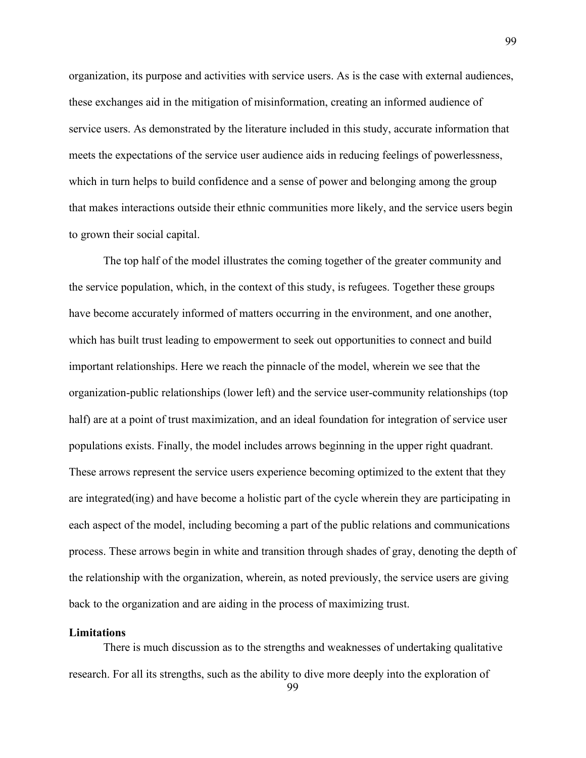organization, its purpose and activities with service users. As is the case with external audiences, these exchanges aid in the mitigation of misinformation, creating an informed audience of service users. As demonstrated by the literature included in this study, accurate information that meets the expectations of the service user audience aids in reducing feelings of powerlessness, which in turn helps to build confidence and a sense of power and belonging among the group that makes interactions outside their ethnic communities more likely, and the service users begin to grown their social capital.

The top half of the model illustrates the coming together of the greater community and the service population, which, in the context of this study, is refugees. Together these groups have become accurately informed of matters occurring in the environment, and one another, which has built trust leading to empowerment to seek out opportunities to connect and build important relationships. Here we reach the pinnacle of the model, wherein we see that the organization-public relationships (lower left) and the service user-community relationships (top half) are at a point of trust maximization, and an ideal foundation for integration of service user populations exists. Finally, the model includes arrows beginning in the upper right quadrant. These arrows represent the service users experience becoming optimized to the extent that they are integrated(ing) and have become a holistic part of the cycle wherein they are participating in each aspect of the model, including becoming a part of the public relations and communications process. These arrows begin in white and transition through shades of gray, denoting the depth of the relationship with the organization, wherein, as noted previously, the service users are giving back to the organization and are aiding in the process of maximizing trust.

## **Limitations**

There is much discussion as to the strengths and weaknesses of undertaking qualitative research. For all its strengths, such as the ability to dive more deeply into the exploration of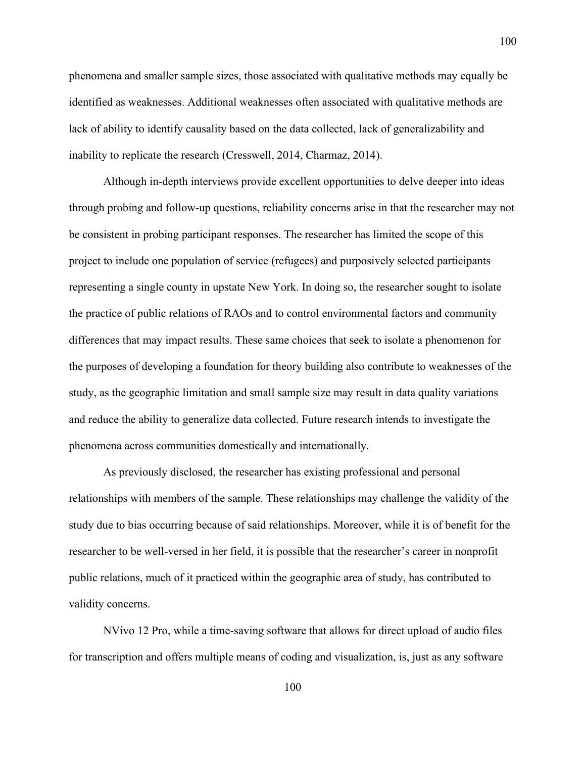phenomena and smaller sample sizes, those associated with qualitative methods may equally be identified as weaknesses. Additional weaknesses often associated with qualitative methods are lack of ability to identify causality based on the data collected, lack of generalizability and inability to replicate the research (Cresswell, 2014, Charmaz, 2014).

Although in-depth interviews provide excellent opportunities to delve deeper into ideas through probing and follow-up questions, reliability concerns arise in that the researcher may not be consistent in probing participant responses. The researcher has limited the scope of this project to include one population of service (refugees) and purposively selected participants representing a single county in upstate New York. In doing so, the researcher sought to isolate the practice of public relations of RAOs and to control environmental factors and community differences that may impact results. These same choices that seek to isolate a phenomenon for the purposes of developing a foundation for theory building also contribute to weaknesses of the study, as the geographic limitation and small sample size may result in data quality variations and reduce the ability to generalize data collected. Future research intends to investigate the phenomena across communities domestically and internationally.

As previously disclosed, the researcher has existing professional and personal relationships with members of the sample. These relationships may challenge the validity of the study due to bias occurring because of said relationships. Moreover, while it is of benefit for the researcher to be well-versed in her field, it is possible that the researcher's career in nonprofit public relations, much of it practiced within the geographic area of study, has contributed to validity concerns.

NVivo 12 Pro, while a time-saving software that allows for direct upload of audio files for transcription and offers multiple means of coding and visualization, is, just as any software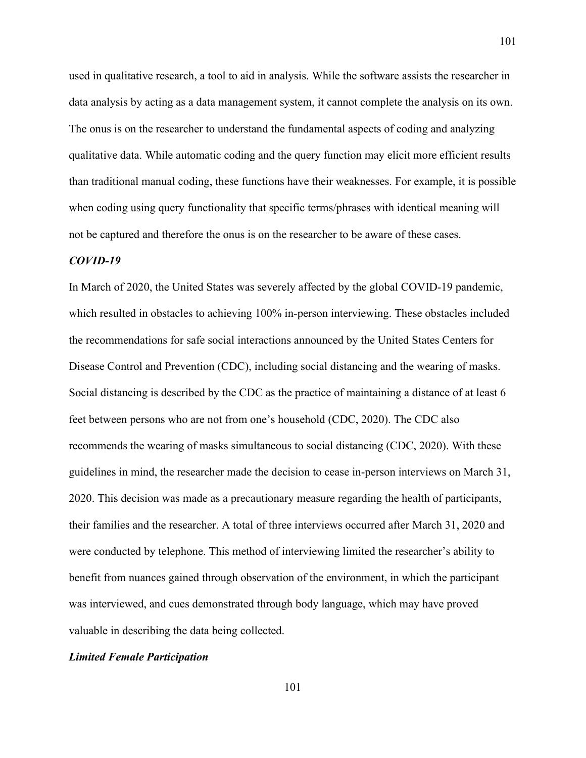used in qualitative research, a tool to aid in analysis. While the software assists the researcher in data analysis by acting as a data management system, it cannot complete the analysis on its own. The onus is on the researcher to understand the fundamental aspects of coding and analyzing qualitative data. While automatic coding and the query function may elicit more efficient results than traditional manual coding, these functions have their weaknesses. For example, it is possible when coding using query functionality that specific terms/phrases with identical meaning will not be captured and therefore the onus is on the researcher to be aware of these cases.

#### *COVID-19*

In March of 2020, the United States was severely affected by the global COVID-19 pandemic, which resulted in obstacles to achieving 100% in-person interviewing. These obstacles included the recommendations for safe social interactions announced by the United States Centers for Disease Control and Prevention (CDC), including social distancing and the wearing of masks. Social distancing is described by the CDC as the practice of maintaining a distance of at least 6 feet between persons who are not from one's household (CDC, 2020). The CDC also recommends the wearing of masks simultaneous to social distancing (CDC, 2020). With these guidelines in mind, the researcher made the decision to cease in-person interviews on March 31, 2020. This decision was made as a precautionary measure regarding the health of participants, their families and the researcher. A total of three interviews occurred after March 31, 2020 and were conducted by telephone. This method of interviewing limited the researcher's ability to benefit from nuances gained through observation of the environment, in which the participant was interviewed, and cues demonstrated through body language, which may have proved valuable in describing the data being collected.

#### *Limited Female Participation*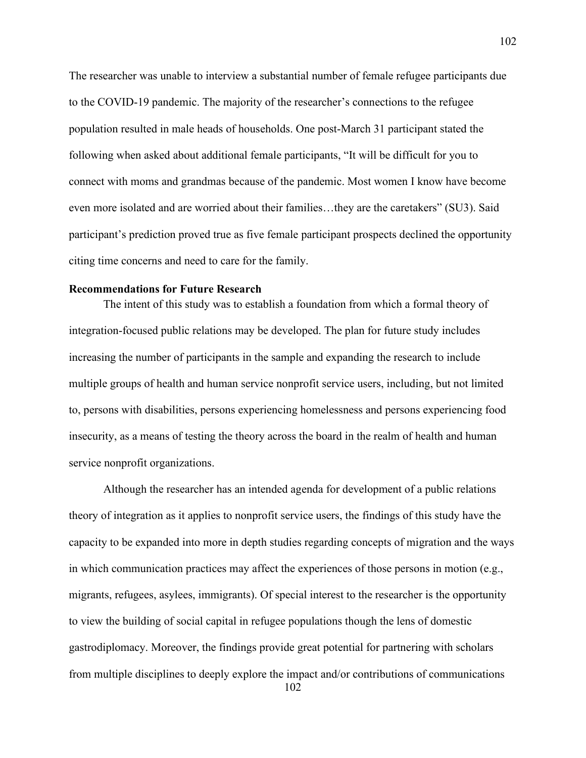The researcher was unable to interview a substantial number of female refugee participants due to the COVID-19 pandemic. The majority of the researcher's connections to the refugee population resulted in male heads of households. One post-March 31 participant stated the following when asked about additional female participants, "It will be difficult for you to connect with moms and grandmas because of the pandemic. Most women I know have become even more isolated and are worried about their families…they are the caretakers" (SU3). Said participant's prediction proved true as five female participant prospects declined the opportunity citing time concerns and need to care for the family.

### **Recommendations for Future Research**

The intent of this study was to establish a foundation from which a formal theory of integration-focused public relations may be developed. The plan for future study includes increasing the number of participants in the sample and expanding the research to include multiple groups of health and human service nonprofit service users, including, but not limited to, persons with disabilities, persons experiencing homelessness and persons experiencing food insecurity, as a means of testing the theory across the board in the realm of health and human service nonprofit organizations.

102 Although the researcher has an intended agenda for development of a public relations theory of integration as it applies to nonprofit service users, the findings of this study have the capacity to be expanded into more in depth studies regarding concepts of migration and the ways in which communication practices may affect the experiences of those persons in motion (e.g., migrants, refugees, asylees, immigrants). Of special interest to the researcher is the opportunity to view the building of social capital in refugee populations though the lens of domestic gastrodiplomacy. Moreover, the findings provide great potential for partnering with scholars from multiple disciplines to deeply explore the impact and/or contributions of communications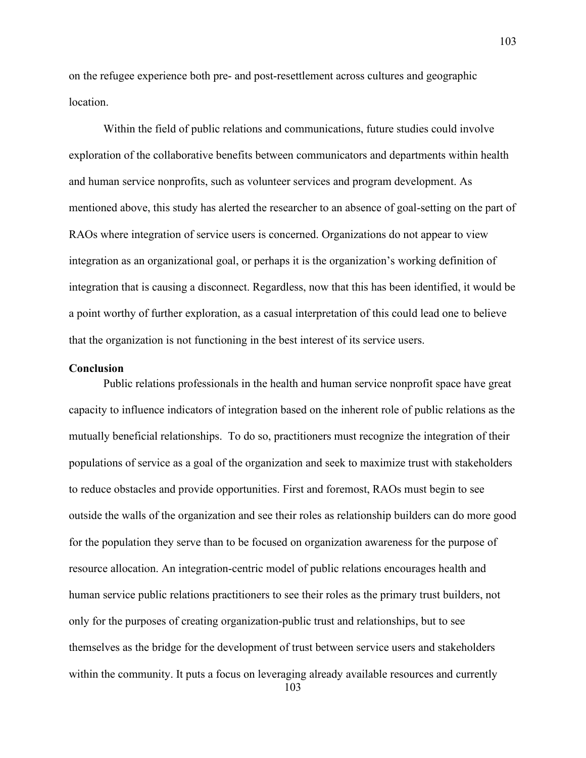on the refugee experience both pre- and post-resettlement across cultures and geographic location.

Within the field of public relations and communications, future studies could involve exploration of the collaborative benefits between communicators and departments within health and human service nonprofits, such as volunteer services and program development. As mentioned above, this study has alerted the researcher to an absence of goal-setting on the part of RAOs where integration of service users is concerned. Organizations do not appear to view integration as an organizational goal, or perhaps it is the organization's working definition of integration that is causing a disconnect. Regardless, now that this has been identified, it would be a point worthy of further exploration, as a casual interpretation of this could lead one to believe that the organization is not functioning in the best interest of its service users.

### **Conclusion**

Public relations professionals in the health and human service nonprofit space have great capacity to influence indicators of integration based on the inherent role of public relations as the mutually beneficial relationships. To do so, practitioners must recognize the integration of their populations of service as a goal of the organization and seek to maximize trust with stakeholders to reduce obstacles and provide opportunities. First and foremost, RAOs must begin to see outside the walls of the organization and see their roles as relationship builders can do more good for the population they serve than to be focused on organization awareness for the purpose of resource allocation. An integration-centric model of public relations encourages health and human service public relations practitioners to see their roles as the primary trust builders, not only for the purposes of creating organization-public trust and relationships, but to see themselves as the bridge for the development of trust between service users and stakeholders within the community. It puts a focus on leveraging already available resources and currently

103

103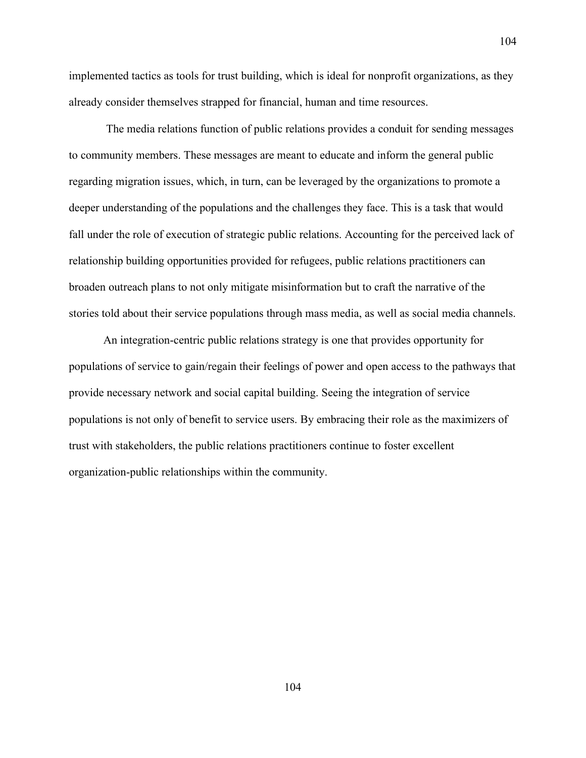implemented tactics as tools for trust building, which is ideal for nonprofit organizations, as they already consider themselves strapped for financial, human and time resources.

The media relations function of public relations provides a conduit for sending messages to community members. These messages are meant to educate and inform the general public regarding migration issues, which, in turn, can be leveraged by the organizations to promote a deeper understanding of the populations and the challenges they face. This is a task that would fall under the role of execution of strategic public relations. Accounting for the perceived lack of relationship building opportunities provided for refugees, public relations practitioners can broaden outreach plans to not only mitigate misinformation but to craft the narrative of the stories told about their service populations through mass media, as well as social media channels.

An integration-centric public relations strategy is one that provides opportunity for populations of service to gain/regain their feelings of power and open access to the pathways that provide necessary network and social capital building. Seeing the integration of service populations is not only of benefit to service users. By embracing their role as the maximizers of trust with stakeholders, the public relations practitioners continue to foster excellent organization-public relationships within the community.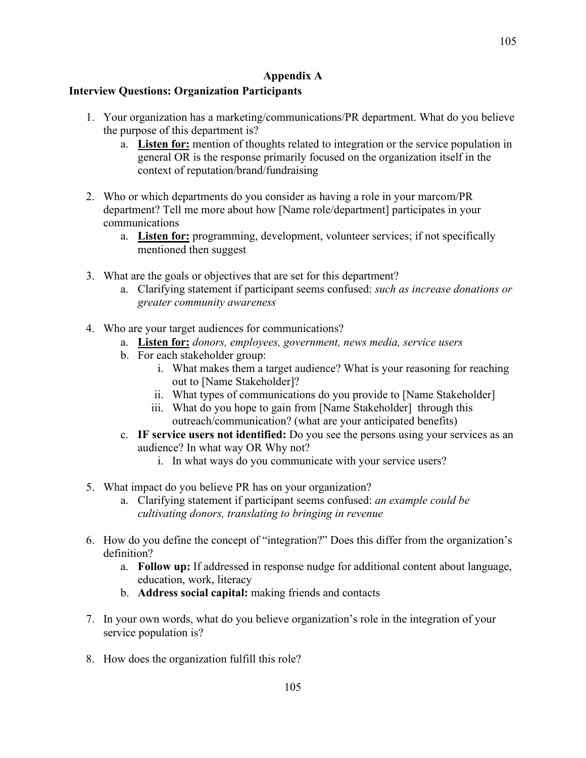### **Appendix A**

### **Interview Questions: Organization Participants**

- 1. Your organization has a marketing/communications/PR department. What do you believe the purpose of this department is?
	- a. **Listen for:** mention of thoughts related to integration or the service population in general OR is the response primarily focused on the organization itself in the context of reputation/brand/fundraising
- 2. Who or which departments do you consider as having a role in your marcom/PR department? Tell me more about how [Name role/department] participates in your communications
	- a. **Listen for:** programming, development, volunteer services; if not specifically mentioned then suggest
- 3. What are the goals or objectives that are set for this department?
	- a. Clarifying statement if participant seems confused: *such as increase donations or greater community awareness*
- 4. Who are your target audiences for communications?
	- a. **Listen for:** *donors, employees, government, news media, service users*
	- b. For each stakeholder group:
		- i. What makes them a target audience? What is your reasoning for reaching out to [Name Stakeholder]?
		- ii. What types of communications do you provide to [Name Stakeholder]
		- iii. What do you hope to gain from [Name Stakeholder] through this outreach/communication? (what are your anticipated benefits)
	- c. **IF service users not identified:** Do you see the persons using your services as an audience? In what way OR Why not?
		- i. In what ways do you communicate with your service users?
- 5. What impact do you believe PR has on your organization?
	- a. Clarifying statement if participant seems confused: *an example could be cultivating donors, translating to bringing in revenue*
- 6. How do you define the concept of "integration?" Does this differ from the organization's definition?
	- a. **Follow up:** If addressed in response nudge for additional content about language, education, work, literacy
	- b. **Address social capital:** making friends and contacts
- 7. In your own words, what do you believe organization's role in the integration of your service population is?
- 8. How does the organization fulfill this role?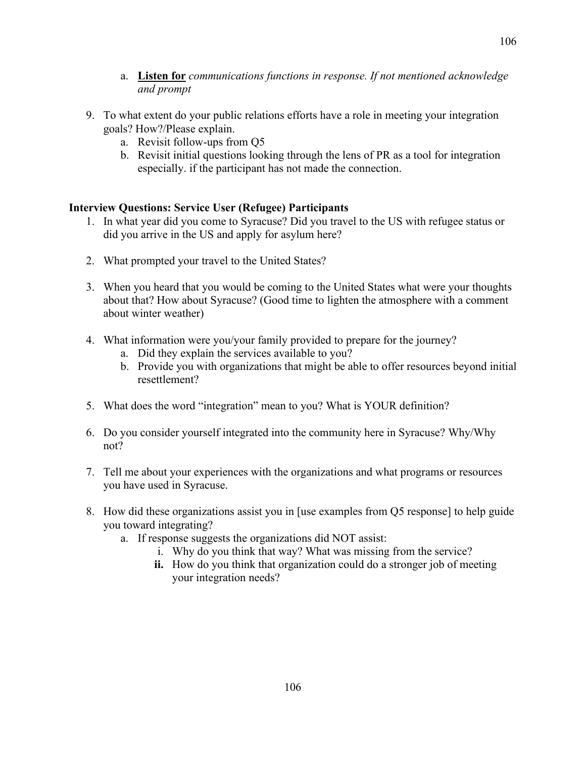- a. **Listen for** *communications functions in response. If not mentioned acknowledge and prompt*
- 9. To what extent do your public relations efforts have a role in meeting your integration goals? How?/Please explain.
	- a. Revisit follow-ups from Q5
	- b. Revisit initial questions looking through the lens of PR as a tool for integration especially. if the participant has not made the connection.

## **Interview Questions: Service User (Refugee) Participants**

- 1. In what year did you come to Syracuse? Did you travel to the US with refugee status or did you arrive in the US and apply for asylum here?
- 2. What prompted your travel to the United States?
- 3. When you heard that you would be coming to the United States what were your thoughts about that? How about Syracuse? (Good time to lighten the atmosphere with a comment about winter weather)
- 4. What information were you/your family provided to prepare for the journey?
	- a. Did they explain the services available to you?
	- b. Provide you with organizations that might be able to offer resources beyond initial resettlement?
- 5. What does the word "integration" mean to you? What is YOUR definition?
- 6. Do you consider yourself integrated into the community here in Syracuse? Why/Why not?
- 7. Tell me about your experiences with the organizations and what programs or resources you have used in Syracuse.
- 8. How did these organizations assist you in [use examples from Q5 response] to help guide you toward integrating?
	- a. If response suggests the organizations did NOT assist:
		- i. Why do you think that way? What was missing from the service?
		- **ii.** How do you think that organization could do a stronger job of meeting your integration needs?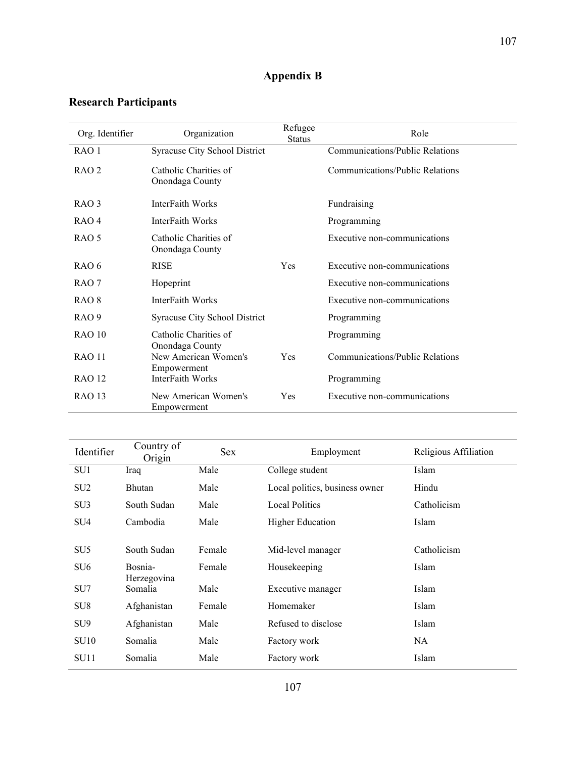# **Appendix B**

# **Research Participants**

| Org. Identifier  | Organization                             | Refugee<br><b>Status</b> | Role                            |
|------------------|------------------------------------------|--------------------------|---------------------------------|
| RAO 1            | Syracuse City School District            |                          | Communications/Public Relations |
| RAO <sub>2</sub> | Catholic Charities of<br>Onondaga County |                          | Communications/Public Relations |
| RAO <sub>3</sub> | InterFaith Works                         |                          | Fundraising                     |
| RAO <sub>4</sub> | InterFaith Works                         |                          | Programming                     |
| RAO 5            | Catholic Charities of<br>Onondaga County |                          | Executive non-communications    |
| RAO 6            | <b>RISE</b>                              | Yes                      | Executive non-communications    |
| RAO 7            | Hopeprint                                |                          | Executive non-communications    |
| RAO <sub>8</sub> | InterFaith Works                         |                          | Executive non-communications    |
| RAO <sub>9</sub> | Syracuse City School District            |                          | Programming                     |
| <b>RAO 10</b>    | Catholic Charities of<br>Onondaga County |                          | Programming                     |
| <b>RAO 11</b>    | New American Women's<br>Empowerment      | Yes                      | Communications/Public Relations |
| <b>RAO 12</b>    | InterFaith Works                         |                          | Programming                     |
| <b>RAO 13</b>    | New American Women's<br>Empowerment      | Yes                      | Executive non-communications    |

| Identifier      | Country of<br>Origin   | <b>Sex</b> | Employment                     | Religious Affiliation |
|-----------------|------------------------|------------|--------------------------------|-----------------------|
| SU <sub>1</sub> | Iraq                   | Male       | College student                | Islam                 |
| SU <sub>2</sub> | <b>Bhutan</b>          | Male       | Local politics, business owner | Hindu                 |
| SU <sub>3</sub> | South Sudan            | Male       | <b>Local Politics</b>          | Catholicism           |
| SU <sub>4</sub> | Cambodia               | Male       | <b>Higher Education</b>        | Islam                 |
|                 |                        |            |                                |                       |
| SU <sub>5</sub> | South Sudan            | Female     | Mid-level manager              | Catholicism           |
| SU <sub>6</sub> | Bosnia-<br>Herzegovina | Female     | Housekeeping                   | Islam                 |
| SU <sub>7</sub> | Somalia                | Male       | Executive manager              | Islam                 |
| SU <sub>8</sub> | Afghanistan            | Female     | Homemaker                      | Islam                 |
| SU <sub>9</sub> | Afghanistan            | Male       | Refused to disclose            | Islam                 |
| SU10            | Somalia                | Male       | Factory work                   | NA.                   |
| SU11            | Somalia                | Male       | Factory work                   | Islam                 |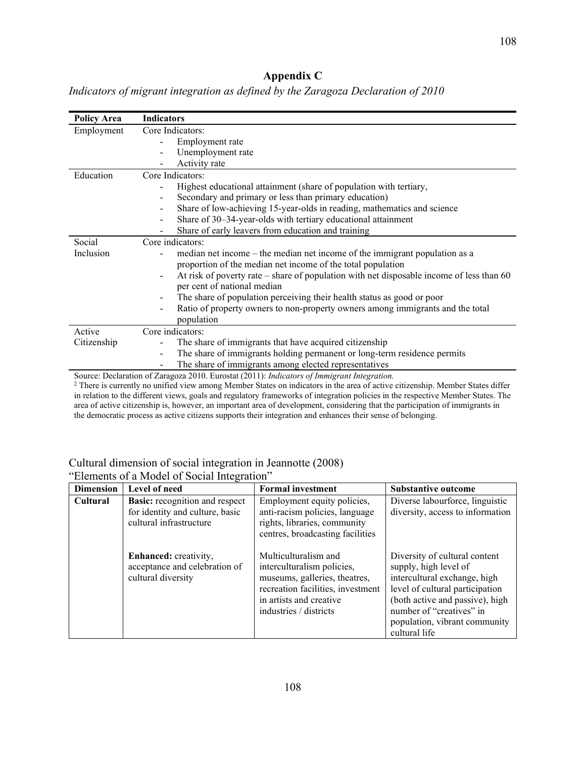# **Appendix C**

*Indicators of migrant integration as defined by the Zaragoza Declaration of 2010*

| <b>Policy Area</b>                                                                         | <b>Indicators</b>                                                                                                        |  |  |
|--------------------------------------------------------------------------------------------|--------------------------------------------------------------------------------------------------------------------------|--|--|
| Employment                                                                                 | Core Indicators:                                                                                                         |  |  |
|                                                                                            | Employment rate                                                                                                          |  |  |
|                                                                                            | Unemployment rate                                                                                                        |  |  |
|                                                                                            | Activity rate                                                                                                            |  |  |
| Education                                                                                  | Core Indicators:                                                                                                         |  |  |
|                                                                                            | Highest educational attainment (share of population with tertiary,                                                       |  |  |
|                                                                                            | Secondary and primary or less than primary education)                                                                    |  |  |
|                                                                                            | Share of low-achieving 15-year-olds in reading, mathematics and science                                                  |  |  |
|                                                                                            | Share of 30–34-year-olds with tertiary educational attainment                                                            |  |  |
|                                                                                            | Share of early leavers from education and training                                                                       |  |  |
| Social                                                                                     | Core indicators:                                                                                                         |  |  |
| Inclusion                                                                                  | median net income – the median net income of the immigrant population as a                                               |  |  |
|                                                                                            | proportion of the median net income of the total population                                                              |  |  |
|                                                                                            | At risk of poverty rate – share of population with net disposable income of less than 60<br>$\qquad \qquad \blacksquare$ |  |  |
|                                                                                            | per cent of national median                                                                                              |  |  |
|                                                                                            | The share of population perceiving their health status as good or poor                                                   |  |  |
|                                                                                            | Ratio of property owners to non-property owners among immigrants and the total<br>$\qquad \qquad \blacksquare$           |  |  |
|                                                                                            | population                                                                                                               |  |  |
| Active                                                                                     | Core indicators:                                                                                                         |  |  |
| Citizenship                                                                                | The share of immigrants that have acquired citizenship                                                                   |  |  |
|                                                                                            | The share of immigrants holding permanent or long-term residence permits<br>$\blacksquare$                               |  |  |
|                                                                                            | The share of immigrants among elected representatives                                                                    |  |  |
| Source: Declaration of Zaragoza 2010, Eurostat (2011): Indicators of Immigrant Integration |                                                                                                                          |  |  |

Source: Declaration of Zaragoza 2010. Eurostat (2011): *Indicators of Immigrant Integration.*

<sup>2</sup> There is currently no unified view among Member States on indicators in the area of active citizenship. Member States differ in relation to the different views, goals and regulatory frameworks of integration policies in the respective Member States. The area of active citizenship is, however, an important area of development, considering that the participation of immigrants in the democratic process as active citizens supports their integration and enhances their sense of belonging.

# Cultural dimension of social integration in Jeannotte (2008)

| <b>Dimension</b> | Level of need                                                                                       | <b>Formal investment</b>                                                                                                                                                      | <b>Substantive outcome</b>                                                                                                                                                                                                                 |
|------------------|-----------------------------------------------------------------------------------------------------|-------------------------------------------------------------------------------------------------------------------------------------------------------------------------------|--------------------------------------------------------------------------------------------------------------------------------------------------------------------------------------------------------------------------------------------|
| <b>Cultural</b>  | <b>Basic:</b> recognition and respect<br>for identity and culture, basic<br>cultural infrastructure | Employment equity policies,<br>anti-racism policies, language<br>rights, libraries, community<br>centres, broadcasting facilities                                             | Diverse labourforce, linguistic<br>diversity, access to information                                                                                                                                                                        |
|                  | Enhanced: creativity,<br>acceptance and celebration of<br>cultural diversity                        | Multiculturalism and<br>interculturalism policies,<br>museums, galleries, theatres,<br>recreation facilities, investment<br>in artists and creative<br>industries / districts | Diversity of cultural content<br>supply, high level of<br>intercultural exchange, high<br>level of cultural participation<br>(both active and passive), high<br>number of "creatives" in<br>population, vibrant community<br>cultural life |

"Elements of a Model of Social Integration"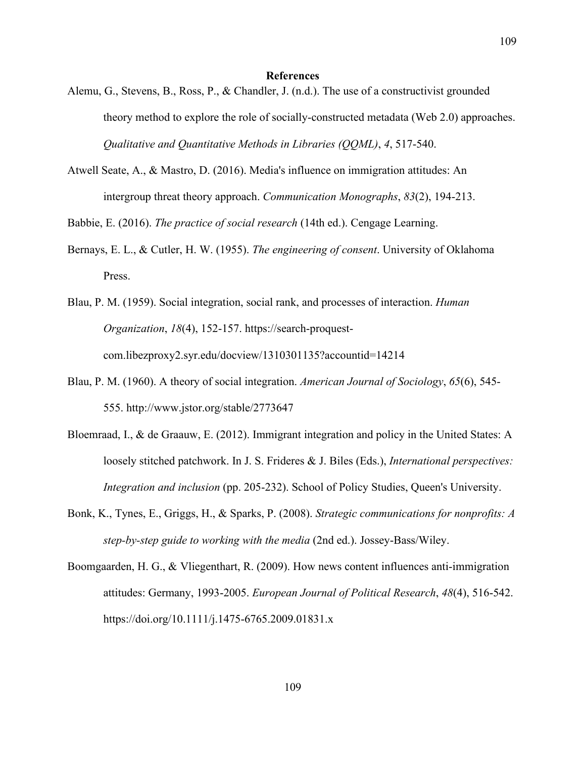#### **References**

- Alemu, G., Stevens, B., Ross, P., & Chandler, J. (n.d.). The use of a constructivist grounded theory method to explore the role of socially-constructed metadata (Web 2.0) approaches. *Qualitative and Quantitative Methods in Libraries (QQML)*, *4*, 517-540.
- Atwell Seate, A., & Mastro, D. (2016). Media's influence on immigration attitudes: An intergroup threat theory approach. *Communication Monographs*, *83*(2), 194-213.

Babbie, E. (2016). *The practice of social research* (14th ed.). Cengage Learning.

Bernays, E. L., & Cutler, H. W. (1955). *The engineering of consent*. University of Oklahoma Press.

Blau, P. M. (1959). Social integration, social rank, and processes of interaction. *Human Organization*, *18*(4), 152-157. https://search-proquestcom.libezproxy2.syr.edu/docview/1310301135?accountid=14214

- Blau, P. M. (1960). A theory of social integration. *American Journal of Sociology*, *65*(6), 545- 555. http://www.jstor.org/stable/2773647
- Bloemraad, I., & de Graauw, E. (2012). Immigrant integration and policy in the United States: A loosely stitched patchwork. In J. S. Frideres & J. Biles (Eds.), *International perspectives: Integration and inclusion* (pp. 205-232). School of Policy Studies, Queen's University.
- Bonk, K., Tynes, E., Griggs, H., & Sparks, P. (2008). *Strategic communications for nonprofits: A step-by-step guide to working with the media* (2nd ed.). Jossey-Bass/Wiley.
- Boomgaarden, H. G., & Vliegenthart, R. (2009). How news content influences anti-immigration attitudes: Germany, 1993-2005. *European Journal of Political Research*, *48*(4), 516-542. https://doi.org/10.1111/j.1475-6765.2009.01831.x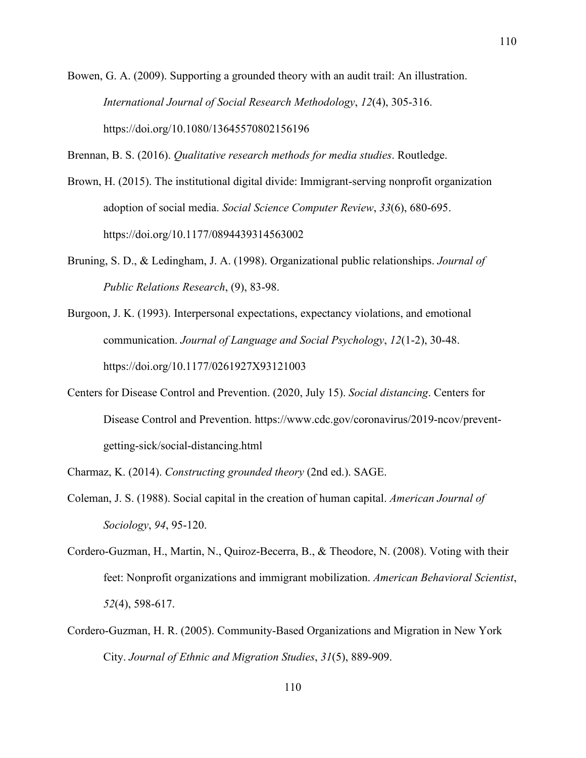Bowen, G. A. (2009). Supporting a grounded theory with an audit trail: An illustration. *International Journal of Social Research Methodology*, *12*(4), 305-316. https://doi.org/10.1080/13645570802156196

Brennan, B. S. (2016). *Qualitative research methods for media studies*. Routledge.

- Brown, H. (2015). The institutional digital divide: Immigrant-serving nonprofit organization adoption of social media. *Social Science Computer Review*, *33*(6), 680-695. https://doi.org/10.1177/0894439314563002
- Bruning, S. D., & Ledingham, J. A. (1998). Organizational public relationships. *Journal of Public Relations Research*, (9), 83-98.
- Burgoon, J. K. (1993). Interpersonal expectations, expectancy violations, and emotional communication. *Journal of Language and Social Psychology*, *12*(1-2), 30-48. https://doi.org/10.1177/0261927X93121003
- Centers for Disease Control and Prevention. (2020, July 15). *Social distancing*. Centers for Disease Control and Prevention. https://www.cdc.gov/coronavirus/2019-ncov/preventgetting-sick/social-distancing.html

Charmaz, K. (2014). *Constructing grounded theory* (2nd ed.). SAGE.

- Coleman, J. S. (1988). Social capital in the creation of human capital. *American Journal of Sociology*, *94*, 95-120.
- Cordero-Guzman, H., Martin, N., Quiroz-Becerra, B., & Theodore, N. (2008). Voting with their feet: Nonprofit organizations and immigrant mobilization. *American Behavioral Scientist*, *52*(4), 598-617.
- Cordero-Guzman, H. R. (2005). Community-Based Organizations and Migration in New York City. *Journal of Ethnic and Migration Studies*, *31*(5), 889-909.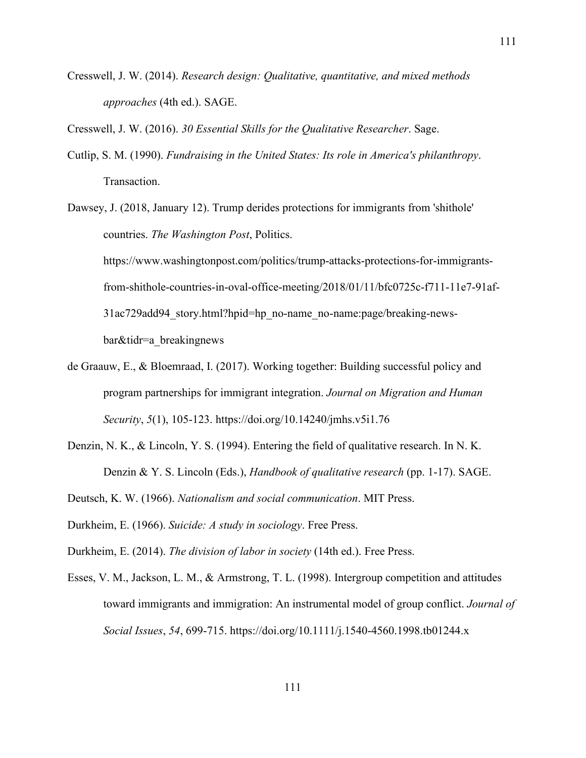Cresswell, J. W. (2014). *Research design: Qualitative, quantitative, and mixed methods approaches* (4th ed.). SAGE.

Cresswell, J. W. (2016). *30 Essential Skills for the Qualitative Researcher*. Sage.

- Cutlip, S. M. (1990). *Fundraising in the United States: Its role in America's philanthropy*. Transaction.
- Dawsey, J. (2018, January 12). Trump derides protections for immigrants from 'shithole' countries. *The Washington Post*, Politics. https://www.washingtonpost.com/politics/trump-attacks-protections-for-immigrantsfrom-shithole-countries-in-oval-office-meeting/2018/01/11/bfc0725c-f711-11e7-91af-31ac729add94\_story.html?hpid=hp\_no-name\_no-name:page/breaking-newsbar&tidr=a\_breakingnews
- de Graauw, E., & Bloemraad, I. (2017). Working together: Building successful policy and program partnerships for immigrant integration. *Journal on Migration and Human Security*, *5*(1), 105-123. https://doi.org/10.14240/jmhs.v5i1.76
- Denzin, N. K., & Lincoln, Y. S. (1994). Entering the field of qualitative research. In N. K. Denzin & Y. S. Lincoln (Eds.), *Handbook of qualitative research* (pp. 1-17). SAGE.
- Deutsch, K. W. (1966). *Nationalism and social communication*. MIT Press.
- Durkheim, E. (1966). *Suicide: A study in sociology*. Free Press.
- Durkheim, E. (2014). *The division of labor in society* (14th ed.). Free Press.
- Esses, V. M., Jackson, L. M., & Armstrong, T. L. (1998). Intergroup competition and attitudes toward immigrants and immigration: An instrumental model of group conflict. *Journal of Social Issues*, *54*, 699-715. https://doi.org/10.1111/j.1540-4560.1998.tb01244.x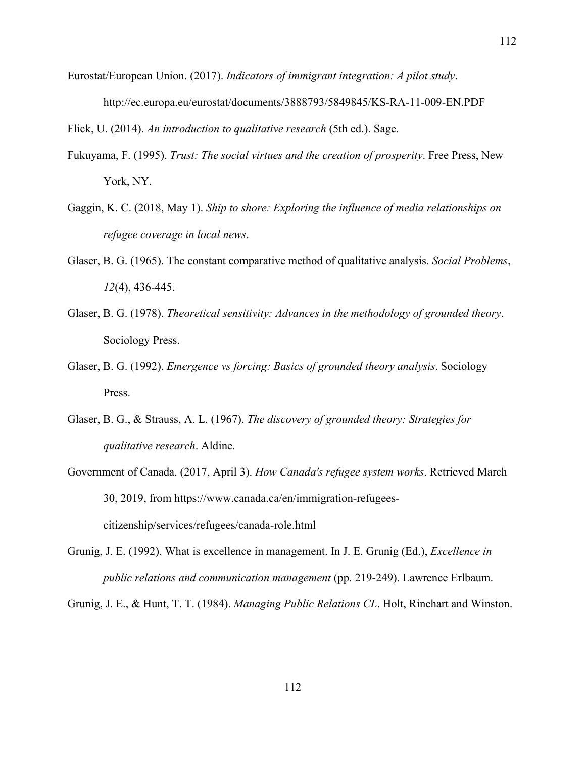Eurostat/European Union. (2017). *Indicators of immigrant integration: A pilot study*. http://ec.europa.eu/eurostat/documents/3888793/5849845/KS-RA-11-009-EN.PDF

Flick, U. (2014). *An introduction to qualitative research* (5th ed.). Sage.

- Fukuyama, F. (1995). *Trust: The social virtues and the creation of prosperity*. Free Press, New York, NY.
- Gaggin, K. C. (2018, May 1). *Ship to shore: Exploring the influence of media relationships on refugee coverage in local news*.
- Glaser, B. G. (1965). The constant comparative method of qualitative analysis. *Social Problems*, *12*(4), 436-445.
- Glaser, B. G. (1978). *Theoretical sensitivity: Advances in the methodology of grounded theory*. Sociology Press.
- Glaser, B. G. (1992). *Emergence vs forcing: Basics of grounded theory analysis*. Sociology Press.
- Glaser, B. G., & Strauss, A. L. (1967). *The discovery of grounded theory: Strategies for qualitative research*. Aldine.
- Government of Canada. (2017, April 3). *How Canada's refugee system works*. Retrieved March 30, 2019, from https://www.canada.ca/en/immigration-refugeescitizenship/services/refugees/canada-role.html
- Grunig, J. E. (1992). What is excellence in management. In J. E. Grunig (Ed.), *Excellence in public relations and communication management* (pp. 219-249). Lawrence Erlbaum.

Grunig, J. E., & Hunt, T. T. (1984). *Managing Public Relations CL*. Holt, Rinehart and Winston.

112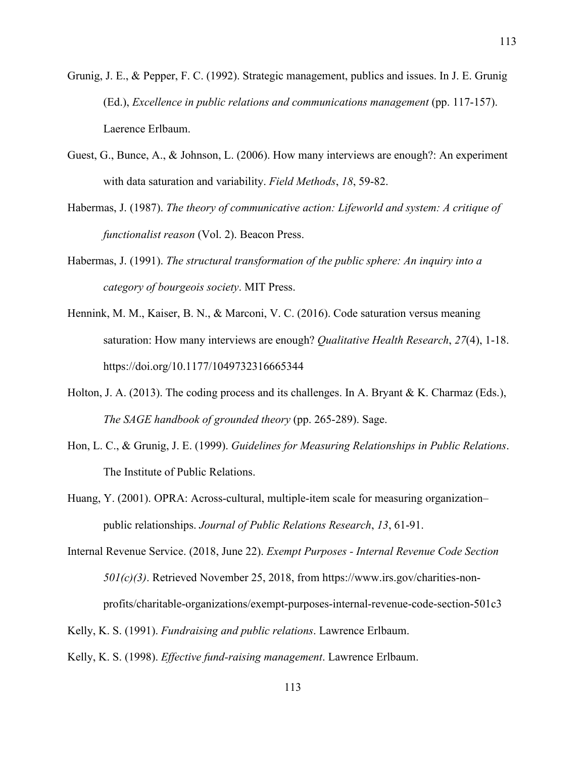- Grunig, J. E., & Pepper, F. C. (1992). Strategic management, publics and issues. In J. E. Grunig (Ed.), *Excellence in public relations and communications management* (pp. 117-157). Laerence Erlbaum.
- Guest, G., Bunce, A., & Johnson, L. (2006). How many interviews are enough?: An experiment with data saturation and variability. *Field Methods*, *18*, 59-82.
- Habermas, J. (1987). *The theory of communicative action: Lifeworld and system: A critique of functionalist reason* (Vol. 2). Beacon Press.
- Habermas, J. (1991). *The structural transformation of the public sphere: An inquiry into a category of bourgeois society*. MIT Press.
- Hennink, M. M., Kaiser, B. N., & Marconi, V. C. (2016). Code saturation versus meaning saturation: How many interviews are enough? *Qualitative Health Research*, *27*(4), 1-18. https://doi.org/10.1177/1049732316665344
- Holton, J. A. (2013). The coding process and its challenges. In A. Bryant & K. Charmaz (Eds.), *The SAGE handbook of grounded theory* (pp. 265-289). Sage.
- Hon, L. C., & Grunig, J. E. (1999). *Guidelines for Measuring Relationships in Public Relations*. The Institute of Public Relations.
- Huang, Y. (2001). OPRA: Across-cultural, multiple-item scale for measuring organization– public relationships. *Journal of Public Relations Research*, *13*, 61-91.
- Internal Revenue Service. (2018, June 22). *Exempt Purposes - Internal Revenue Code Section 501(c)(3)*. Retrieved November 25, 2018, from https://www.irs.gov/charities-nonprofits/charitable-organizations/exempt-purposes-internal-revenue-code-section-501c3
- Kelly, K. S. (1991). *Fundraising and public relations*. Lawrence Erlbaum. Kelly, K. S. (1998). *Effective fund-raising management*. Lawrence Erlbaum.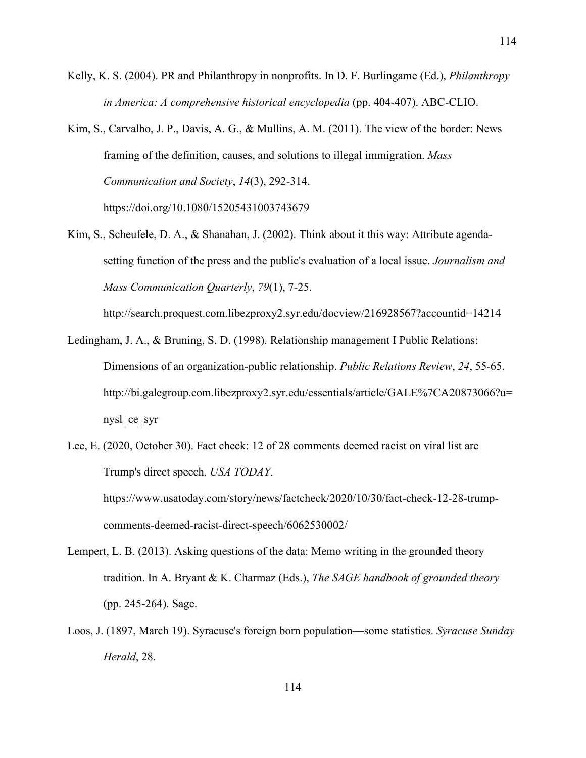Kelly, K. S. (2004). PR and Philanthropy in nonprofits. In D. F. Burlingame (Ed.), *Philanthropy in America: A comprehensive historical encyclopedia* (pp. 404-407). ABC-CLIO.

Kim, S., Carvalho, J. P., Davis, A. G., & Mullins, A. M. (2011). The view of the border: News framing of the definition, causes, and solutions to illegal immigration. *Mass Communication and Society*, *14*(3), 292-314. https://doi.org/10.1080/15205431003743679

Kim, S., Scheufele, D. A., & Shanahan, J. (2002). Think about it this way: Attribute agendasetting function of the press and the public's evaluation of a local issue. *Journalism and Mass Communication Quarterly*, *79*(1), 7-25.

http://search.proquest.com.libezproxy2.syr.edu/docview/216928567?accountid=14214

- Ledingham, J. A., & Bruning, S. D. (1998). Relationship management I Public Relations: Dimensions of an organization-public relationship. *Public Relations Review*, *24*, 55-65. http://bi.galegroup.com.libezproxy2.syr.edu/essentials/article/GALE%7CA20873066?u= nysl\_ce\_syr
- Lee, E. (2020, October 30). Fact check: 12 of 28 comments deemed racist on viral list are Trump's direct speech. *USA TODAY*.

https://www.usatoday.com/story/news/factcheck/2020/10/30/fact-check-12-28-trumpcomments-deemed-racist-direct-speech/6062530002/

- Lempert, L. B. (2013). Asking questions of the data: Memo writing in the grounded theory tradition. In A. Bryant & K. Charmaz (Eds.), *The SAGE handbook of grounded theory* (pp. 245-264). Sage.
- Loos, J. (1897, March 19). Syracuse's foreign born population—some statistics. *Syracuse Sunday Herald*, 28.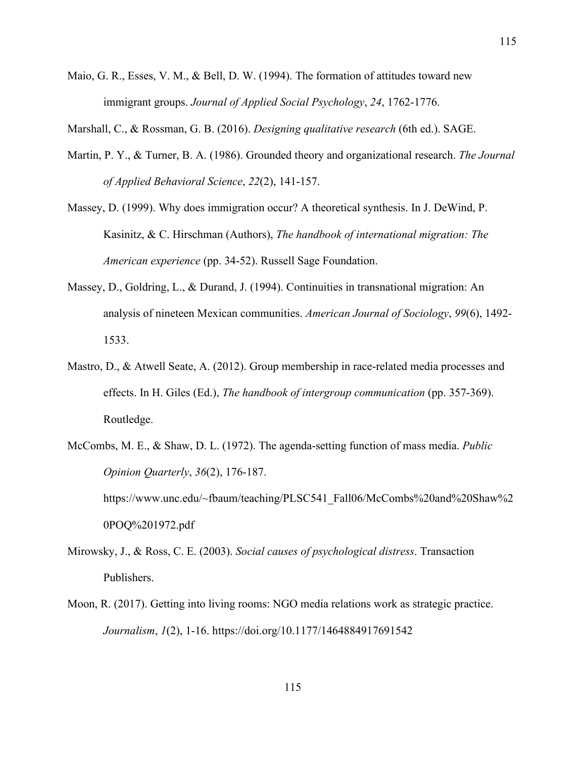Maio, G. R., Esses, V. M., & Bell, D. W. (1994). The formation of attitudes toward new immigrant groups. *Journal of Applied Social Psychology*, *24*, 1762-1776.

Marshall, C., & Rossman, G. B. (2016). *Designing qualitative research* (6th ed.). SAGE.

- Martin, P. Y., & Turner, B. A. (1986). Grounded theory and organizational research. *The Journal of Applied Behavioral Science*, *22*(2), 141-157.
- Massey, D. (1999). Why does immigration occur? A theoretical synthesis. In J. DeWind, P. Kasinitz, & C. Hirschman (Authors), *The handbook of international migration: The American experience* (pp. 34-52). Russell Sage Foundation.
- Massey, D., Goldring, L., & Durand, J. (1994). Continuities in transnational migration: An analysis of nineteen Mexican communities. *American Journal of Sociology*, *99*(6), 1492- 1533.
- Mastro, D., & Atwell Seate, A. (2012). Group membership in race-related media processes and effects. In H. Giles (Ed.), *The handbook of intergroup communication* (pp. 357-369). Routledge.
- McCombs, M. E., & Shaw, D. L. (1972). The agenda-setting function of mass media. *Public Opinion Quarterly*, *36*(2), 176-187. https://www.unc.edu/~fbaum/teaching/PLSC541\_Fall06/McCombs%20and%20Shaw%2 0POQ%201972.pdf
- Mirowsky, J., & Ross, C. E. (2003). *Social causes of psychological distress*. Transaction Publishers.
- Moon, R. (2017). Getting into living rooms: NGO media relations work as strategic practice. *Journalism*, *1*(2), 1-16. https://doi.org/10.1177/1464884917691542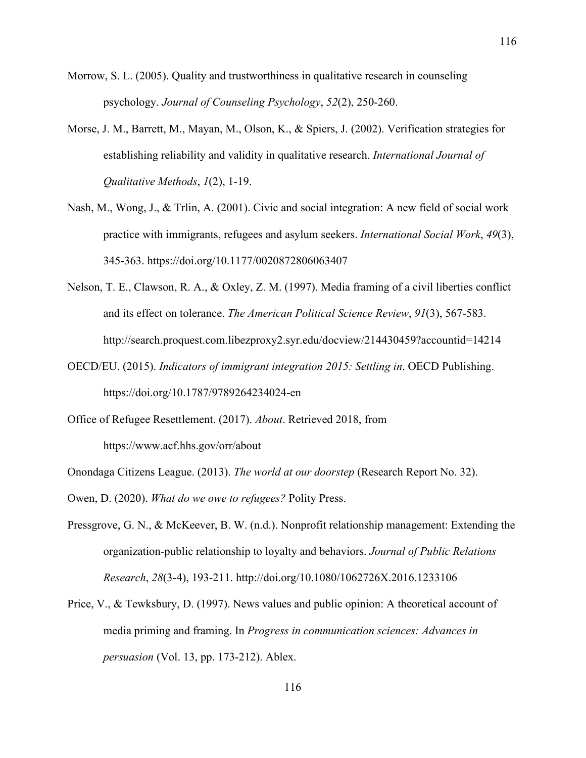- Morrow, S. L. (2005). Quality and trustworthiness in qualitative research in counseling psychology. *Journal of Counseling Psychology*, *52*(2), 250-260.
- Morse, J. M., Barrett, M., Mayan, M., Olson, K., & Spiers, J. (2002). Verification strategies for establishing reliability and validity in qualitative research. *International Journal of Qualitative Methods*, *1*(2), 1-19.
- Nash, M., Wong, J., & Trlin, A. (2001). Civic and social integration: A new field of social work practice with immigrants, refugees and asylum seekers. *International Social Work*, *49*(3), 345-363. https://doi.org/10.1177/0020872806063407
- Nelson, T. E., Clawson, R. A., & Oxley, Z. M. (1997). Media framing of a civil liberties conflict and its effect on tolerance. *The American Political Science Review*, *91*(3), 567-583. http://search.proquest.com.libezproxy2.syr.edu/docview/214430459?accountid=14214
- OECD/EU. (2015). *Indicators of immigrant integration 2015: Settling in*. OECD Publishing. https://doi.org/10.1787/9789264234024-en
- Office of Refugee Resettlement. (2017). *About*. Retrieved 2018, from https://www.acf.hhs.gov/orr/about
- Onondaga Citizens League. (2013). *The world at our doorstep* (Research Report No. 32).
- Owen, D. (2020). *What do we owe to refugees?* Polity Press.
- Pressgrove, G. N., & McKeever, B. W. (n.d.). Nonprofit relationship management: Extending the organization-public relationship to loyalty and behaviors. *Journal of Public Relations Research*, *28*(3-4), 193-211. http://doi.org/10.1080/1062726X.2016.1233106
- Price, V., & Tewksbury, D. (1997). News values and public opinion: A theoretical account of media priming and framing. In *Progress in communication sciences: Advances in persuasion* (Vol. 13, pp. 173-212). Ablex.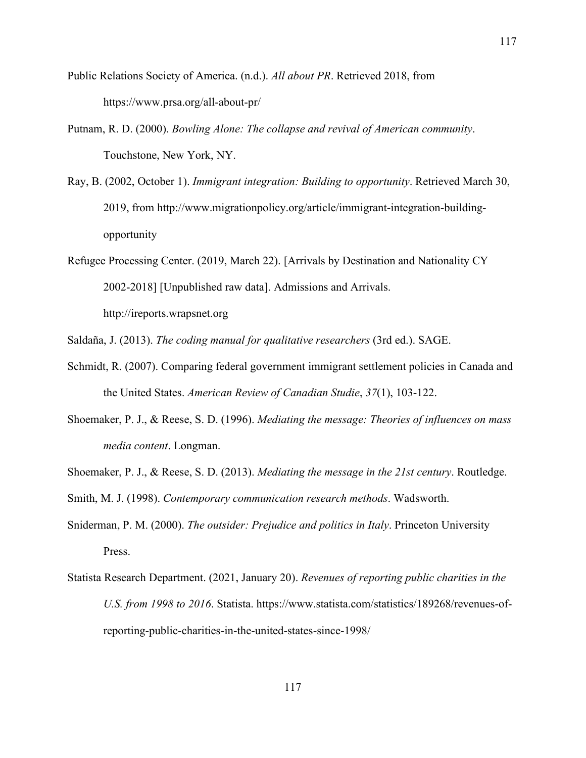- Public Relations Society of America. (n.d.). *All about PR*. Retrieved 2018, from https://www.prsa.org/all-about-pr/
- Putnam, R. D. (2000). *Bowling Alone: The collapse and revival of American community*. Touchstone, New York, NY.
- Ray, B. (2002, October 1). *Immigrant integration: Building to opportunity*. Retrieved March 30, 2019, from http://www.migrationpolicy.org/article/immigrant-integration-buildingopportunity
- Refugee Processing Center. (2019, March 22). [Arrivals by Destination and Nationality CY 2002-2018] [Unpublished raw data]. Admissions and Arrivals.

http://ireports.wrapsnet.org

Saldaña, J. (2013). *The coding manual for qualitative researchers* (3rd ed.). SAGE.

- Schmidt, R. (2007). Comparing federal government immigrant settlement policies in Canada and the United States. *American Review of Canadian Studie*, *37*(1), 103-122.
- Shoemaker, P. J., & Reese, S. D. (1996). *Mediating the message: Theories of influences on mass media content*. Longman.
- Shoemaker, P. J., & Reese, S. D. (2013). *Mediating the message in the 21st century*. Routledge.
- Smith, M. J. (1998). *Contemporary communication research methods*. Wadsworth.
- Sniderman, P. M. (2000). *The outsider: Prejudice and politics in Italy*. Princeton University Press.
- Statista Research Department. (2021, January 20). *Revenues of reporting public charities in the U.S. from 1998 to 2016*. Statista. https://www.statista.com/statistics/189268/revenues-ofreporting-public-charities-in-the-united-states-since-1998/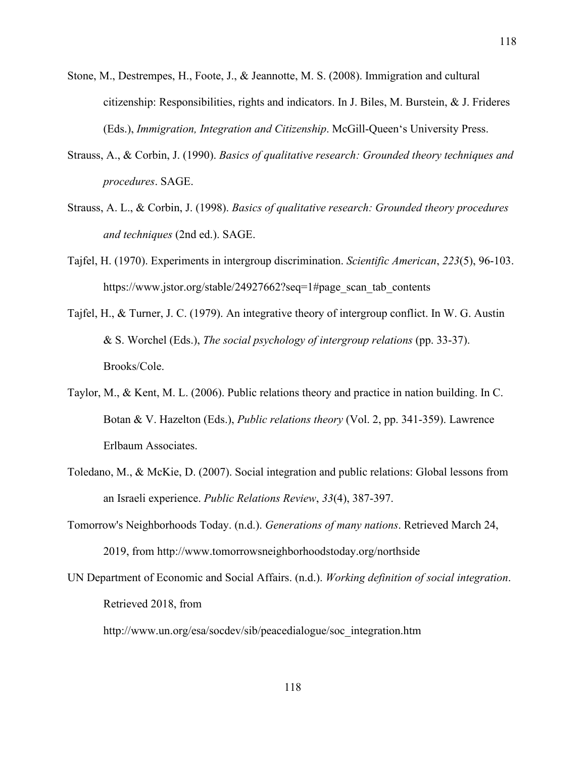Stone, M., Destrempes, H., Foote, J., & Jeannotte, M. S. (2008). Immigration and cultural citizenship: Responsibilities, rights and indicators. In J. Biles, M. Burstein,  $\&$  J. Frideres (Eds.), *Immigration, Integration and Citizenship*. McGill-Queen's University Press.

118

- Strauss, A., & Corbin, J. (1990). *Basics of qualitative research: Grounded theory techniques and procedures*. SAGE.
- Strauss, A. L., & Corbin, J. (1998). *Basics of qualitative research: Grounded theory procedures and techniques* (2nd ed.). SAGE.
- Tajfel, H. (1970). Experiments in intergroup discrimination. *Scientific American*, *223*(5), 96-103. https://www.jstor.org/stable/24927662?seq=1#page\_scan\_tab\_contents
- Tajfel, H., & Turner, J. C. (1979). An integrative theory of intergroup conflict. In W. G. Austin & S. Worchel (Eds.), *The social psychology of intergroup relations* (pp. 33-37). Brooks/Cole.
- Taylor, M., & Kent, M. L. (2006). Public relations theory and practice in nation building. In C. Botan & V. Hazelton (Eds.), *Public relations theory* (Vol. 2, pp. 341-359). Lawrence Erlbaum Associates.
- Toledano, M., & McKie, D. (2007). Social integration and public relations: Global lessons from an Israeli experience. *Public Relations Review*, *33*(4), 387-397.
- Tomorrow's Neighborhoods Today. (n.d.). *Generations of many nations*. Retrieved March 24, 2019, from http://www.tomorrowsneighborhoodstoday.org/northside
- UN Department of Economic and Social Affairs. (n.d.). *Working definition of social integration*. Retrieved 2018, from

http://www.un.org/esa/socdev/sib/peacedialogue/soc\_integration.htm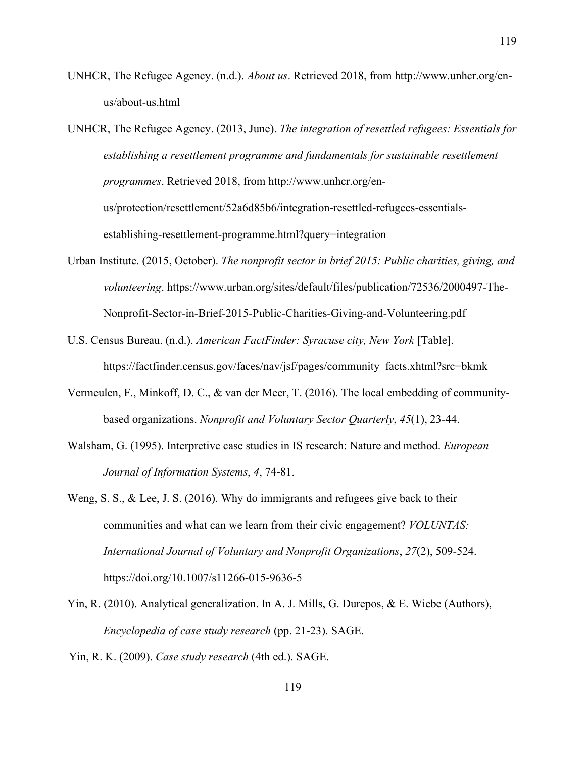UNHCR, The Refugee Agency. (n.d.). *About us*. Retrieved 2018, from http://www.unhcr.org/enus/about-us.html

UNHCR, The Refugee Agency. (2013, June). *The integration of resettled refugees: Essentials for*  establishing a resettlement programme and fundamentals for sustainable resettlement *programmes*. Retrieved 2018, from http://www.unhcr.org/enus/protection/resettlement/52a6d85b6/integration-resettled-refugees-essentialsestablishing-resettlement-programme.html?query=integration

- Urban Institute. (2015, October). *The nonprofit sector in brief 2015: Public charities, giving, and volunteering*. https://www.urban.org/sites/default/files/publication/72536/2000497-The-Nonprofit-Sector-in-Brief-2015-Public-Charities-Giving-and-Volunteering.pdf
- U.S. Census Bureau. (n.d.). *American FactFinder: Syracuse city, New York* [Table]. https://factfinder.census.gov/faces/nav/jsf/pages/community\_facts.xhtml?src=bkmk
- Vermeulen, F., Minkoff, D. C., & van der Meer, T. (2016). The local embedding of communitybased organizations. *Nonprofit and Voluntary Sector Quarterly*, *45*(1), 23-44.
- Walsham, G. (1995). Interpretive case studies in IS research: Nature and method. *European Journal of Information Systems*, *4*, 74-81.
- Weng, S. S., & Lee, J. S. (2016). Why do immigrants and refugees give back to their communities and what can we learn from their civic engagement? *VOLUNTAS: International Journal of Voluntary and Nonprofit Organizations*, *27*(2), 509-524. https://doi.org/10.1007/s11266-015-9636-5
- Yin, R. (2010). Analytical generalization. In A. J. Mills, G. Durepos, & E. Wiebe (Authors), *Encyclopedia of case study research* (pp. 21-23). SAGE.
- Yin, R. K. (2009). *Case study research* (4th ed.). SAGE.